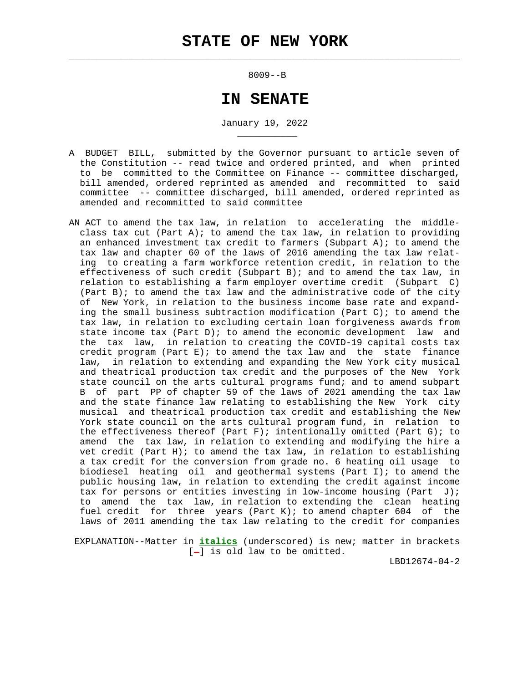$\mathcal{L}_\text{max} = \frac{1}{2} \sum_{i=1}^{n} \frac{1}{2} \sum_{i=1}^{n} \frac{1}{2} \sum_{i=1}^{n} \frac{1}{2} \sum_{i=1}^{n} \frac{1}{2} \sum_{i=1}^{n} \frac{1}{2} \sum_{i=1}^{n} \frac{1}{2} \sum_{i=1}^{n} \frac{1}{2} \sum_{i=1}^{n} \frac{1}{2} \sum_{i=1}^{n} \frac{1}{2} \sum_{i=1}^{n} \frac{1}{2} \sum_{i=1}^{n} \frac{1}{2} \sum_{i=1}^{n} \frac{1$ 

\_\_\_\_\_\_\_\_\_\_\_

8009--B

# **IN SENATE**

January 19, 2022

- A BUDGET BILL, submitted by the Governor pursuant to article seven of the Constitution -- read twice and ordered printed, and when printed to be committed to the Committee on Finance -- committee discharged, bill amended, ordered reprinted as amended and recommitted to said committee -- committee discharged, bill amended, ordered reprinted as amended and recommitted to said committee
- AN ACT to amend the tax law, in relation to accelerating the middle class tax cut (Part A); to amend the tax law, in relation to providing an enhanced investment tax credit to farmers (Subpart A); to amend the tax law and chapter 60 of the laws of 2016 amending the tax law relat ing to creating a farm workforce retention credit, in relation to the effectiveness of such credit (Subpart B); and to amend the tax law, in relation to establishing a farm employer overtime credit (Subpart C) (Part B); to amend the tax law and the administrative code of the city of New York, in relation to the business income base rate and expand ing the small business subtraction modification (Part C); to amend the tax law, in relation to excluding certain loan forgiveness awards from state income tax (Part D); to amend the economic development law and the tax law, in relation to creating the COVID-19 capital costs tax credit program (Part E); to amend the tax law and the state finance law, in relation to extending and expanding the New York city musical and theatrical production tax credit and the purposes of the New York state council on the arts cultural programs fund; and to amend subpart B of part PP of chapter 59 of the laws of 2021 amending the tax law and the state finance law relating to establishing the New York city musical and theatrical production tax credit and establishing the New York state council on the arts cultural program fund, in relation to the effectiveness thereof (Part F); intentionally omitted (Part G); to amend the tax law, in relation to extending and modifying the hire a vet credit (Part H); to amend the tax law, in relation to establishing a tax credit for the conversion from grade no. 6 heating oil usage to biodiesel heating oil and geothermal systems (Part I); to amend the public housing law, in relation to extending the credit against income tax for persons or entities investing in low-income housing (Part J); to amend the tax law, in relation to extending the clean heating fuel credit for three years (Part K); to amend chapter  $604$  of the laws of 2011 amending the tax law relating to the credit for companies

 EXPLANATION--Matter in **italics** (underscored) is new; matter in brackets  $[-]$  is old law to be omitted.

LBD12674-04-2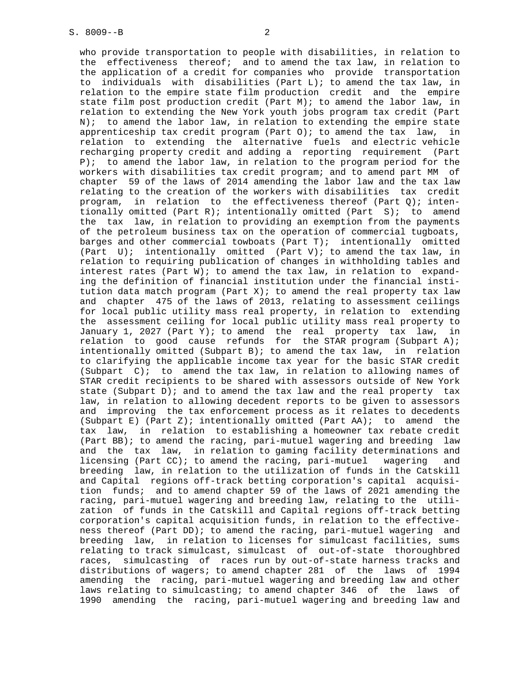who provide transportation to people with disabilities, in relation to the effectiveness thereof; and to amend the tax law, in relation to the application of a credit for companies who provide transportation to individuals with disabilities (Part L); to amend the tax law, in relation to the empire state film production credit and the empire state film post production credit (Part M); to amend the labor law, in relation to extending the New York youth jobs program tax credit (Part N); to amend the labor law, in relation to extending the empire state apprenticeship tax credit program (Part O); to amend the tax law, in relation to extending the alternative fuels and electric vehicle recharging property credit and adding a reporting requirement (Part P); to amend the labor law, in relation to the program period for the workers with disabilities tax credit program; and to amend part MM of chapter 59 of the laws of 2014 amending the labor law and the tax law relating to the creation of the workers with disabilities tax credit program, in relation to the effectiveness thereof (Part  $Q$ ); inten tionally omitted (Part R); intentionally omitted (Part S); to amend the tax law, in relation to providing an exemption from the payments of the petroleum business tax on the operation of commercial tugboats, barges and other commercial towboats (Part T); intentionally omitted (Part  $U$ ); intentionally omitted (Part V); to amend the tax law, in relation to requiring publication of changes in withholding tables and interest rates (Part W); to amend the tax law, in relation to expand ing the definition of financial institution under the financial insti tution data match program (Part X); to amend the real property tax law and chapter 475 of the laws of 2013, relating to assessment ceilings for local public utility mass real property, in relation to extending the assessment ceiling for local public utility mass real property to January 1, 2027 (Part Y); to amend the real property tax law, in relation to good cause refunds for the STAR program (Subpart A); intentionally omitted (Subpart B); to amend the tax law, in relation to clarifying the applicable income tax year for the basic STAR credit (Subpart  $C$ ); to amend the tax law, in relation to allowing names of STAR credit recipients to be shared with assessors outside of New York state (Subpart D); and to amend the tax law and the real property tax law, in relation to allowing decedent reports to be given to assessors and improving the tax enforcement process as it relates to decedents (Subpart E) (Part Z); intentionally omitted (Part AA); to amend the tax law, in relation to establishing a homeowner tax rebate credit (Part BB); to amend the racing, pari-mutuel wagering and breeding law and the tax law, in relation to gaming facility determinations and licensing (Part CC); to amend the racing, pari-mutuel wagering and breeding law, in relation to the utilization of funds in the Catskill and Capital regions off-track betting corporation's capital acquisi tion funds; and to amend chapter 59 of the laws of 2021 amending the racing, pari-mutuel wagering and breeding law, relating to the utili zation of funds in the Catskill and Capital regions off-track betting corporation's capital acquisition funds, in relation to the effective ness thereof (Part DD); to amend the racing, pari-mutuel wagering and breeding law, in relation to licenses for simulcast facilities, sums relating to track simulcast, simulcast of out-of-state thoroughbred races, simulcasting of races run by out-of-state harness tracks and distributions of wagers; to amend chapter 281 of the laws of 1994 amending the racing, pari-mutuel wagering and breeding law and other laws relating to simulcasting; to amend chapter 346 of the laws of 1990 amending the racing, pari-mutuel wagering and breeding law and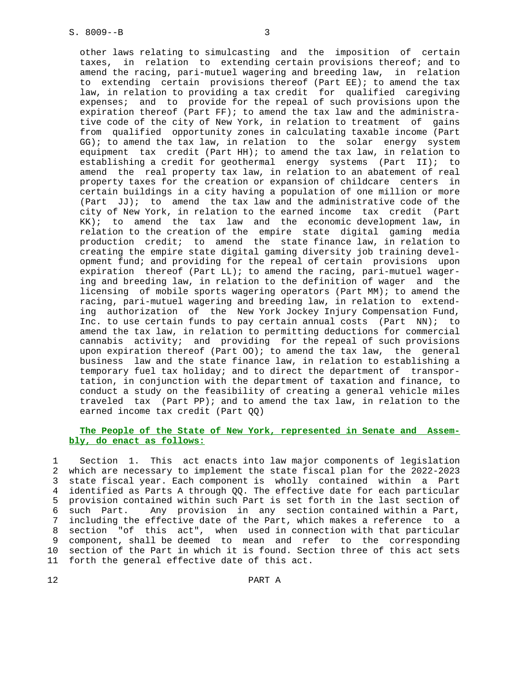other laws relating to simulcasting and the imposition of certain taxes, in relation to extending certain provisions thereof; and to amend the racing, pari-mutuel wagering and breeding law, in relation to extending certain provisions thereof (Part EE); to amend the tax law, in relation to providing a tax credit for qualified caregiving expenses; and to provide for the repeal of such provisions upon the expiration thereof (Part FF); to amend the tax law and the administra tive code of the city of New York, in relation to treatment of gains from qualified opportunity zones in calculating taxable income (Part GG); to amend the tax law, in relation to the solar energy system equipment tax credit (Part HH); to amend the tax law, in relation to establishing a credit for geothermal energy systems (Part II); to amend the real property tax law, in relation to an abatement of real property taxes for the creation or expansion of childcare centers in certain buildings in a city having a population of one million or more (Part  $JJ$ ); to amend the tax law and the administrative code of the city of New York, in relation to the earned income tax credit (Part KK); to amend the tax law and the economic development law, in relation to the creation of the empire state digital gaming media production credit; to amend the state finance law, in relation to creating the empire state digital gaming diversity job training devel opment fund; and providing for the repeal of certain provisions upon expiration thereof (Part LL); to amend the racing, pari-mutuel wager ing and breeding law, in relation to the definition of wager and the licensing of mobile sports wagering operators (Part MM); to amend the racing, pari-mutuel wagering and breeding law, in relation to extend ing authorization of the New York Jockey Injury Compensation Fund, Inc. to use certain funds to pay certain annual costs (Part NN); to amend the tax law, in relation to permitting deductions for commercial cannabis activity; and providing for the repeal of such provisions upon expiration thereof (Part OO); to amend the tax law, the general business law and the state finance law, in relation to establishing a temporary fuel tax holiday; and to direct the department of transpor tation, in conjunction with the department of taxation and finance, to conduct a study on the feasibility of creating a general vehicle miles traveled tax (Part PP); and to amend the tax law, in relation to the earned income tax credit (Part QQ)

# **The People of the State of New York, represented in Senate and Assem bly, do enact as follows:**

 1 Section 1. This act enacts into law major components of legislation 2 which are necessary to implement the state fiscal plan for the 2022-2023 3 state fiscal year. Each component is wholly contained within a Part 4 identified as Parts A through QQ. The effective date for each particular 5 provision contained within such Part is set forth in the last section of 6 such Part. Any provision in any section contained within a Part, 7 including the effective date of the Part, which makes a reference to a 8 section "of this act", when used in connection with that particular 9 component, shall be deemed to mean and refer to the corresponding 10 section of the Part in which it is found. Section three of this act sets 11 forth the general effective date of this act.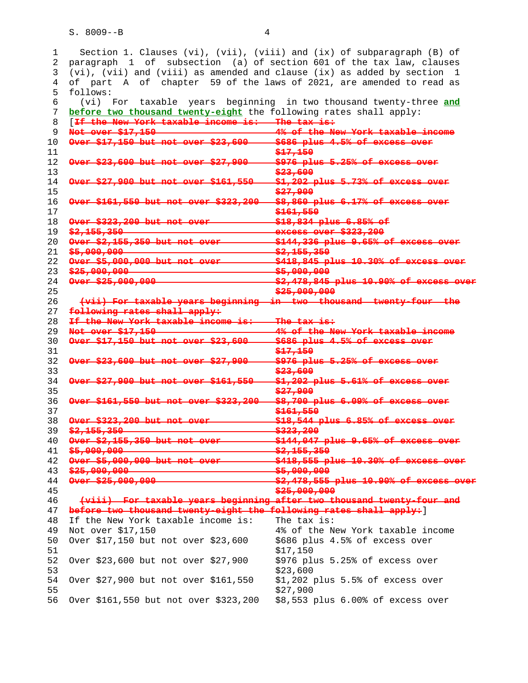1 Section 1. Clauses (vi), (vii), (viii) and (ix) of subparagraph (B) of 2 paragraph 1 of subsection (a) of section 601 of the tax law, clauses 3 (vi), (vii) and (viii) as amended and clause (ix) as added by section 1 4 of part A of chapter 59 of the laws of 2021, are amended to read as 5 follows: 6 (vi) For taxable years beginning in two thousand twenty-three **and before two thousand twenty-eight** the following rates shall apply: 8 [**If the New York taxable income is: The tax is: Not over \$17,150 4% of the New York taxable income Over \$17,150 but not over \$23,600 \$686 plus 4.5% of excess over \$17,150 Over \$23,600 but not over \$27,900 \$976 plus 5.25% of excess over \$23,600 Over \$27,900 but not over \$161,550** \$1,202 plus 5.73% of excess **\$27,900 Over \$161,550 but not over \$323,200 \$8,860 plus 6.17% of excess over \$161,550 Over \$323,200 but not ove \$2,155,350 excess over \$323,200 Over \$2,155,350 but not over 5144,336 plus 9.65% of excess over \$5,000,000 \$2,155,350 Over \$5,000,000 but not over 5418,845 plus 10.30% of excess \$25,000,000 \$5,000,000 \$5,000,000 Over \$25,000,000 \$2,478,845 plus 10.90% of excess \$25,000,000 (vii) For taxable years beginning in two thousand twenty-four the following rates shall apply: If the New York taxable income is: The tax is: Not over \$17,150 4% of the New York taxable income Over \$17,150 but not over \$23,600 \$686 plus 4.5% of excess over \$17,150 Over \$23,600 but not over \$27,900** \$976 plus 5.25% of excess over **\$23,600 Over \$27,900 but not over \$161,550 \$1,202 plus 5.61% of excess over \$27,900 Over \$161,550 but not over \$323,200 \$8,700 plus 6.09% of excess over \$161,550 Over \$323,200 but not over \$18,544 plus 6.85% of excess over** 39 \$2,155,350 **\$2,155,350 \$323,200**<br>40 **Gver \$2,155,350 but not over \$144,047 Over \$2,155,350 but not over \$144,047 plus 9.65% of excess over \$5,000,000 \$2,155,350 Over \$5,000,000 but not over \$418,555 plus 10.30% of excess over \$25,000,000 \$5,000,000** \$5,000,000 Over \$25,000,000 **\$2,478,555 plus 10.90% of \$25,000,000 (viii) For taxable years beginning after two thousand twenty-four and before two thousand twenty-eight the following rates shall apply:**] 48 If the New York taxable income is: The tax is: 49 Not over \$17,150 4% of the New York taxable income 50 Over \$17,150 but not over \$23,600 \$686 plus 4.5% of excess over 51 \$17,150 52 Over \$23,600 but not over \$27,900 \$976 plus 5.25% of excess over 53 \$23,600 54 Over \$27,900 but not over \$161,550 \$1,202 plus 5.5% of excess over 55 \$27,900 56 Over \$161,550 but not over \$323,200 \$8,553 plus 6.00% of excess over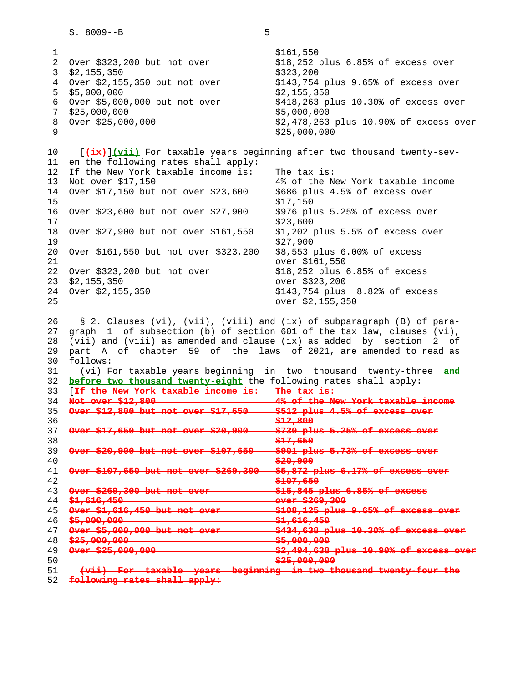1 \$161,550 2 Over \$323,200 but not over \$18,252 plus 6.85% of excess over 3 \$2,155,350 \$323,200 4 Over \$2,155,350 but not over \$143,754 plus 9.65% of excess over  $5\quad $5,000,000$   $$2,155,350$  6 Over \$5,000,000 but not over \$418,263 plus 10.30% of excess over 7 \$25,000,000 \$5,000,000 8 Over \$25,000,000 \$2,478,263 plus 10.90% of excess over  $9$  \$25,000,000 10 [**(ix)**]**(vii)** For taxable years beginning after two thousand twenty-sev- 11 en the following rates shall apply: 12 If the New York taxable income is: The tax is: 13 Not over \$17,150 4% of the New York taxable income 14 Over \$17,150 but not over \$23,600 \$686 plus 4.5% of excess over  $15$  \$17,150 16 Over \$23,600 but not over \$27,900 \$976 plus 5.25% of excess over 17 \$23,600 18 Over \$27,900 but not over \$161,550 \$1,202 plus 5.5% of excess over 19 \$27,900 20 Over \$161,550 but not over \$323,200 \$8,553 plus 6.00% of excess 21 over \$161,550 22 Over \$323,200 but not over \$18,252 plus 6.85% of excess 23 \$2,155,350 over \$323,200 24 Over \$2,155,350 \$143,754 plus 8.82% of excess 25 over \$2,155,350 26 § 2. Clauses (vi), (vii), (viii) and (ix) of subparagraph (B) of para- 27 graph 1 of subsection (b) of section 601 of the tax law, clauses (vi), 28 (vii) and (viii) as amended and clause (ix) as added by section 2 of 29 part A of chapter 59 of the laws of 2021, are amended to read as 30 follows: 31 (vi) For taxable years beginning in two thousand twenty-three **and** 32 **before two thousand twenty-eight** the following rates shall apply: 33 [**If the New York taxable income is: The tax is:** 34 **Not over \$12,800 4% of the New York taxable income** 35 **Over \$12,800 but not over \$17,650** \$512 plus 4.5% of excess 36 **\$12,800** 37 Over \$17,650 but not over \$20,900 \$730 plus 38 **\$17,650** 39 **Over \$20,900 but not over \$107,650 \$901 plus** 40 **\$20,900<br>41 <del>Over \$107,650 but not over \$269,300 \$5,872 pl</del>** 41 **Over \$107,650 but not over \$269,300**  42 **\$107,650** 43 **Over \$269,300 but not over 100 \$15,845 plus 6.85%** 44 **\$1,616,450 contained a set of the State Server \$269,300**<br>45 **Over \$1,616,450 but not over \$108,125 plus**  45 **Over \$1,616,450 but not over \$108,125 plus 9.65% of excess over** 46 **\$5,000,000 \$1,616,450** 47 **Over \$5,000,000 but not over 5434,638 p** 48 **\$25,000,000 \$5,000,000** \$5,000,000 49 **Over \$25,000,000 \$2,494,638 plus 10.90% of excess over** 50 **\$25,000,000** 51 **(vii) For taxable years beginning in twe** 

52 **following rates shall apply:**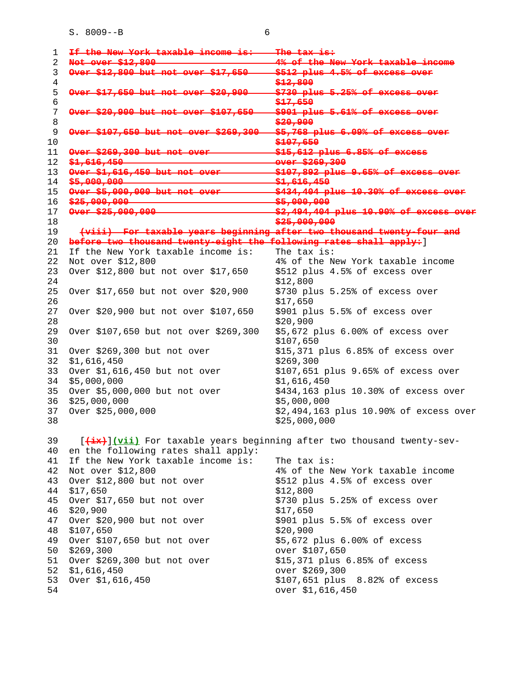|                                 | If the New York taxable income is:    | <del>The tax is:</del>                                                 |
|---------------------------------|---------------------------------------|------------------------------------------------------------------------|
| Not over \$12,800               |                                       | 1 <del>% of the New</del>                                              |
|                                 | Over \$12,800 but not over            | \$512 plus 4.5% of excess                                              |
|                                 |                                       | \$12,800                                                               |
|                                 | over \$17,650 but not over \$20,900   | \$730 plus 5.25% of excess                                             |
|                                 |                                       | \$17,650                                                               |
|                                 | Over \$20,900 but not over            | \$901 plus 5.61% of exee                                               |
|                                 |                                       | \$20,900                                                               |
|                                 | <u> ລດດ</u>                           | \$5,768 plus 6.09% of excess                                           |
|                                 |                                       | \$107,650                                                              |
|                                 | Over \$269,300 but not over           | $$15,612$ plus $6.85%$ of excess                                       |
| \$1,616,450                     |                                       | over \$269,300                                                         |
|                                 | Over \$1,616,450 but not              | \$107,892 plus 9.65%                                                   |
| \$5,000,000                     |                                       | \$1,616,450                                                            |
|                                 | Over \$5,000,000 but not over         | \$434,404 plus 10.30% of excess                                        |
| 16 \$25,000,000                 |                                       | \$5,000,000                                                            |
| 0ver \$25,000,000               |                                       | \$2,494,404 plus 10.90% of                                             |
|                                 |                                       | \$25,000,000                                                           |
|                                 |                                       | (viii) For taxable years beginning after two thousand twenty-four and  |
|                                 |                                       | before two thousand twenty-eight the following rates shall apply: )    |
|                                 | If the New York taxable income is:    | The tax is:                                                            |
| Not over \$12,800               |                                       | 4% of the New York taxable income                                      |
|                                 | Over \$12,800 but not over \$17,650   | \$512 plus 4.5% of excess over                                         |
|                                 |                                       | \$12,800                                                               |
|                                 | Over \$17,650 but not over \$20,900   | \$730 plus 5.25% of excess over                                        |
|                                 |                                       |                                                                        |
|                                 |                                       | \$17,650                                                               |
|                                 | Over \$20,900 but not over \$107,650  | \$901 plus 5.5% of excess over                                         |
|                                 |                                       | \$20,900                                                               |
|                                 | Over \$107,650 but not over \$269,300 | \$5,672 plus 6.00% of excess over                                      |
|                                 |                                       | \$107,650                                                              |
|                                 | Over \$269,300 but not over           | \$15,371 plus 6.85% of excess over                                     |
| \$1,616,450                     |                                       | \$269,300                                                              |
|                                 | Over \$1,616,450 but not over         | \$107,651 plus 9.65% of excess over                                    |
| \$5,000,000                     |                                       | \$1,616,450                                                            |
|                                 | Over \$5,000,000 but not over         | \$434,163 plus 10.30% of excess over                                   |
| \$25,000,000                    |                                       | \$5,000,000                                                            |
| Over \$25,000,000               |                                       | \$2,494,163 plus 10.90% of excess over                                 |
|                                 |                                       | \$25,000,000                                                           |
|                                 |                                       |                                                                        |
|                                 |                                       | [(ix)](vii) For taxable years beginning after two thousand twenty-sev- |
|                                 | en the following rates shall apply:   |                                                                        |
|                                 | If the New York taxable income is:    | The tax is:                                                            |
|                                 |                                       | 4% of the New York taxable income                                      |
| Not over \$12,800               |                                       |                                                                        |
|                                 | Over \$12,800 but not over            | \$512 plus 4.5% of excess over                                         |
| \$17,650                        |                                       | \$12,800                                                               |
|                                 | Over \$17,650 but not over            | \$730 plus 5.25% of excess over                                        |
| \$20,900                        |                                       | \$17,650                                                               |
|                                 | Over \$20,900 but not over            | \$901 plus 5.5% of excess over                                         |
| \$107,650                       |                                       | \$20,900                                                               |
|                                 | Over \$107,650 but not over           | \$5,672 plus 6.00% of excess                                           |
| \$269,300                       |                                       | over \$107,650                                                         |
|                                 | Over \$269,300 but not over           | \$15,371 plus 6.85% of excess                                          |
| \$1,616,450<br>Over \$1,616,450 |                                       | over \$269,300<br>\$107,651 plus 8.82% of excess                       |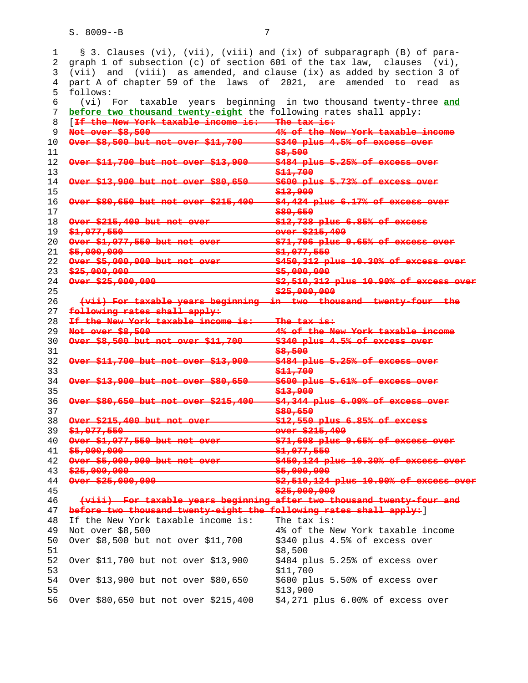1 § 3. Clauses (vi), (vii), (viii) and (ix) of subparagraph (B) of para- 2 graph 1 of subsection (c) of section 601 of the tax law, clauses (vi), 3 (vii) and (viii) as amended, and clause (ix) as added by section 3 of 4 part A of chapter 59 of the laws of 2021, are amended to read as 5 follows: 6 (vi) For taxable years beginning in two thousand twenty-three **and before two thousand twenty-eight** the following rates shall apply: 8 [**If the New York taxable income is: The tax is: Not over \$8,500 4% of the New York taxable income Over \$8,500 but not over \$11,700 \$340 plus 4.5% of excess over \$8,500 Over \$11,700 but not over \$13,900 - \$484 plus 5.25% of excess \$11,700 Over \$13,900 but not over \$80,650 \$600 plus 5.73% of excess over \$13,900 Over \$80,650 but not over \$215,400 \$4,424 plus 6.17% of excess over \$80,650 Over \$215,400 but not over \$12,738 plus 6.85% of excess** 19 \$<del>1,077,550 **comedia communicates** over \$215,400</del><br>20 <del>Over \$1,077,550 but not over \$71,796 plus 9.65%</del> **Over \$1,077,550 but not over \$71,796 plus 9.65% of excess over \$5,000,000 \$1,077,550 Over \$5,000,000 but not over \$450,312 plus 10.30% of excess over \$25,000,000 \$5,000,000 \$5,000,000 Over \$25,000,000 \$2,510,312 plus 10.90% of excess \$25,000,000 (vii) For taxable years beginning in two thousand twenty-four the following rates shall apply: If the New York taxable income is: The tax is: Not over \$8,500 4% of the New York taxable income Over \$8,500 but not over \$11,700 \$340 plus 4.5% of excess over \$8,500 Over \$11,700 but not over \$13,900 \$484 plus 5.25% of excess over \$11,700 Over \$13,900 but not over \$80,650 \$600 plus 5.61% of excess over \$13,900 Over \$80,650 but not over \$215,400 \$4,344 plus 6.09% of excess over \$80,650 Over \$215,400 but not over \$12,550 plus 6.85% of excess** 39 \$<del>1,077,550 continuum companies and \$1,000</del><br>40 G<del>ver \$1,077,550 but not over continuity \$71,608 plus 9.65%</del> **Over \$1,077,550 but not over \$71,608 plus 9.65% of excess over \$5,000,000 \$1,077,550 Over \$5,000,000 but not over \$450,124 plus 10.30% of excess over \$25,000,000 \$5,000,000** \$5,000,000 **Over \$25,000,000 Sigma Research State \$2,510,124 plus 10.90% of \$25,000,000 (viii) For taxable years beginning after two thousand twenty-four and before two thousand twenty-eight the following rates shall apply:**] 48 If the New York taxable income is: The tax is: 49 Not over \$8,500 4% of the New York taxable income 50 Over \$8,500 but not over \$11,700 \$340 plus 4.5% of excess over \$8,500 52 Over \$11,700 but not over \$13,900 \$484 plus 5.25% of excess over 53 \$11,700 54 Over \$13,900 but not over \$80,650 \$600 plus 5.50% of excess over 55 \$13,900 56 Over \$80,650 but not over \$215,400 \$4,271 plus 6.00% of excess over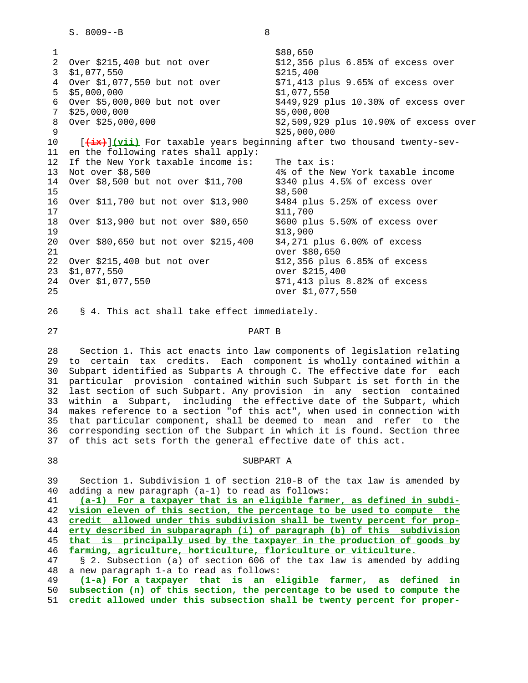1 \$80,650 2 Over \$215,400 but not over \$12,356 plus 6.85% of excess over 3 \$1,077,550 \$215,400 4 Over \$1,077,550 but not over \$71,413 plus 9.65% of excess over 5 \$5,000,000 \$1,077,550 6 Over \$5,000,000 but not over \$449,929 plus 10.30% of excess over 7 \$25,000,000 \$5,000,000 8 Over \$25,000,000 \$2,509,929 plus 10.90% of excess over \$25,000,000 \$25,000,000<br>10 **[<del>(ix)</del>](vii)** For taxable years beginning after to [(ix)](vii) For taxable years beginning after two thousand twenty-sev- 11 en the following rates shall apply: 12 If the New York taxable income is: The tax is:<br>13 Not over \$8,500 4% of the No 4% of the New York taxable income 14 Over \$8,500 but not over \$11,700 \$340 plus 4.5% of excess over  $15$  \$8,500 16 Over \$11,700 but not over \$13,900 \$484 plus 5.25% of excess over 17 \$11,700 18 Over \$13,900 but not over \$80,650 \$600 plus 5.50% of excess over 19 \$13,900 20 Over \$80,650 but not over \$215,400 \$4,271 plus 6.00% of excess 21 over \$80,650 22 Over \$215,400 but not over \$12,356 plus 6.85% of excess 23 \$1,077,550 over \$215,400 24 Over \$1,077,550 \$71,413 plus 8.82% of excess 25 over \$1,077,550

26 § 4. This act shall take effect immediately.

# 27 PART B

 28 Section 1. This act enacts into law components of legislation relating 29 to certain tax credits. Each component is wholly contained within a 30 Subpart identified as Subparts A through C. The effective date for each 31 particular provision contained within such Subpart is set forth in the 32 last section of such Subpart. Any provision in any section contained 33 within a Subpart, including the effective date of the Subpart, which 34 makes reference to a section "of this act", when used in connection with 35 that particular component, shall be deemed to mean and refer to the 36 corresponding section of the Subpart in which it is found. Section three 37 of this act sets forth the general effective date of this act.

# 38 SUBPART A

 39 Section 1. Subdivision 1 of section 210-B of the tax law is amended by 40 adding a new paragraph (a-1) to read as follows:

**(a-1) For a taxpayer that is an eligible farmer, as defined in subdi- vision eleven of this section, the percentage to be used to compute the credit allowed under this subdivision shall be twenty percent for prop- erty described in subparagraph (i) of paragraph (b) of this subdivision that is principally used by the taxpayer in the production of goods by farming, agriculture, horticulture, floriculture or viticulture.** 47 § 2. Subsection (a) of section 606 of the tax law is amended by adding

48 a new paragraph 1-a to read as follows:

 49 **(1-a) For a taxpayer that is an eligible farmer, as defined in** 50 **subsection (n) of this section, the percentage to be used to compute the**

51 **credit allowed under this subsection shall be twenty percent for proper-**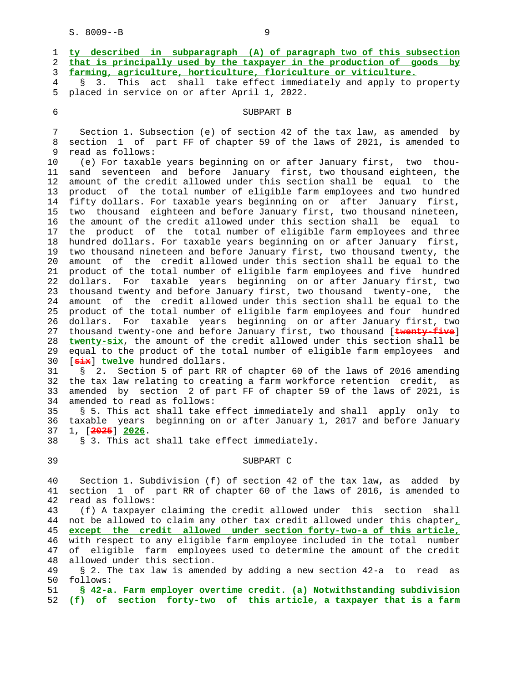| 1<br>2<br>3<br>4 | ty described in subparagraph (A) of paragraph two of this subsection<br>that is principally used by the taxpayer in the production of goods by<br>farming, agriculture, horticulture, floriculture or viticulture.<br>This act<br>shall take effect immediately and apply to property<br>S.<br>3. |
|------------------|---------------------------------------------------------------------------------------------------------------------------------------------------------------------------------------------------------------------------------------------------------------------------------------------------|
| 5                | placed in service on or after April 1, 2022.                                                                                                                                                                                                                                                      |
| 6                | SUBPART B                                                                                                                                                                                                                                                                                         |
| 7                | Section 1. Subsection (e) of section 42 of the tax law, as amended by                                                                                                                                                                                                                             |
| 8                | section 1 of part FF of chapter 59 of the laws of 2021, is amended to                                                                                                                                                                                                                             |
| 9                | read as follows:                                                                                                                                                                                                                                                                                  |
| 10               | (e) For taxable years beginning on or after January first, two thou-                                                                                                                                                                                                                              |
| 11               | sand seventeen and before January first, two thousand eighteen, the                                                                                                                                                                                                                               |
| 12<br>13         | amount of the credit allowed under this section shall be equal to the<br>product of the total number of eligible farm employees and two hundred                                                                                                                                                   |
| 14               | fifty dollars. For taxable years beginning on or after January first,                                                                                                                                                                                                                             |
| 15               | two thousand eighteen and before January first, two thousand nineteen,                                                                                                                                                                                                                            |
| 16               | the amount of the credit allowed under this section shall be<br>equal to                                                                                                                                                                                                                          |
| 17               | the product of the total number of eligible farm employees and three                                                                                                                                                                                                                              |
| 18               | hundred dollars. For taxable years beginning on or after January first,                                                                                                                                                                                                                           |
| 19               | two thousand nineteen and before January first, two thousand twenty, the                                                                                                                                                                                                                          |
| 20               | amount of the credit allowed under this section shall be equal to the                                                                                                                                                                                                                             |
| 21               | product of the total number of eligible farm employees and five hundred                                                                                                                                                                                                                           |
| 22               | dollars. For taxable years beginning on or after January first, two                                                                                                                                                                                                                               |
| 23               | thousand twenty and before January first, two thousand twenty-one, the                                                                                                                                                                                                                            |
| 24               | amount of the credit allowed under this section shall be equal to the                                                                                                                                                                                                                             |
| 25               | product of the total number of eligible farm employees and four hundred                                                                                                                                                                                                                           |
| 26               | For taxable years beginning on or after January first, two<br>dollars.<br>thousand twenty-one and before January first, two thousand [twenty-five]                                                                                                                                                |
| 27<br>28         | twenty-six, the amount of the credit allowed under this section shall be                                                                                                                                                                                                                          |
| 29               | equal to the product of the total number of eligible farm employees and                                                                                                                                                                                                                           |
| 30               | [ $\frac{1}{\text{div}}$ ] twelve hundred dollars.                                                                                                                                                                                                                                                |
| 31               | 2. Section 5 of part RR of chapter 60 of the laws of 2016 amending<br>Š.                                                                                                                                                                                                                          |
| 32               | the tax law relating to creating a farm workforce retention credit,<br>as                                                                                                                                                                                                                         |
| 33               | amended by section 2 of part FF of chapter 59 of the laws of 2021, is                                                                                                                                                                                                                             |
| 34               | amended to read as follows:                                                                                                                                                                                                                                                                       |
| 35               | § 5. This act shall take effect immediately and shall apply only to                                                                                                                                                                                                                               |
| 36               | taxable years beginning on or after January 1, 2017 and before January                                                                                                                                                                                                                            |
| 37               | 1, [2025] 2026.                                                                                                                                                                                                                                                                                   |
| 38               | § 3. This act shall take effect immediately.                                                                                                                                                                                                                                                      |
| 39               | SUBPART C                                                                                                                                                                                                                                                                                         |
| 40               | Section 1. Subdivision (f) of section 42 of the tax law, as<br>added by                                                                                                                                                                                                                           |
| 41               | section 1 of part RR of chapter 60 of the laws of 2016, is amended to                                                                                                                                                                                                                             |
| 42               | read as follows:                                                                                                                                                                                                                                                                                  |
| 43               | (f) A taxpayer claiming the credit allowed under this section<br>shall                                                                                                                                                                                                                            |
| 44               | not be allowed to claim any other tax credit allowed under this chapter,                                                                                                                                                                                                                          |
| 45               | except the credit allowed under section forty-two-a of this article,                                                                                                                                                                                                                              |
| 46               | with respect to any eligible farm employee included in the total number                                                                                                                                                                                                                           |
| 47<br>48         | eligible farm employees used to determine the amount of the credit<br>of<br>allowed under this section.                                                                                                                                                                                           |
|                  |                                                                                                                                                                                                                                                                                                   |

 49 § 2. The tax law is amended by adding a new section 42-a to read as 50 follows:<br>51 <u>S 42-a.</u>

 51 **§ 42-a. Farm employer overtime credit. (a) Notwithstanding subdivision** 52 **(f) of section forty-two of this article, a taxpayer that is a farm**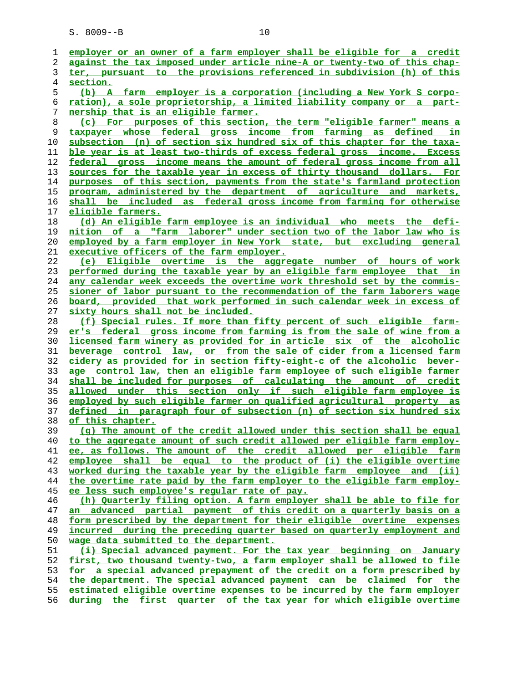| 1              | employer or an owner of a farm employer shall be eligible for a credit   |
|----------------|--------------------------------------------------------------------------|
| 2              | against the tax imposed under article nine-A or twenty-two of this chap- |
| 3              | ter, pursuant to the provisions referenced in subdivision (h) of this    |
| $\overline{4}$ | section.                                                                 |
| 5              | (b) A farm employer is a corporation (including a New York S corpo-      |
| 6              | ration), a sole proprietorship, a limited liability company or a part-   |
| 7              | nership that is an eligible farmer.                                      |
|                |                                                                          |
| 8              | (c) For purposes of this section, the term "eligible farmer" means a     |
| 9              | taxpayer whose federal gross income from farming as defined in           |
| 10             | subsection (n) of section six hundred six of this chapter for the taxa-  |
| 11             | ble year is at least two-thirds of excess federal gross income. Excess   |
| 12             | federal gross income means the amount of federal gross income from all   |
| 13             | sources for the taxable year in excess of thirty thousand dollars. For   |
| 14             | purposes of this section, payments from the state's farmland protection  |
| 15             | program, administered by the department of agriculture and markets,      |
| 16             | shall be included as federal gross income from farming for otherwise     |
| 17             | <u>eligible farmers.</u>                                                 |
| 18             | (d) An eligible farm employee is an individual who meets the defi-       |
| 19             | nition of a "farm laborer" under section two of the labor law who is     |
|                |                                                                          |
| 20             | employed by a farm employer in New York state, but excluding general     |
| 21             | executive officers of the farm employer.                                 |
| 22             | (e) Eligible overtime is the aggregate number of hours of work           |
| 23             | performed during the taxable year by an eligible farm employee that in   |
| 24             | any calendar week exceeds the overtime work threshold set by the commis- |
| 25             | sioner of labor pursuant to the recommendation of the farm laborers wage |
| 26             | board, provided that work performed in such calendar week in excess of   |
| 27             | sixty hours shall not be included.                                       |
| 28             | (f) Special rules. If more than fifty percent of such eligible farm-     |
| 29             | er's federal gross income from farming is from the sale of wine from a   |
| 30             | licensed farm winery as provided for in article six of the alcoholic     |
| 31             | beverage control law, or from the sale of cider from a licensed farm     |
| 32             | cidery as provided for in section fifty-eight-c of the alcoholic bever-  |
| 33             | age control law, then an eligible farm employee of such eligible farmer  |
| 34             | shall be included for purposes of calculating the amount of credit       |
| 35             | allowed under this section only if such eligible farm employee is        |
| 36             | employed by such eligible farmer on qualified agricultural property as   |
| 37             | defined in paragraph four of subsection (n) of section six hundred six   |
| 38             | of this chapter.                                                         |
| 39             | (g) The amount of the credit allowed under this section shall be equal   |
| 40             | to the aggregate amount of such credit allowed per eligible farm employ- |
|                | ee, as follows. The amount of the credit allowed per eligible farm       |
| 41             |                                                                          |
| 42             | employee shall be equal to the product of (i) the eligible overtime      |
| 43             | worked during the taxable year by the eligible farm employee and (ii)    |
| 44             | the overtime rate paid by the farm employer to the eligible farm employ- |
| 45             | ee less such employee's reqular rate of pay.                             |
| 46             | (h) Quarterly filing option. A farm employer shall be able to file for   |
| 47             | an advanced partial payment of this credit on a quarterly basis on a     |
| 48             | form prescribed by the department for their eligible overtime expenses   |
| 49             | incurred during the preceding quarter based on quarterly employment and  |
| 50             | wage data submitted to the department.                                   |
| 51             | (i) Special advanced payment. For the tax year beginning on January      |
| 52             | first, two thousand twenty-two, a farm employer shall be allowed to file |
| 53             | for a special advanced prepayment of the credit on a form prescribed by  |
| 54             | the department. The special advanced payment can be claimed for the      |
| 55             | estimated eligible overtime expenses to be incurred by the farm employer |
| 56             | during the first quarter of the tax year for which eligible overtime     |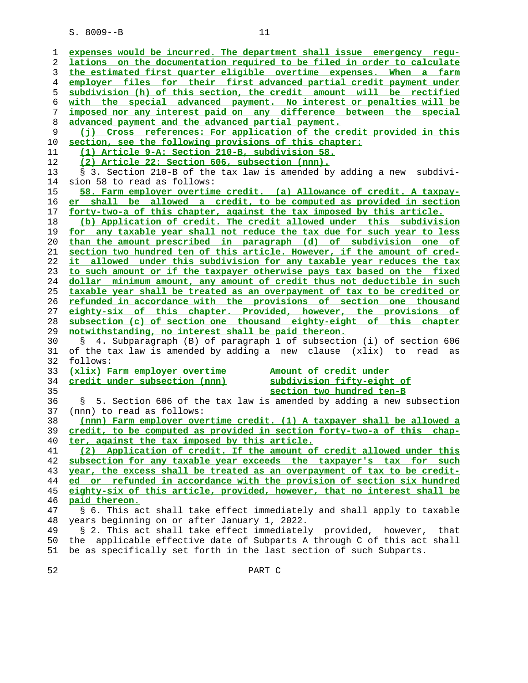| ı  | expenses would be incurred. The department shall issue emergency regu-     |
|----|----------------------------------------------------------------------------|
| 2  | lations on the documentation required to be filed in order to calculate    |
| 3  | the estimated first quarter eligible overtime expenses. When a farm        |
| 4  | employer files for their first advanced partial credit payment under       |
| 5  | subdivision (h) of this section, the credit amount will be rectified       |
| 6  | with the special advanced payment. No interest or penalties will be        |
| 7  | imposed nor any interest paid on any difference between the special        |
| 8  | advanced payment and the advanced partial payment.                         |
| 9  | (j) Cross references: For application of the credit provided in this       |
| 10 | section, see the following provisions of this chapter:                     |
| 11 | (1) Article 9-A: Section 210-B, subdivision 58.                            |
| 12 | (2) Article 22: Section 606, subsection (nnn).                             |
| 13 | § 3. Section 210-B of the tax law is amended by adding a new subdivi-      |
| 14 | sion 58 to read as follows:                                                |
| 15 | 58. Farm employer overtime credit. (a) Allowance of credit. A taxpay-      |
|    | er shall be allowed a credit, to be computed as provided in section        |
| 16 |                                                                            |
| 17 | forty-two-a of this chapter, against the tax imposed by this article.      |
| 18 | (b) Application of credit. The credit allowed under this subdivision       |
| 19 | for any taxable year shall not reduce the tax due for such year to less    |
| 20 | than the amount prescribed in paragraph (d) of subdivision one of          |
| 21 | section two hundred ten of this article. However, if the amount of cred-   |
| 22 | it allowed under this subdivision for any taxable year reduces the tax     |
| 23 | to such amount or if the taxpayer otherwise pays tax based on the fixed    |
| 24 | dollar minimum amount, any amount of credit thus not deductible in such    |
| 25 | taxable year shall be treated as an overpayment of tax to be credited or   |
| 26 | refunded in accordance with the provisions of section one thousand         |
| 27 | eighty-six of this chapter. Provided, however, the provisions of           |
| 28 | subsection (c) of section one thousand eighty-eight of this chapter        |
| 29 | notwithstanding, no interest shall be paid thereon.                        |
| 30 | § 4. Subparagraph (B) of paragraph 1 of subsection (i) of section 606      |
| 31 | of the tax law is amended by adding a new clause (xlix) to read as         |
| 32 | follows:                                                                   |
| 33 | (xlix) Farm employer overtime<br>Amount of credit under                    |
| 34 | credit under subsection (nnn)<br>subdivision fifty-eight of                |
| 35 | section two hundred ten-B                                                  |
| 36 | 5. Section 606 of the tax law is amended by adding a new subsection<br>S.  |
| 37 | (nnn) to read as follows:                                                  |
| 38 | (nnn) Farm employer overtime credit. (1) A taxpayer shall be allowed a     |
| 39 | credit, to be computed as provided in section forty-two-a of this chap-    |
| 40 | ter, against the tax imposed by this article.                              |
| 41 | (2) Application of credit. If the amount of credit allowed under this      |
| 42 | subsection for any taxable year exceeds the taxpayer's tax for such        |
| 43 | year, the excess shall be treated as an overpayment of tax to be credit-   |
| 44 | ed or refunded in accordance with the provision of section six hundred     |
| 45 | eighty-six of this article, provided, however, that no interest shall be   |
| 46 | paid thereon.                                                              |
| 47 | § 6. This act shall take effect immediately and shall apply to taxable     |
| 48 | years beginning on or after January 1, 2022.                               |
| 49 | § 2. This act shall take effect immediately provided, however,<br>that     |
| 50 | applicable effective date of Subparts A through C of this act shall<br>the |
| 51 | be as specifically set forth in the last section of such Subparts.         |
|    |                                                                            |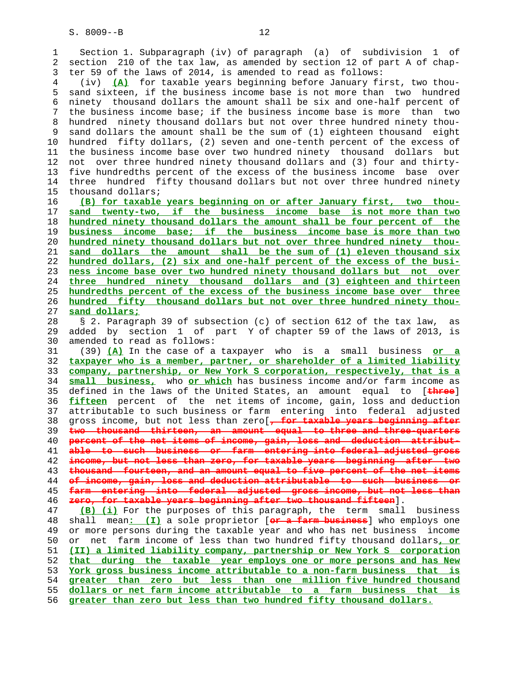1 Section 1. Subparagraph (iv) of paragraph (a) of subdivision 1 of 2 section 210 of the tax law, as amended by section 12 of part A of chap- 3 ter 59 of the laws of 2014, is amended to read as follows: 4 (iv) **(A)** for taxable years beginning before January first, two thou- 5 sand sixteen, if the business income base is not more than two hundred 6 ninety thousand dollars the amount shall be six and one-half percent of 7 the business income base; if the business income base is more than two 8 hundred ninety thousand dollars but not over three hundred ninety thou- 9 sand dollars the amount shall be the sum of (1) eighteen thousand eight 10 hundred fifty dollars, (2) seven and one-tenth percent of the excess of 11 the business income base over two hundred ninety thousand dollars but 12 not over three hundred ninety thousand dollars and (3) four and thirty- 13 five hundredths percent of the excess of the business income base over 14 three hundred fifty thousand dollars but not over three hundred ninety 15 thousand dollars; 16 **(B) for taxable years beginning on or after January first, two thou-** 17 **sand twenty-two, if the business income base is not more than two** 18 **hundred ninety thousand dollars the amount shall be four percent of the** 19 **business income base; if the business income base is more than two** 20 **hundred ninety thousand dollars but not over three hundred ninety thou-** 21 **sand dollars the amount shall be the sum of (1) eleven thousand six** 22 **hundred dollars, (2) six and one-half percent of the excess of the busi-** 23 **ness income base over two hundred ninety thousand dollars but not over** 24 **three hundred ninety thousand dollars and (3) eighteen and thirteen** 25 **hundredths percent of the excess of the business income base over three** 26 **hundred fifty thousand dollars but not over three hundred ninety thou-** 27 **sand dollars;** 28 § 2. Paragraph 39 of subsection (c) of section 612 of the tax law, as 29 added by section 1 of part Y of chapter 59 of the laws of 2013, is 30 amended to read as follows: 31 (39) **(A)** In the case of a taxpayer who is a small business **or a** 32 **taxpayer who is a member, partner, or shareholder of a limited liability** 33 **company, partnership, or New York S corporation, respectively, that is a** 34 **small business,** who **or which** has business income and/or farm income as 35 defined in the laws of the United States, an amount equal to [**three**] 36 **fifteen** percent of the net items of income, gain, loss and deduction 37 attributable to such business or farm entering into federal adjusted 38 gross income, but not less than zero[**, for taxable years beginning after** 39 **two thousand thirteen, an amount equal to three and three-quarters** 40 **percent of the net items of income, gain, loss and deduction attribut-** 41 **able to such business or farm entering into federal adjusted gross** 42 **income, but not less than zero, for taxable years beginning after two** 43 **thousand fourteen, and an amount equal to five percent of the net items** 44 **of income, gain, loss and deduction attributable to such business or** 45 **farm entering into federal adjusted gross income, but not less than** 46 **zero, for taxable years beginning after two thousand fifteen**]. 47 **(B) (i)** For the purposes of this paragraph, the term small business 48 shall mean**: (I)** a sole proprietor [**or a farm business**] who employs one 49 or more persons during the taxable year and who has net business income 50 or net farm income of less than two hundred fifty thousand dollars**, or** 51 **(II) a limited liability company, partnership or New York S corporation** 52 **that during the taxable year employs one or more persons and has New** 53 **York gross business income attributable to a non-farm business that is** 54 **greater than zero but less than one million five hundred thousand** 55 **dollars or net farm income attributable to a farm business that is**

56 **greater than zero but less than two hundred fifty thousand dollars.**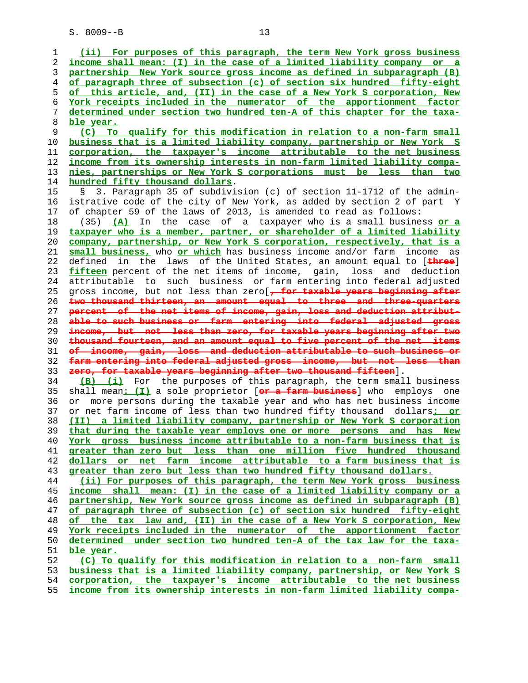**(ii) For purposes of this paragraph, the term New York gross business income shall mean: (I) in the case of a limited liability company or a partnership New York source gross income as defined in subparagraph (B) of paragraph three of subsection (c) of section six hundred fifty-eight of this article, and, (II) in the case of a New York S corporation, New York receipts included in the numerator of the apportionment factor determined under section two hundred ten-A of this chapter for the taxa- ble year. (C) To qualify for this modification in relation to a non-farm small business that is a limited liability company, partnership or New York S corporation, the taxpayer's income attributable to the net business income from its ownership interests in non-farm limited liability compa- nies, partnerships or New York S corporations must be less than two hundred fifty thousand dollars**. 15 § 3. Paragraph 35 of subdivision (c) of section 11-1712 of the admin- 16 istrative code of the city of New York, as added by section 2 of part Y 17 of chapter 59 of the laws of 2013, is amended to read as follows: 18 (35) **(A)** In the case of a taxpayer who is a small business **or a taxpayer who is a member, partner, or shareholder of a limited liability company, partnership, or New York S corporation, respectively, that is a**

**small business,** who **or which** has business income and/or farm income as 22 defined in the laws of the United States, an amount equal to [**three**] **fifteen** percent of the net items of income, gain, loss and deduction 24 attributable to such business or farm entering into federal adjusted 25 gross income, but not less than zero[**, for taxable years beginning after two thousand thirteen, an amount equal to three and three-quarters percent of the net items of income, gain, loss and deduction attribut- able to such business or farm entering into federal adjusted gross income, but not less than zero, for taxable years beginning after two thousand fourteen, and an amount equal to five percent of the net items of income, gain, loss and deduction attributable to such business or farm entering into federal adjusted gross income, but not less than zero, for taxable years beginning after two thousand fifteen**].

**(B) (i)** For the purposes of this paragraph, the term small business 35 shall mean**: (I)** a sole proprietor [**or a farm business**] who employs one 36 or more persons during the taxable year and who has net business income 37 or net farm income of less than two hundred fifty thousand dollars**; or (II) a limited liability company, partnership or New York S corporation that during the taxable year employs one or more persons and has New York gross business income attributable to a non-farm business that is greater than zero but less than one million five hundred thousand dollars or net farm income attributable to a farm business that is greater than zero but less than two hundred fifty thousand dollars.**

**(ii) For purposes of this paragraph, the term New York gross business income shall mean: (I) in the case of a limited liability company or a partnership, New York source gross income as defined in subparagraph (B) of paragraph three of subsection (c) of section six hundred fifty-eight of the tax law and, (II) in the case of a New York S corporation, New York receipts included in the numerator of the apportionment factor determined under section two hundred ten-A of the tax law for the taxa- ble year.**

**(C) To qualify for this modification in relation to a non-farm small business that is a limited liability company, partnership, or New York S corporation, the taxpayer's income attributable to the net business income from its ownership interests in non-farm limited liability compa-**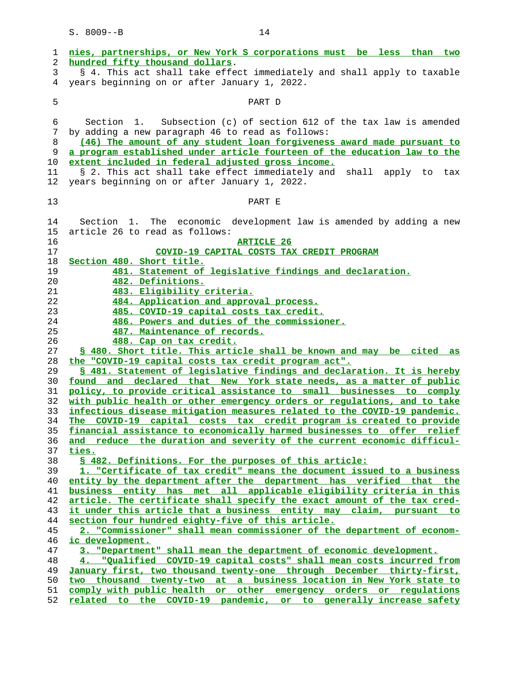|    | nies, partnerships, or New York S corporations must be less than two     |
|----|--------------------------------------------------------------------------|
| 1  |                                                                          |
| 2  | hundred fifty thousand dollars.                                          |
| 3  | § 4. This act shall take effect immediately and shall apply to taxable   |
| 4  | years beginning on or after January 1, 2022.                             |
|    |                                                                          |
| 5  | PART D                                                                   |
|    |                                                                          |
| 6  | Subsection (c) of section 612 of the tax law is amended<br>Section 1.    |
| 7  | by adding a new paragraph 46 to read as follows:                         |
| 8  | (46) The amount of any student loan forgiveness award made pursuant to   |
| 9  | a program established under article fourteen of the education law to the |
| 10 | extent included in federal adjusted gross income.                        |
| 11 | § 2. This act shall take effect immediately and shall apply to tax       |
| 12 | years beginning on or after January 1, 2022.                             |
|    |                                                                          |
| 13 | PART E                                                                   |
|    |                                                                          |
| 14 | Section 1. The economic development law is amended by adding a new       |
| 15 | article 26 to read as follows:                                           |
| 16 | <b>ARTICLE 26</b>                                                        |
| 17 | COVID-19 CAPITAL COSTS TAX CREDIT PROGRAM                                |
| 18 | Section 480. Short title.                                                |
| 19 | 481. Statement of legislative findings and declaration.                  |
| 20 | 482. Definitions.                                                        |
| 21 | 483. Eligibility criteria.                                               |
| 22 | 484. Application and approval process.                                   |
| 23 | 485. COVID-19 capital costs tax credit.                                  |
| 24 | 486. Powers and duties of the commissioner.                              |
| 25 | 487. Maintenance of records.                                             |
| 26 | 488. Cap on tax credit.                                                  |
| 27 | \$ 480. Short title. This article shall be known and may be cited as     |
| 28 | the "COVID-19 capital costs tax credit program act".                     |
| 29 | \$ 481. Statement of legislative findings and declaration. It is hereby  |
| 30 | found and declared that New York state needs, as a matter of public      |
| 31 | policy, to provide critical assistance to small businesses to comply     |
| 32 | with public health or other emergency orders or regulations, and to take |
| 33 | infectious disease mitigation measures related to the COVID-19 pandemic. |
| 34 | The COVID-19 capital costs tax credit program is created to provide      |
| 35 | financial assistance to economically harmed businesses to offer relief   |
| 36 | and reduce the duration and severity of the current economic difficul-   |
| 37 | ties.                                                                    |
| 38 | § 482. Definitions. For the purposes of this article:                    |
| 39 | 1. "Certificate of tax credit" means the document issued to a business   |
| 40 | entity by the department after the department has verified that the      |
| 41 | business entity has met all applicable eligibility criteria in this      |
| 42 | article. The certificate shall specify the exact amount of the tax cred- |
| 43 | it under this article that a business entity may claim, pursuant to      |
| 44 | section four hundred eighty-five of this article.                        |
| 45 | 2. "Commissioner" shall mean commissioner of the department of econom-   |
| 46 | ic development.                                                          |
| 47 | 3. "Department" shall mean the department of economic development.       |
| 48 | 4. "Oualified COVID-19 capital costs" shall mean costs incurred from     |
| 49 | January first, two thousand twenty-one through December thirty-first,    |
| 50 | two thousand twenty-two at a business location in New York state to      |
| 51 | comply with public health or other emergency orders or regulations       |
| 52 | related to the COVID-19 pandemic, or to generally increase safety        |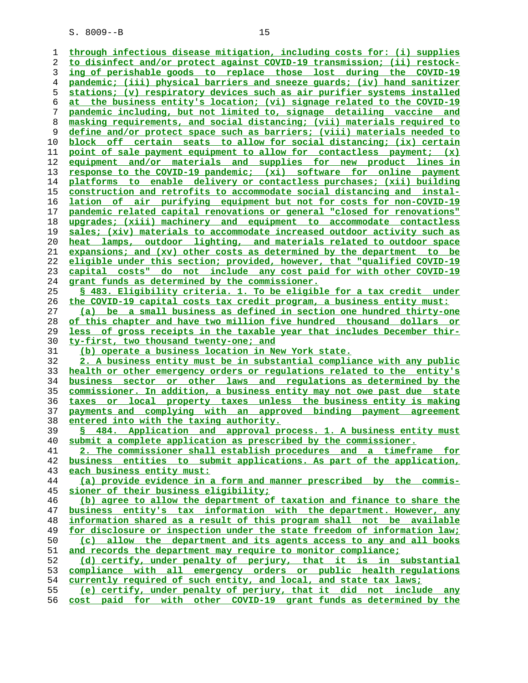**through infectious disease mitigation, including costs for: (i) supplies to disinfect and/or protect against COVID-19 transmission; (ii) restock- ing of perishable goods to replace those lost during the COVID-19 pandemic; (iii) physical barriers and sneeze guards; (iv) hand sanitizer stations; (v) respiratory devices such as air purifier systems installed at the business entity's location; (vi) signage related to the COVID-19 pandemic including, but not limited to, signage detailing vaccine and masking requirements, and social distancing; (vii) materials required to define and/or protect space such as barriers; (viii) materials needed to block off certain seats to allow for social distancing; (ix) certain point of sale payment equipment to allow for contactless payment; (x) equipment and/or materials and supplies for new product lines in response to the COVID-19 pandemic; (xi) software for online payment platforms to enable delivery or contactless purchases; (xii) building construction and retrofits to accommodate social distancing and instal- lation of air purifying equipment but not for costs for non-COVID-19 pandemic related capital renovations or general "closed for renovations" upgrades; (xiii) machinery and equipment to accommodate contactless sales; (xiv) materials to accommodate increased outdoor activity such as heat lamps, outdoor lighting, and materials related to outdoor space expansions; and (xv) other costs as determined by the department to be eligible under this section; provided, however, that "qualified COVID-19 capital costs" do not include any cost paid for with other COVID-19 grant funds as determined by the commissioner. § 483. Eligibility criteria. 1. To be eligible for a tax credit under the COVID-19 capital costs tax credit program, a business entity must: (a) be a small business as defined in section one hundred thirty-one of this chapter and have two million five hundred thousand dollars or less of gross receipts in the taxable year that includes December thir- ty-first, two thousand twenty-one; and (b) operate a business location in New York state. 2. A business entity must be in substantial compliance with any public health or other emergency orders or regulations related to the entity's business sector or other laws and regulations as determined by the commissioner. In addition, a business entity may not owe past due state taxes or local property taxes unless the business entity is making payments and complying with an approved binding payment agreement entered into with the taxing authority. § 484. Application and approval process. 1. A business entity must submit a complete application as prescribed by the commissioner. 2. The commissioner shall establish procedures and a timeframe for business entities to submit applications. As part of the application, each business entity must: (a) provide evidence in a form and manner prescribed by the commis- sioner of their business eligibility; (b) agree to allow the department of taxation and finance to share the business entity's tax information with the department. However, any information shared as a result of this program shall not be available for disclosure or inspection under the state freedom of information law; (c) allow the department and its agents access to any and all books and records the department may require to monitor compliance; (d) certify, under penalty of perjury, that it is in substantial compliance with all emergency orders or public health regulations currently required of such entity, and local, and state tax laws; (e) certify, under penalty of perjury, that it did not include any cost paid for with other COVID-19 grant funds as determined by the**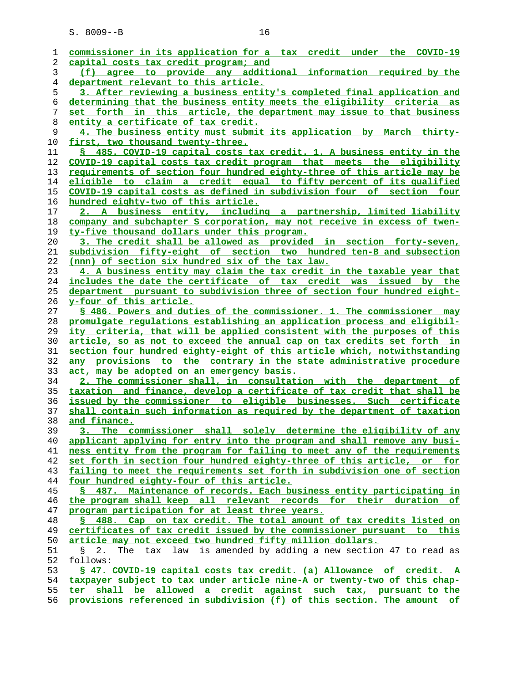| 1              | commissioner in its application for a tax credit under the COVID-19                               |
|----------------|---------------------------------------------------------------------------------------------------|
| 2              | capital costs tax credit program; and                                                             |
| 3              | (f) agree to provide any additional information required by the                                   |
| $\overline{4}$ | department relevant to this article.                                                              |
| 5              | 3. After reviewing a business entity's completed final application and                            |
| 6              | determining that the business entity meets the eligibility criteria as                            |
| 7              | set forth in this article, the department may issue to that business                              |
| 8              | entity a certificate of tax credit.                                                               |
| 9              | 4. The business entity must submit its application by March thirty-                               |
| 10             | first, two thousand twenty-three.                                                                 |
| 11             | § 485. COVID-19 capital costs tax credit. 1. A business entity in the                             |
| 12             | COVID-19 capital costs tax credit program that meets the eligibility                              |
| 13             | requirements of section four hundred eighty-three of this article may be                          |
| 14             | eligible to claim a credit equal to fifty percent of its qualified                                |
| 15             | COVID-19 capital costs as defined in subdivision four of section four                             |
| 16             | hundred eighty-two of this article.                                                               |
| 17             | 2. A business entity, including a partnership, limited liability                                  |
| 18             | company and subchapter S corporation, may not receive in excess of twen-                          |
| 19             | ty-five thousand dollars under this program.                                                      |
| 20             | 3. The credit shall be allowed as provided in section forty-seven,                                |
| 21             | subdivision fifty-eight of section two hundred ten-B and subsection                               |
| 22             | (nnn) of section six hundred six of the tax law.                                                  |
| 23             | 4. A business entity may claim the tax credit in the taxable year that                            |
| 24             | includes the date the certificate of tax credit was issued by the                                 |
| 25             | department pursuant to subdivision three of section four hundred eight-                           |
| 26             | <u>y-four of this article.</u>                                                                    |
| 27             | \$ 486. Powers and duties of the commissioner. 1. The commissioner may                            |
| 28             | promulgate regulations establishing an application process and eligibil-                          |
| 29             | ity criteria, that will be applied consistent with the purposes of this                           |
| 30             | article, so as not to exceed the annual cap on tax credits set forth in                           |
| 31             | section four hundred eighty-eight of this article which, notwithstanding                          |
| 32             | any provisions to the contrary in the state administrative procedure                              |
| 33             | act, may be adopted on an emergency basis.                                                        |
| 34             | 2. The commissioner shall, in consultation with the department of                                 |
| 35             | taxation and finance, develop a certificate of tax credit that shall be                           |
| 36             | issued by the commissioner to eligible businesses. Such certificate                               |
| 37             | shall contain such information as required by the department of taxation                          |
| 38             | and finance.                                                                                      |
| 39             | shall solely determine the eligibility of any<br><u>commissioner</u><br><u>3. _</u><br><u>The</u> |
| 40             | applicant applying for entry into the program and shall remove any busi-                          |
| 41             | ness entity from the program for failing to meet any of the requirements                          |
| 42             | set forth in section four hundred eighty-three of this article, or for                            |
| 43             | failing to meet the requirements set forth in subdivision one of section                          |
| 44             | four hundred eighty-four of this article.                                                         |
| 45             | § 487. Maintenance of records. Each business entity participating in                              |
| 46             | the program shall keep all relevant records for their duration of                                 |
| 47             | program participation for at least three years.                                                   |
| 48             | § 488. Cap on tax credit. The total amount of tax credits listed on                               |
| 49             | certificates of tax credit issued by the commissioner pursuant to this                            |
| 50             | article may not exceed two hundred fifty million dollars.                                         |
|                |                                                                                                   |
| 51             | tax law is amended by adding a new section 47 to read as<br>The<br>Š.<br>2.                       |
| 52             | follows:                                                                                          |
| 53             | S 47. COVID-19 capital costs tax credit. (a) Allowance of credit. A                               |
| 54             | taxpayer subject to tax under article nine-A or twenty-two of this chap-                          |
| 55             | ter shall be allowed a credit against such tax, pursuant to the                                   |

**provisions referenced in subdivision (f) of this section. The amount of**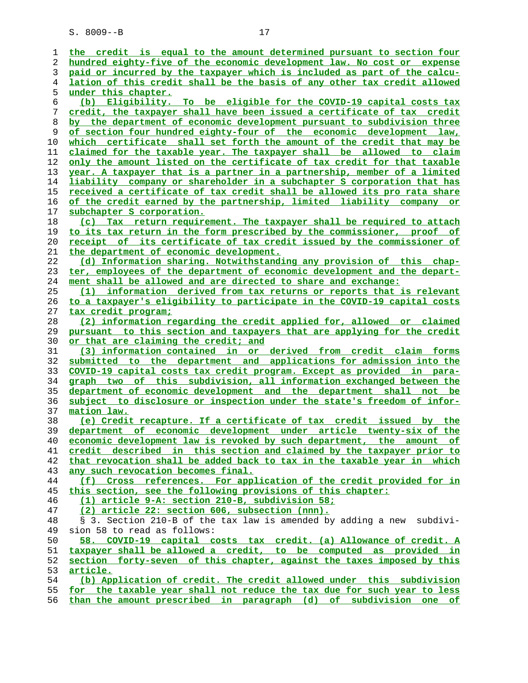|            | $S. 8009 - B$<br>17                                                                            |
|------------|------------------------------------------------------------------------------------------------|
|            | credit is equal to the amount determined pursuant to section four<br>the                       |
|            | hundred eighty-five of the economic development law. No cost or<br>expense                     |
|            | paid or incurred by the taxpayer which is included as part of the calcu-                       |
| 4          | lation of this credit shall be the basis of any other tax credit allowed                       |
| 5          | under this chapter.                                                                            |
| 6          | Eligibility. To be eligible for the COVID-19 capital costs tax<br>(b)                          |
|            | credit, the taxpayer shall have been issued a certificate of tax credit                        |
| 8          | by the department of economic development pursuant to subdivision three                        |
| 9          | of section four hundred eighty-four of the economic development law,                           |
| 10         | certificate shall set forth the amount of the credit that may be<br>which                      |
| 11         | claimed for the taxable year. The taxpayer shall be allowed to claim                           |
| 12         | only the amount listed on the certificate of tax credit for that taxable                       |
| 13         | year. A taxpayer that is a partner in a partnership, member of a limited                       |
| $1\Lambda$ | $1 \nightharpoonup$ bility company ar gharabolder in a qubchantor $\beta$ corporation that has |

**liability company or shareholder in a subchapter S corporation that has received a certificate of tax credit shall be allowed its pro rata share of the credit earned by the partnership, limited liability company or subchapter S corporation.**

| (c) Tax return requirement. The taxpayer shall be required to attach      |
|---------------------------------------------------------------------------|
| 19 to its tax return in the form prescribed by the commissioner, proof of |
| 20 receipt of its certificate of tax credit issued by the commissioner of |
| 21 the department of economic development.                                |

**(d) Information sharing. Notwithstanding any provision of this chap- ter, employees of the department of economic development and the depart- ment shall be allowed and are directed to share and exchange:**

**(1) information derived from tax returns or reports that is relevant to a taxpayer's eligibility to participate in the COVID-19 capital costs tax credit program;**

**(2) information regarding the credit applied for, allowed or claimed pursuant to this section and taxpayers that are applying for the credit or that are claiming the credit; and**

**(3) information contained in or derived from credit claim forms submitted to the department and applications for admission into the COVID-19 capital costs tax credit program. Except as provided in para- graph two of this subdivision, all information exchanged between the department of economic development and the department shall not be subject to disclosure or inspection under the state's freedom of infor- mation law.**

**(e) Credit recapture. If a certificate of tax credit issued by the department of economic development under article twenty-six of the economic development law is revoked by such department, the amount of credit described in this section and claimed by the taxpayer prior to that revocation shall be added back to tax in the taxable year in which any such revocation becomes final.**

**(f) Cross references. For application of the credit provided for in this section, see the following provisions of this chapter:**

**(1) article 9-A: section 210-B, subdivision 58;**

**(2) article 22: section 606, subsection (nnn).**

 48 § 3. Section 210-B of the tax law is amended by adding a new subdivi- 49 sion 58 to read as follows:<br>50 58. COVID-19 capital c

**58. COVID-19 capital costs tax credit. (a) Allowance of credit. A taxpayer shall be allowed a credit, to be computed as provided in section forty-seven of this chapter, against the taxes imposed by this article.**

|  | (b) Application of credit. The credit allowed under this subdivision       |  |  |  |  |  |  |
|--|----------------------------------------------------------------------------|--|--|--|--|--|--|
|  | 55 for the taxable year shall not reduce the tax due for such year to less |  |  |  |  |  |  |

**than the amount prescribed in paragraph (d) of subdivision one of**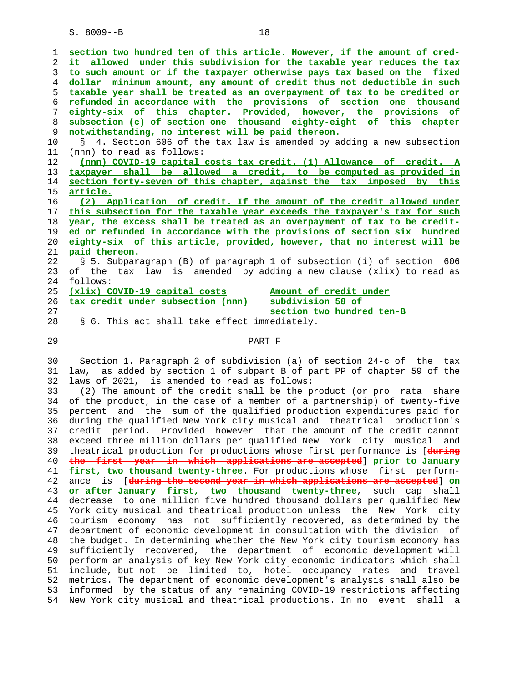| $\mathbf{1}$ | section two hundred ten of this article. However, if the amount of cred- |
|--------------|--------------------------------------------------------------------------|
| 2            | it allowed under this subdivision for the taxable year reduces the tax   |
| 3            | to such amount or if the taxpayer otherwise pays tax based on the fixed  |
| 4            | dollar minimum amount, any amount of credit thus not deductible in such  |
| 5.           | taxable year shall be treated as an overpayment of tax to be credited or |
| 6            | refunded in accordance with the provisions of section one thousand       |
| 7            | eighty-six of this chapter. Provided, however, the provisions of         |
| 8            | subsection (c) of section one thousand eighty-eight of this chapter      |
| 9            | notwithstanding, no interest will be paid thereon.                       |
| 10           | § 4. Section 606 of the tax law is amended by adding a new subsection    |
| 11           | (nnn) to read as follows:                                                |
| 12           | (nnn) COVID-19 capital costs tax credit. (1) Allowance of credit. A      |
| 13           | taxpayer shall be allowed a credit, to be computed as provided in        |
| 14           | section forty-seven of this chapter, against the tax imposed by this     |
| 15           | article.                                                                 |
| 16           | (2) Application of credit. If the amount of the credit allowed under     |
| 17           | this subsection for the taxable year exceeds the taxpayer's tax for such |
| 18           | year, the excess shall be treated as an overpayment of tax to be credit- |
| 19           | ed or refunded in accordance with the provisions of section six hundred  |
| 20           | eighty-six of this article, provided, however, that no interest will be  |
| 21           | paid thereon.                                                            |
| 22           | S 5. Subparagraph (B) of paragraph 1 of subsection (i) of section 606    |
| 23           | of the tax law is amended by adding a new clause (xlix) to read as       |
| 24           | follows:                                                                 |
| 25           | (xlix) COVID-19 capital costs<br>Amount of credit under                  |
| 26           | tax credit under subsection (nnn)<br>subdivision 58 of                   |
| 27           | section two hundred ten-B                                                |
| 28           | § 6. This act shall take effect immediately.                             |
| 29           | PART F                                                                   |

 30 Section 1. Paragraph 2 of subdivision (a) of section 24-c of the tax 31 law, as added by section 1 of subpart B of part PP of chapter 59 of the 32 laws of 2021, is amended to read as follows:

 33 (2) The amount of the credit shall be the product (or pro rata share 34 of the product, in the case of a member of a partnership) of twenty-five 35 percent and the sum of the qualified production expenditures paid for 36 during the qualified New York city musical and theatrical production's 37 credit period. Provided however that the amount of the credit cannot 38 exceed three million dollars per qualified New York city musical and 39 theatrical production for productions whose first performance is [**during** 40 **the first year in which applications are accepted**] **prior to January** 41 **first, two thousand twenty-three**. For productions whose first perform- 42 ance is [**during the second year in which applications are accepted**] **on** 43 **or after January first, two thousand twenty-three**, such cap shall 44 decrease to one million five hundred thousand dollars per qualified New 45 York city musical and theatrical production unless the New York city 46 tourism economy has not sufficiently recovered, as determined by the 47 department of economic development in consultation with the division of 48 the budget. In determining whether the New York city tourism economy has 49 sufficiently recovered, the department of economic development will 50 perform an analysis of key New York city economic indicators which shall 51 include, but not be limited to, hotel occupancy rates and travel 52 metrics. The department of economic development's analysis shall also be 53 informed by the status of any remaining COVID-19 restrictions affecting 54 New York city musical and theatrical productions. In no event shall a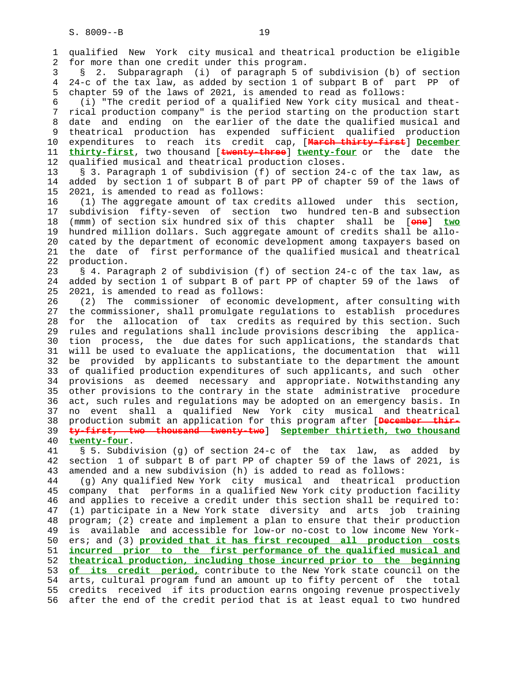1 qualified New York city musical and theatrical production be eligible 2 for more than one credit under this program. 3 § 2. Subparagraph (i) of paragraph 5 of subdivision (b) of section 4 24-c of the tax law, as added by section 1 of subpart B of part PP of 5 chapter 59 of the laws of 2021, is amended to read as follows: 6 (i) "The credit period of a qualified New York city musical and theat- 7 rical production company" is the period starting on the production start 8 date and ending on the earlier of the date the qualified musical and 9 theatrical production has expended sufficient qualified production<br>10 expenditures to reach its credit cap, [Narch thirty-first] December 10 expenditures to reach its credit cap, [**March thirty-first**] **December** 11 **thirty-first**, two thousand [**twenty-three**] **twenty-four** or the date the 12 qualified musical and theatrical production closes. 13 § 3. Paragraph 1 of subdivision (f) of section 24-c of the tax law, as 14 added by section 1 of subpart B of part PP of chapter 59 of the laws of 15 2021, is amended to read as follows: 16 (1) The aggregate amount of tax credits allowed under this section, 17 subdivision fifty-seven of section two hundred ten-B and subsection 18 (mmm) of section six hundred six of this chapter shall be [**one**] **two** 19 hundred million dollars. Such aggregate amount of credits shall be allo- 20 cated by the department of economic development among taxpayers based on 21 the date of first performance of the qualified musical and theatrical 22 production. 23 § 4. Paragraph 2 of subdivision (f) of section 24-c of the tax law, as 24 added by section 1 of subpart B of part PP of chapter 59 of the laws of 25 2021, is amended to read as follows: 26 (2) The commissioner of economic development, after consulting with 27 the commissioner, shall promulgate regulations to establish procedures 28 for the allocation of tax credits as required by this section. Such 29 rules and regulations shall include provisions describing the applica- 30 tion process, the due dates for such applications, the standards that 31 will be used to evaluate the applications, the documentation that will 32 be provided by applicants to substantiate to the department the amount 33 of qualified production expenditures of such applicants, and such other 34 provisions as deemed necessary and appropriate. Notwithstanding any 35 other provisions to the contrary in the state administrative procedure 36 act, such rules and regulations may be adopted on an emergency basis. In 37 no event shall a qualified New York city musical and theatrical 38 production submit an application for this program after [**December thir-** 39 **ty-first, two thousand twenty-two**] **September thirtieth, two thousand** 40 **twenty-four**. 41 § 5. Subdivision (g) of section 24-c of the tax law, as added by 42 section 1 of subpart B of part PP of chapter 59 of the laws of 2021, is 43 amended and a new subdivision (h) is added to read as follows: 44 (g) Any qualified New York city musical and theatrical production 45 company that performs in a qualified New York city production facility 46 and applies to receive a credit under this section shall be required to: 47 (1) participate in a New York state diversity and arts job training 48 program; (2) create and implement a plan to ensure that their production 49 is available and accessible for low-or no-cost to low income New York- 50 ers; and (3) **provided that it has first recouped all production costs**

 52 **theatrical production, including those incurred prior to the beginning** 53 **of its credit period,** contribute to the New York state council on the 54 arts, cultural program fund an amount up to fifty percent of the total 55 credits received if its production earns ongoing revenue prospectively 56 after the end of the credit period that is at least equal to two hundred

51 **incurred prior to the first performance of the qualified musical and**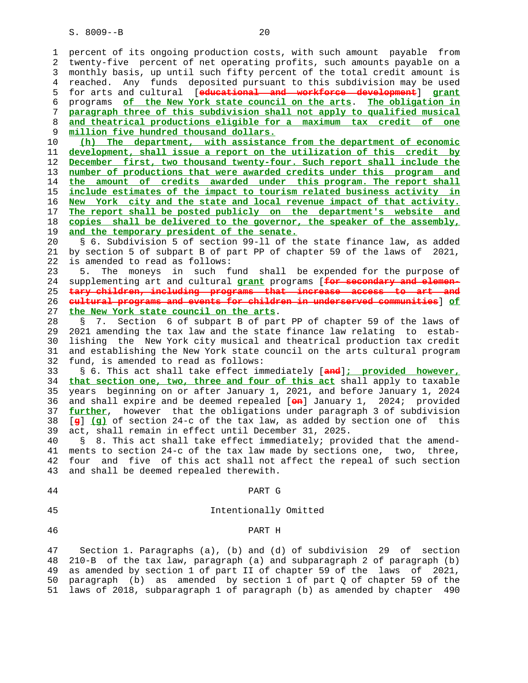1 percent of its ongoing production costs, with such amount payable from 2 twenty-five percent of net operating profits, such amounts payable on a 3 monthly basis, up until such fifty percent of the total credit amount is 4 reached. Any funds deposited pursuant to this subdivision may be used 5 for arts and cultural [**educational and workforce development**] **grant** 6 programs **of the New York state council on the arts**. **The obligation in** 7 **paragraph three of this subdivision shall not apply to qualified musical** 8 **and theatrical productions eligible for a maximum tax credit of one** 9 **million five hundred thousand dollars.** 10 **(h) The department, with assistance from the department of economic** 11 **development, shall issue a report on the utilization of this credit by** 12 **December first, two thousand twenty-four. Such report shall include the** 13 **number of productions that were awarded credits under this program and** 14 **the amount of credits awarded under this program. The report shall** 15 **include estimates of the impact to tourism related business activity in** 16 **New York city and the state and local revenue impact of that activity.** 17 **The report shall be posted publicly on the department's website and** 18 **copies shall be delivered to the governor, the speaker of the assembly,** 19 **and the temporary president of the senate.** 20 § 6. Subdivision 5 of section 99-ll of the state finance law, as added 21 by section 5 of subpart B of part PP of chapter 59 of the laws of 2021, 22 is amended to read as follows: 23 5. The moneys in such fund shall be expended for the purpose of 24 supplementing art and cultural **grant** programs [**for secondary and elemen-** 25 **tary children, including programs that increase access to art and** 26 **cultural programs and events for children in underserved communities**] **of** 27 **the New York state council on the arts**. 28 § 7. Section 6 of subpart B of part PP of chapter 59 of the laws of 29 2021 amending the tax law and the state finance law relating to estab- 30 lishing the New York city musical and theatrical production tax credit 31 and establishing the New York state council on the arts cultural program 32 fund, is amended to read as follows: 33 § 6. This act shall take effect immediately [**and**]**; provided however,** 34 **that section one, two, three and four of this act** shall apply to taxable 35 years beginning on or after January 1, 2021, and before January 1, 2024 36 and shall expire and be deemed repealed [**on**] January 1, 2024; provided 37 **further**, however that the obligations under paragraph 3 of subdivision 38 [**g**] **(g)** of section 24-c of the tax law, as added by section one of this 39 act, shall remain in effect until December 31, 2025. 40 § 8. This act shall take effect immediately; provided that the amend- 41 ments to section 24-c of the tax law made by sections one, two, three, 42 four and five of this act shall not affect the repeal of such section 43 and shall be deemed repealed therewith. 44 PART G 45 Intentionally Omitted 46 PART H

 47 Section 1. Paragraphs (a), (b) and (d) of subdivision 29 of section 48 210-B of the tax law, paragraph (a) and subparagraph 2 of paragraph (b) 49 as amended by section 1 of part II of chapter 59 of the laws of 2021, 50 paragraph (b) as amended by section 1 of part Q of chapter 59 of the 51 laws of 2018, subparagraph 1 of paragraph (b) as amended by chapter 490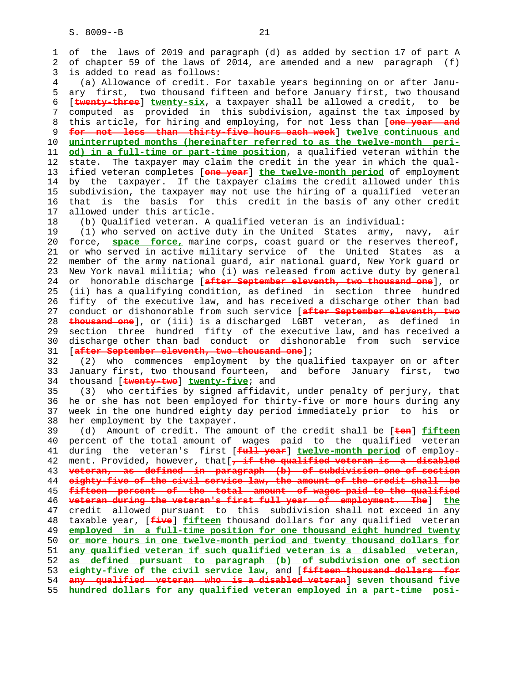1 of the laws of 2019 and paragraph (d) as added by section 17 of part A 2 of chapter 59 of the laws of 2014, are amended and a new paragraph (f) 3 is added to read as follows: 4 (a) Allowance of credit. For taxable years beginning on or after Janu- 5 ary first, two thousand fifteen and before January first, two thousand 6 [**twenty-three**] **twenty-six**, a taxpayer shall be allowed a credit, to be 7 computed as provided in this subdivision, against the tax imposed by 8 this article, for hiring and employing, for not less than [**one year and** 9 **for not less than thirty-five hours each week**] **twelve continuous and** uninterrupted months (hereinafter referred to as the twelve-month peri- 11 **od) in a full-time or part-time position**, a qualified veteran within the 12 state. The taxpayer may claim the credit in the year in which the qual- 13 ified veteran completes [**one year**] **the twelve-month period** of employment 14 by the taxpayer. If the taxpayer claims the credit allowed under this 15 subdivision, the taxpayer may not use the hiring of a qualified veteran 16 that is the basis for this credit in the basis of any other credit 17 allowed under this article. 18 (b) Qualified veteran. A qualified veteran is an individual: 19 (1) who served on active duty in the United States army, navy, air 20 force, **space force,** marine corps, coast guard or the reserves thereof, 21 or who served in active military service of the United States as a 22 member of the army national guard, air national guard, New York guard or 23 New York naval militia; who (i) was released from active duty by general 24 or honorable discharge [**after September eleventh, two thousand one**], or 25 (ii) has a qualifying condition, as defined in section three hundred 26 fifty of the executive law, and has received a discharge other than bad 27 conduct or dishonorable from such service [**after September eleventh, two** 28 **thousand one**], or (iii) is a discharged LGBT veteran, as defined in 29 section three hundred fifty of the executive law, and has received a 30 discharge other than bad conduct or dishonorable from such service 31 [**after September eleventh, two thousand one**]; 32 (2) who commences employment by the qualified taxpayer on or after 33 January first, two thousand fourteen, and before January first, two 34 thousand [**twenty-two**] **twenty-five**; and 35 (3) who certifies by signed affidavit, under penalty of perjury, that 36 he or she has not been employed for thirty-five or more hours during any 37 week in the one hundred eighty day period immediately prior to his or 38 her employment by the taxpayer. 39 (d) Amount of credit. The amount of the credit shall be [**ten**] **fifteen** 40 percent of the total amount of wages paid to the qualified veteran 41 during the veteran's first [**full year**] **twelve-month period** of employ- 42 ment. Provided, however, that[**, if the qualified veteran is a disabled** 43 **veteran, as defined in paragraph (b) of subdivision one of section** 44 **eighty-five of the civil service law, the amount of the credit shall be** 45 **fifteen percent of the total amount of wages paid to the qualified** 46 **veteran during the veteran's first full year of employment. The**] **the** 47 credit allowed pursuant to this subdivision shall not exceed in any 48 taxable year, [**five**] **fifteen** thousand dollars for any qualified veteran 49 **employed in a full-time position for one thousand eight hundred twenty** 50 **or more hours in one twelve-month period and twenty thousand dollars for** 51 **any qualified veteran if such qualified veteran is a disabled veteran,** 52 **as defined pursuant to paragraph (b) of subdivision one of section** 53 **eighty-five of the civil service law,** and [**fifteen thousand dollars for** 54 **any qualified veteran who is a disabled veteran**] **seven thousand five** 55 **hundred dollars for any qualified veteran employed in a part-time posi-**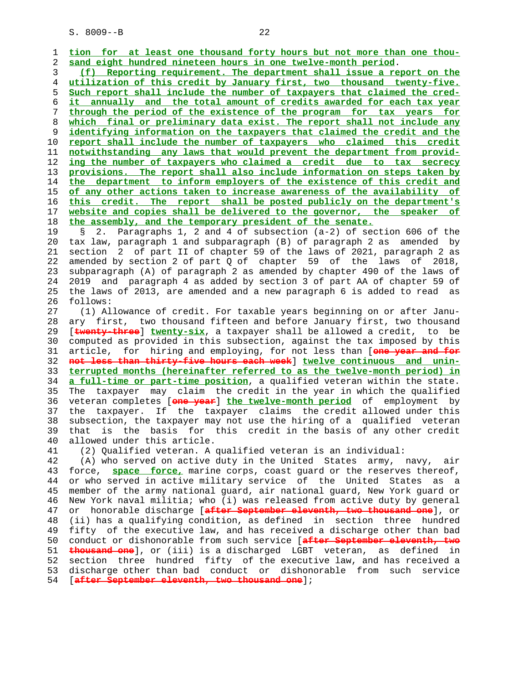1 **tion for at least one thousand forty hours but not more than one thou-**

**sand eight hundred nineteen hours in one twelve-month period**. **(f) Reporting requirement. The department shall issue a report on the utilization of this credit by January first, two thousand twenty-five. Such report shall include the number of taxpayers that claimed the cred- it annually and the total amount of credits awarded for each tax year through the period of the existence of the program for tax years for which final or preliminary data exist. The report shall not include any identifying information on the taxpayers that claimed the credit and the report shall include the number of taxpayers who claimed this credit notwithstanding any laws that would prevent the department from provid- ing the number of taxpayers who claimed a credit due to tax secrecy provisions. The report shall also include information on steps taken by the department to inform employers of the existence of this credit and of any other actions taken to increase awareness of the availability of this credit. The report shall be posted publicly on the department's website and copies shall be delivered to the governor, the speaker of the assembly, and the temporary president of the senate.**

 19 § 2. Paragraphs 1, 2 and 4 of subsection (a-2) of section 606 of the 20 tax law, paragraph 1 and subparagraph (B) of paragraph 2 as amended by 21 section 2 of part II of chapter 59 of the laws of 2021, paragraph 2 as 22 amended by section 2 of part Q of chapter 59 of the laws of 2018, 23 subparagraph (A) of paragraph 2 as amended by chapter 490 of the laws of 24 2019 and paragraph 4 as added by section 3 of part AA of chapter 59 of 25 the laws of 2013, are amended and a new paragraph 6 is added to read as 26 follows:

 27 (1) Allowance of credit. For taxable years beginning on or after Janu- 28 ary first, two thousand fifteen and before January first, two thousand 29 [**twenty-three**] **twenty-six**, a taxpayer shall be allowed a credit, to be 30 computed as provided in this subsection, against the tax imposed by this 31 article, for hiring and employing, for not less than [**one year and for** 32 **not less than thirty-five hours each week**] **twelve continuous and unin-** 33 **terrupted months (hereinafter referred to as the twelve-month period) in** 34 **a full-time or part-time position**, a qualified veteran within the state. 35 The taxpayer may claim the credit in the year in which the qualified 36 veteran completes [**one year**] **the twelve-month period** of employment by 37 the taxpayer. If the taxpayer claims the credit allowed under this 38 subsection, the taxpayer may not use the hiring of a qualified veteran 39 that is the basis for this credit in the basis of any other credit 40 allowed under this article.

41 (2) Qualified veteran. A qualified veteran is an individual:

 42 (A) who served on active duty in the United States army, navy, air 43 force, **space force,** marine corps, coast guard or the reserves thereof, 44 or who served in active military service of the United States as a 45 member of the army national guard, air national guard, New York guard or 46 New York naval militia; who (i) was released from active duty by general 47 or honorable discharge [**after September eleventh, two thousand one**], or 48 (ii) has a qualifying condition, as defined in section three hundred 49 fifty of the executive law, and has received a discharge other than bad 50 conduct or dishonorable from such service [**after September eleventh, two** 51 **thousand one**], or (iii) is a discharged LGBT veteran, as defined in 52 section three hundred fifty of the executive law, and has received a 53 discharge other than bad conduct or dishonorable from such service 54 [**after September eleventh, two thousand one**];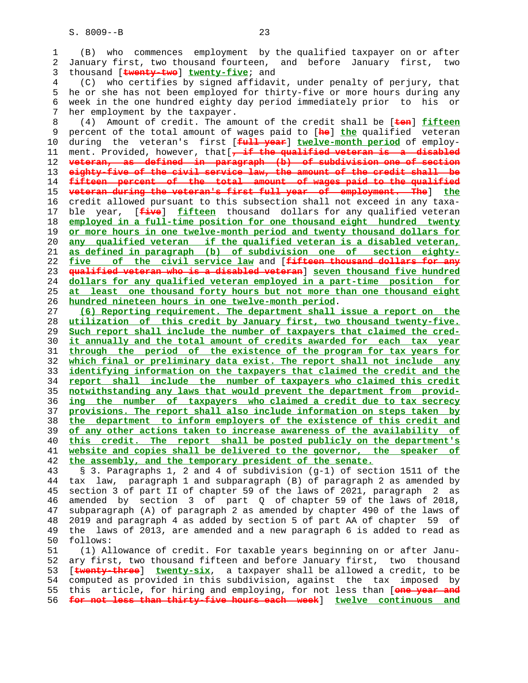| 1        | (B) who commences employment by the qualified taxpayer on or after                                                                              |
|----------|-------------------------------------------------------------------------------------------------------------------------------------------------|
| 2        | January first, two thousand fourteen, and before January first, two                                                                             |
|          |                                                                                                                                                 |
| 3        | thousand [twenty-two] twenty-five; and                                                                                                          |
| 4        | (C) who certifies by signed affidavit, under penalty of perjury, that                                                                           |
| 5        | he or she has not been employed for thirty-five or more hours during any                                                                        |
| 6        | week in the one hundred eighty day period immediately prior to his or                                                                           |
| 7        | her employment by the taxpayer.                                                                                                                 |
| 8        | Amount of credit. The amount of the credit shall be [ten] fifteen<br>(4)                                                                        |
| 9        | percent of the total amount of wages paid to [he] the qualified veteran                                                                         |
|          |                                                                                                                                                 |
| 10       | during the veteran's first [full year] twelve-month period of employ-                                                                           |
| 11       | ment. Provided, however, that [, if the qualified veteran is a disabled                                                                         |
| 12       | veteran, as defined in paragraph (b) of subdivision one of section                                                                              |
| 13       | eighty-five of the civil service law, the amount of the credit shall be                                                                         |
| 14       | fifteen percent of the total amount of wages paid to the qualified                                                                              |
| 15       | veteran during the veteran's first full year of employment. The I the                                                                           |
| 16       | credit allowed pursuant to this subsection shall not exceed in any taxa-                                                                        |
|          |                                                                                                                                                 |
| 17       | ble year, [ <i>five</i> ] fifteen thousand dollars for any qualified veteran                                                                    |
| 18       | employed in a full-time position for one thousand eight hundred twenty                                                                          |
| 19       | or more hours in one twelve-month period and twenty thousand dollars for                                                                        |
| 20       | any qualified veteran if the qualified veteran is a disabled veteran,                                                                           |
| 21       | as defined in paragraph (b) of subdivision one of section eighty-                                                                               |
| 22       | five of the civil service law and [fifteen thousand dollars for any                                                                             |
| 23       | qualified veteran who is a disabled veteran] seven thousand five hundred                                                                        |
| 24       | dollars for any qualified veteran employed in a part-time position for                                                                          |
| 25       | at least one thousand forty hours but not more than one thousand eight                                                                          |
|          |                                                                                                                                                 |
| 26       | hundred nineteen hours in one twelve-month period.                                                                                              |
| 27       | (6) Reporting requirement. The department shall issue a report on the                                                                           |
| 28       | utilization of this credit by January first, two thousand twenty-five.                                                                          |
| 29       | Such report shall include the number of taxpayers that claimed the cred-                                                                        |
| 30       | it annually and the total amount of credits awarded for each tax year                                                                           |
| 31       | through the period of the existence of the program for tax years for                                                                            |
| 32       | which final or preliminary data exist. The report shall not include any                                                                         |
| 33       | identifying information on the taxpayers that claimed the credit and the                                                                        |
| 34       | report shall include the number of taxpayers who claimed this credit                                                                            |
| 35       | notwithstanding any laws that would prevent the department from provid-                                                                         |
|          |                                                                                                                                                 |
| 36       | ing the number of taxpayers who claimed a credit due to tax secrecy                                                                             |
| 37       | provisions. The report shall also include information on steps taken by                                                                         |
| 38       | the department to inform employers of the existence of this credit and                                                                          |
| 39       | of any other actions taken to increase awareness of the availability of                                                                         |
| 40       | this credit. The report shall be posted publicly on the department's                                                                            |
| 41       | website and copies shall be delivered to the governor, the speaker of                                                                           |
| 42       | the assembly, and the temporary president of the senate.                                                                                        |
| 43       | § 3. Paragraphs 1, 2 and 4 of subdivision (q-1) of section 1511 of the                                                                          |
| 44       | tax law, paragraph 1 and subparagraph (B) of paragraph 2 as amended by                                                                          |
|          |                                                                                                                                                 |
| 45       | section 3 of part II of chapter 59 of the laws of 2021, paragraph<br>$2 \text{ as}$                                                             |
| 46       | amended by section 3 of part Q of chapter 59 of the laws of 2018,                                                                               |
| 47       | subparagraph (A) of paragraph 2 as amended by chapter 490 of the laws of                                                                        |
| 48       | 2019 and paragraph 4 as added by section 5 of part AA of chapter<br>59 of                                                                       |
| 49       | laws of 2013, are amended and a new paragraph 6 is added to read as<br>the                                                                      |
| 50       | follows:                                                                                                                                        |
| 51       | (1) Allowance of credit. For taxable years beginning on or after Janu-                                                                          |
| 52       | ary first, two thousand fifteen and before January first, two thousand                                                                          |
| 53       | [twenty-three] twenty-six, a taxpayer shall be allowed a credit, to be                                                                          |
|          |                                                                                                                                                 |
| 54       | computed as provided in this subdivision, against the tax imposed by                                                                            |
| 55<br>56 | this article, for hiring and employing, for not less than [one year and<br>for not less than thirty-five hours each week] twelve continuous and |
|          |                                                                                                                                                 |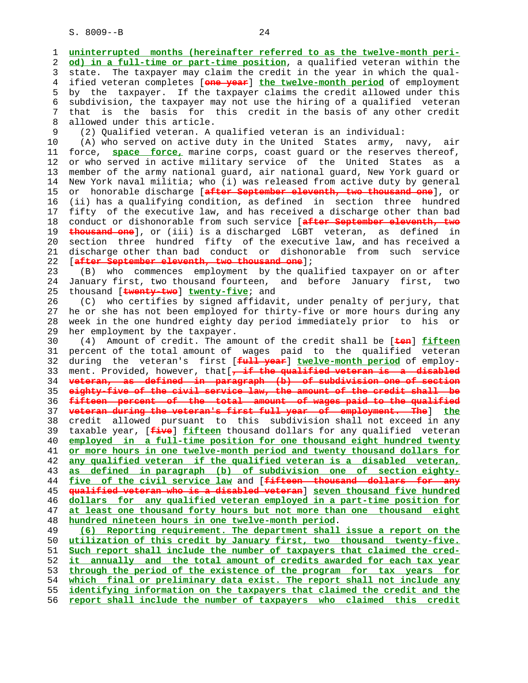1 **uninterrupted months (hereinafter referred to as the twelve-month peri-** 2 **od) in a full-time or part-time position**, a qualified veteran within the 3 state. The taxpayer may claim the credit in the year in which the qual- 4 ified veteran completes [**one year**] **the twelve-month period** of employment 5 by the taxpayer. If the taxpayer claims the credit allowed under this 6 subdivision, the taxpayer may not use the hiring of a qualified veteran 7 that is the basis for this credit in the basis of any other credit 8 allowed under this article. 9 (2) Qualified veteran. A qualified veteran is an individual: 10 (A) who served on active duty in the United States army, navy, air 11 force, **space force,** marine corps, coast guard or the reserves thereof, 12 or who served in active military service of the United States as a 13 member of the army national guard, air national guard, New York guard or 14 New York naval militia; who (i) was released from active duty by general 15 or honorable discharge [**after September eleventh, two thousand one**], or 16 (ii) has a qualifying condition, as defined in section three hundred 17 fifty of the executive law, and has received a discharge other than bad 18 conduct or dishonorable from such service [**after September eleventh, two** 19 **thousand one**], or (iii) is a discharged LGBT veteran, as defined in 20 section three hundred fifty of the executive law, and has received a 21 discharge other than bad conduct or dishonorable from such service 22 [**after September eleventh, two thousand one**]; 23 (B) who commences employment by the qualified taxpayer on or after 24 January first, two thousand fourteen, and before January first, two 25 thousand [**twenty-two**] **twenty-five**; and 26 (C) who certifies by signed affidavit, under penalty of perjury, that 27 he or she has not been employed for thirty-five or more hours during any 28 week in the one hundred eighty day period immediately prior to his or 29 her employment by the taxpayer. 30 (4) Amount of credit. The amount of the credit shall be [**ten**] **fifteen** 31 percent of the total amount of wages paid to the qualified veteran 32 during the veteran's first [**full year**] **twelve-month period** of employ- 33 ment. Provided, however, that[**, if the qualified veteran is a disabled** 34 **veteran, as defined in paragraph (b) of subdivision one of section** 35 **eighty-five of the civil service law, the amount of the credit shall be** 36 **fifteen percent of the total amount of wages paid to the qualified** 37 **veteran during the veteran's first full year of employment. The**] **the** 38 credit allowed pursuant to this subdivision shall not exceed in any 39 taxable year, [**five**] **fifteen** thousand dollars for any qualified veteran 40 **employed in a full-time position for one thousand eight hundred twenty** 41 **or more hours in one twelve-month period and twenty thousand dollars for** 42 **any qualified veteran if the qualified veteran is a disabled veteran,** 43 **as defined in paragraph (b) of subdivision one of section eighty-** 44 **five of the civil service law** and [**fifteen thousand dollars for any** 45 **qualified veteran who is a disabled veteran**] **seven thousand five hundred** 46 **dollars for any qualified veteran employed in a part-time position for** 47 **at least one thousand forty hours but not more than one thousand eight** 48 **hundred nineteen hours in one twelve-month period**. 49 **(6) Reporting requirement. The department shall issue a report on the** 50 **utilization of this credit by January first, two thousand twenty-five.** 51 **Such report shall include the number of taxpayers that claimed the cred-** 52 **it annually and the total amount of credits awarded for each tax year** 53 **through the period of the existence of the program for tax years for** 54 **which final or preliminary data exist. The report shall not include any** 55 **identifying information on the taxpayers that claimed the credit and the**

56 **report shall include the number of taxpayers who claimed this credit**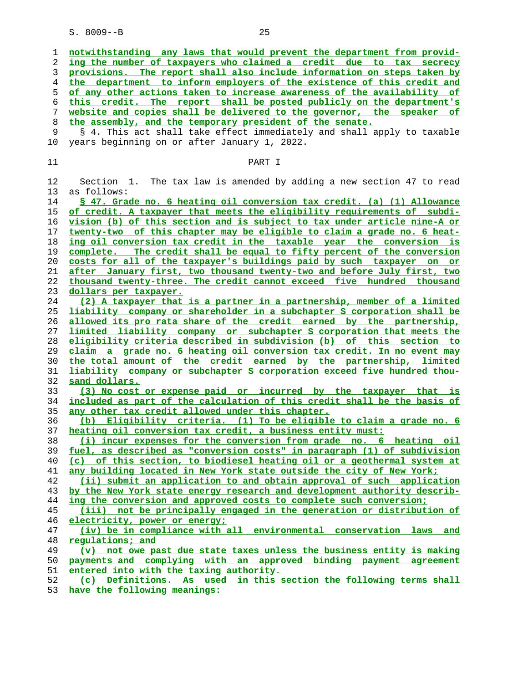| 1  | notwithstanding any laws that would prevent the department from provid-  |
|----|--------------------------------------------------------------------------|
| 2  | ing the number of taxpayers who claimed a credit due to tax secrecy      |
| 3  | provisions. The report shall also include information on steps taken by  |
| 4  | the department to inform employers of the existence of this credit and   |
| 5  | of any other actions taken to increase awareness of the availability of  |
| 6  | this credit. The report shall be posted publicly on the department's     |
| 7  | website and copies shall be delivered to the governor, the speaker of    |
| 8  | the assembly, and the temporary president of the senate.                 |
| 9  | § 4. This act shall take effect immediately and shall apply to taxable   |
| 10 | years beginning on or after January 1, 2022.                             |
|    |                                                                          |
| 11 | PART I                                                                   |
|    |                                                                          |
| 12 | The tax law is amended by adding a new section 47 to read<br>Section 1.  |
| 13 | as follows:                                                              |
| 14 | \$ 47. Grade no. 6 heating oil conversion tax credit. (a) (1) Allowance  |
| 15 | of credit. A taxpayer that meets the eligibility requirements of subdi-  |
| 16 | vision (b) of this section and is subject to tax under article nine-A or |
| 17 | twenty-two of this chapter may be eligible to claim a grade no. 6 heat-  |
| 18 | ing oil conversion tax credit in the taxable year the conversion is      |
| 19 | complete. The credit shall be equal to fifty percent of the conversion   |
| 20 | costs for all of the taxpayer's buildings paid by such taxpayer on or    |
| 21 | after January first, two thousand twenty-two and before July first, two  |
| 22 | thousand twenty-three. The credit cannot exceed five hundred thousand    |
| 23 | dollars per taxpayer.                                                    |
| 24 | (2) A taxpayer that is a partner in a partnership, member of a limited   |
| 25 | liability company or shareholder in a subchapter S corporation shall be  |
| 26 | allowed its pro rata share of the credit earned by the partnership,      |
| 27 | limited liability company or subchapter S corporation that meets the     |
| 28 | eligibility criteria described in subdivision (b) of this section to     |
| 29 | claim a grade no. 6 heating oil conversion tax credit. In no event may   |
| 30 | the total amount of the credit earned by the partnership, limited        |
| 31 | liability company or subchapter S corporation exceed five hundred thou-  |
| 32 | sand dollars.                                                            |
| 33 | (3) No cost or expense paid or incurred by the taxpayer that is          |
| 34 | included as part of the calculation of this credit shall be the basis of |
| 35 | any other tax credit allowed under this chapter.                         |
| 36 | (b) Eligibility criteria. (1) To be eligible to claim a grade no. 6      |
| 37 | heating oil conversion tax credit, a business entity must:               |
| 38 | (i) incur expenses for the conversion from grade no. 6 heating oil       |
| 39 | fuel, as described as "conversion costs" in paragraph (1) of subdivision |
| 40 | (c) of this section, to biodiesel heating oil or a geothermal system at  |
| 41 | any building located in New York state outside the city of New York;     |
| 42 | (ii) submit an application to and obtain approval of such application    |
| 43 | by the New York state energy research and development authority describ- |
| 44 | ing the conversion and approved costs to complete such conversion;       |
| 45 | (iii) not be principally engaged in the generation or distribution of    |
| 46 | electricity, power or energy;                                            |
| 47 | (iv) be in compliance with all environmental conservation laws<br>and    |
| 48 | regulations; and                                                         |
| 49 | (v) not owe past due state taxes unless the business entity is making    |
| 50 | payments and complying with an approved binding payment agreement        |
| 51 | entered into with the taxing authority.                                  |
| 52 | (c) Definitions. As used in this section the following terms shall       |
|    |                                                                          |

**have the following meanings:**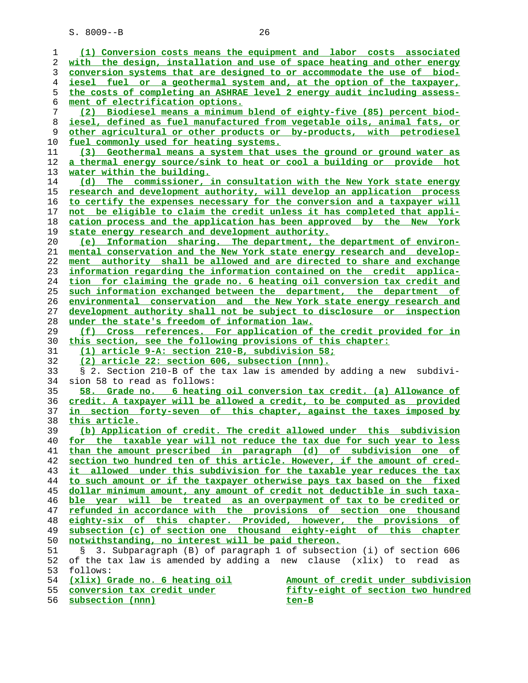| 1  | (1) Conversion costs means the equipment and labor costs associated         |
|----|-----------------------------------------------------------------------------|
| 2  | with the design, installation and use of space heating and other energy     |
| 3  | conversion systems that are designed to or accommodate the use of biod-     |
| 4  | iesel fuel or a geothermal system and, at the option of the taxpayer,       |
|    |                                                                             |
| 5  | the costs of completing an ASHRAE level 2 energy audit including assess-    |
| 6  | ment of electrification options.                                            |
| 7  | (2) Biodiesel means a minimum blend of eighty-five (85) percent biod-       |
| 8  | iesel, defined as fuel manufactured from vegetable oils, animal fats, or    |
| 9  | other agricultural or other products or by-products, with petrodiesel       |
| 10 | fuel commonly used for heating systems.                                     |
| 11 | (3) Geothermal means a system that uses the ground or ground water as       |
| 12 | a thermal energy source/sink to heat or cool a building or provide hot      |
| 13 | water within the building.                                                  |
| 14 | (d) The commissioner, in consultation with the New York state energy        |
| 15 | research and development authority, will develop an application process     |
| 16 | to certify the expenses necessary for the conversion and a taxpayer will    |
| 17 | not be eligible to claim the credit unless it has completed that appli-     |
| 18 | cation process and the application has been approved by the New York        |
| 19 | state energy research and development authority.                            |
| 20 | (e) Information sharing. The department, the department of environ-         |
| 21 | mental conservation and the New York state energy research and develop-     |
| 22 | ment authority shall be allowed and are directed to share and exchange      |
| 23 | information regarding the information contained on the credit applica-      |
|    |                                                                             |
| 24 | tion for claiming the grade no. 6 heating oil conversion tax credit and     |
| 25 | such information exchanged between the department, the department of        |
| 26 | environmental conservation and the New York state energy research and       |
| 27 | development authority shall not be subject to disclosure or inspection      |
| 28 | under the state's freedom of information law.                               |
| 29 | (f) Cross references. For application of the credit provided for in         |
| 30 | this section, see the following provisions of this chapter:                 |
| 31 | (1) article 9-A: section 210-B, subdivision 58;                             |
| 32 | (2) article 22: section 606, subsection (nnn).                              |
| 33 | § 2. Section 210-B of the tax law is amended by adding a new<br>subdivi-    |
| 34 | sion 58 to read as follows:                                                 |
| 35 | 58. Grade no. 6 heating oil conversion tax credit. (a) Allowance of         |
| 36 | credit. A taxpayer will be allowed a credit, to be computed as provided     |
| 37 | <u>in section forty-seven of this chapter, against the taxes imposed by</u> |
| 38 | this article.                                                               |
| 39 | (b) Application of credit. The credit allowed under this subdivision        |
| 40 | for the taxable year will not reduce the tax due for such year to less      |
| 41 | than the amount prescribed in paragraph (d) of subdivision one of           |
| 42 | section two hundred ten of this article. However, if the amount of cred-    |
| 43 | it allowed under this subdivision for the taxable year reduces the tax      |
| 44 | to such amount or if the taxpayer otherwise pays tax based on the fixed     |
| 45 | dollar minimum amount, any amount of credit not deductible in such taxa-    |
| 46 | ble year will be treated as an overpayment of tax to be credited or         |
| 47 | refunded in accordance with the provisions of section one thousand          |
| 48 | eighty-six of this chapter. Provided, however, the provisions of            |
| 49 | subsection (c) of section one thousand eighty-eight of this chapter         |
|    |                                                                             |
| 50 | notwithstanding, no interest will be paid thereon.                          |
| 51 | 3. Subparagraph (B) of paragraph 1 of subsection (i) of section 606         |
| 52 | of the tax law is amended by adding a new clause (xlix) to read as          |
| 53 | follows:                                                                    |
| 54 | (xlix) Grade no. 6 heating oil<br>Amount of credit under subdivision        |
| 55 | conversion tax credit under<br>fifty-eight of section two hundred           |
| 56 | subsection (nnn)<br><u>ten-B</u>                                            |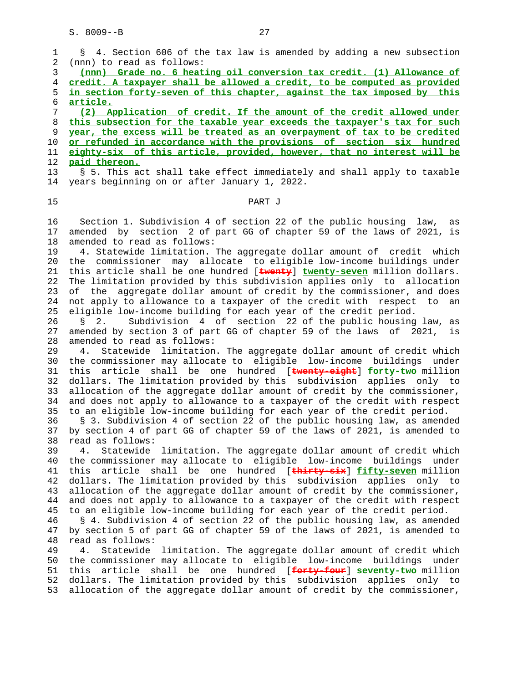1 § 4. Section 606 of the tax law is amended by adding a new subsection 2 (nnn) to read as follows: 3 **(nnn) Grade no. 6 heating oil conversion tax credit. (1) Allowance of** 4 **credit. A taxpayer shall be allowed a credit, to be computed as provided** 5 **in section forty-seven of this chapter, against the tax imposed by this** 6 **article.** 7 **(2) Application of credit. If the amount of the credit allowed under** 8 **this subsection for the taxable year exceeds the taxpayer's tax for such** 9 **year, the excess will be treated as an overpayment of tax to be credited** 10 **or refunded in accordance with the provisions of section six hundred** 11 **eighty-six of this article, provided, however, that no interest will be** 12 **paid thereon.** 13 § 5. This act shall take effect immediately and shall apply to taxable 14 years beginning on or after January 1, 2022. 15 PART J 16 Section 1. Subdivision 4 of section 22 of the public housing law, as 17 amended by section 2 of part GG of chapter 59 of the laws of 2021, is 18 amended to read as follows: 19 4. Statewide limitation. The aggregate dollar amount of credit which 20 the commissioner may allocate to eligible low-income buildings under 21 this article shall be one hundred [**twenty**] **twenty-seven** million dollars. 22 The limitation provided by this subdivision applies only to allocation 23 of the aggregate dollar amount of credit by the commissioner, and does 24 not apply to allowance to a taxpayer of the credit with respect to an 25 eligible low-income building for each year of the credit period. 26 § 2. Subdivision 4 of section 22 of the public housing law, as 27 amended by section 3 of part GG of chapter 59 of the laws of 2021, is 28 amended to read as follows: 29 4. Statewide limitation. The aggregate dollar amount of credit which 30 the commissioner may allocate to eligible low-income buildings under 31 this article shall be one hundred [**twenty-eight**] **forty-two** million 32 dollars. The limitation provided by this subdivision applies only to 33 allocation of the aggregate dollar amount of credit by the commissioner, 34 and does not apply to allowance to a taxpayer of the credit with respect 35 to an eligible low-income building for each year of the credit period. 36 § 3. Subdivision 4 of section 22 of the public housing law, as amended 37 by section 4 of part GG of chapter 59 of the laws of 2021, is amended to 38 read as follows: 39 4. Statewide limitation. The aggregate dollar amount of credit which 40 the commissioner may allocate to eligible low-income buildings under 41 this article shall be one hundred [**thirty-six**] **fifty-seven** million 42 dollars. The limitation provided by this subdivision applies only to 43 allocation of the aggregate dollar amount of credit by the commissioner, 44 and does not apply to allowance to a taxpayer of the credit with respect 45 to an eligible low-income building for each year of the credit period. 46 § 4. Subdivision 4 of section 22 of the public housing law, as amended 47 by section 5 of part GG of chapter 59 of the laws of 2021, is amended to 48 read as follows: 49 4. Statewide limitation. The aggregate dollar amount of credit which 50 the commissioner may allocate to eligible low-income buildings under 51 this article shall be one hundred [**forty-four**] **seventy-two** million 52 dollars. The limitation provided by this subdivision applies only to 53 allocation of the aggregate dollar amount of credit by the commissioner,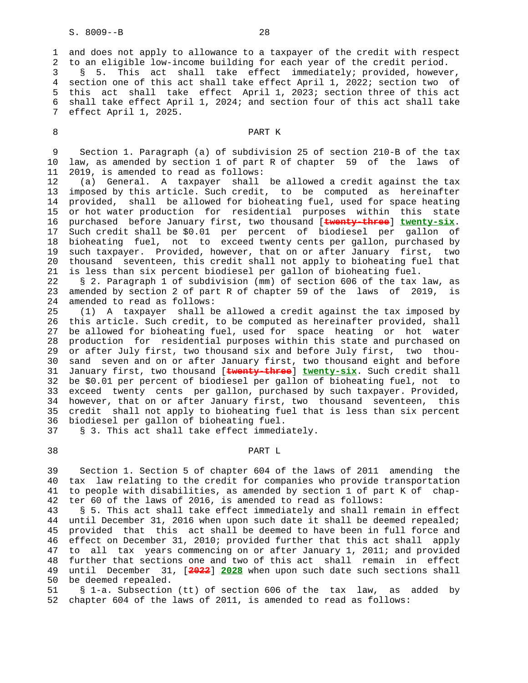7 effect April 1, 2025.

 1 and does not apply to allowance to a taxpayer of the credit with respect 2 to an eligible low-income building for each year of the credit period. 3 § 5. This act shall take effect immediately; provided, however, 4 section one of this act shall take effect April 1, 2022; section two of 5 this act shall take effect April 1, 2023; section three of this act 6 shall take effect April 1, 2024; and section four of this act shall take

# 8 PART K

 9 Section 1. Paragraph (a) of subdivision 25 of section 210-B of the tax 10 law, as amended by section 1 of part R of chapter 59 of the laws of 11 2019, is amended to read as follows:

 12 (a) General. A taxpayer shall be allowed a credit against the tax 13 imposed by this article. Such credit, to be computed as hereinafter 14 provided, shall be allowed for bioheating fuel, used for space heating 15 or hot water production for residential purposes within this state 16 purchased before January first, two thousand [**twenty-three**] **twenty-six**. 17 Such credit shall be \$0.01 per percent of biodiesel per gallon of 18 bioheating fuel, not to exceed twenty cents per gallon, purchased by 19 such taxpayer. Provided, however, that on or after January first, two 20 thousand seventeen, this credit shall not apply to bioheating fuel that 21 is less than six percent biodiesel per gallon of bioheating fuel.

 22 § 2. Paragraph 1 of subdivision (mm) of section 606 of the tax law, as 23 amended by section 2 of part R of chapter 59 of the laws of 2019, is 24 amended to read as follows:

 25 (1) A taxpayer shall be allowed a credit against the tax imposed by 26 this article. Such credit, to be computed as hereinafter provided, shall 27 be allowed for bioheating fuel, used for space heating or hot water 28 production for residential purposes within this state and purchased on 29 or after July first, two thousand six and before July first, two thou- 30 sand seven and on or after January first, two thousand eight and before 31 January first, two thousand [**twenty-three**] **twenty-six**. Such credit shall 32 be \$0.01 per percent of biodiesel per gallon of bioheating fuel, not to 33 exceed twenty cents per gallon, purchased by such taxpayer. Provided, 34 however, that on or after January first, two thousand seventeen, this 35 credit shall not apply to bioheating fuel that is less than six percent 36 biodiesel per gallon of bioheating fuel.

37 § 3. This act shall take effect immediately.

### 38 PART L

 39 Section 1. Section 5 of chapter 604 of the laws of 2011 amending the 40 tax law relating to the credit for companies who provide transportation 41 to people with disabilities, as amended by section 1 of part K of chap- 42 ter 60 of the laws of 2016, is amended to read as follows:

 43 § 5. This act shall take effect immediately and shall remain in effect 44 until December 31, 2016 when upon such date it shall be deemed repealed; 45 provided that this act shall be deemed to have been in full force and 46 effect on December 31, 2010; provided further that this act shall apply 47 to all tax years commencing on or after January 1, 2011; and provided 48 further that sections one and two of this act shall remain in effect 49 until December 31, [**2022**] **2028** when upon such date such sections shall 50 be deemed repealed.

 51 § 1-a. Subsection (tt) of section 606 of the tax law, as added by 52 chapter 604 of the laws of 2011, is amended to read as follows: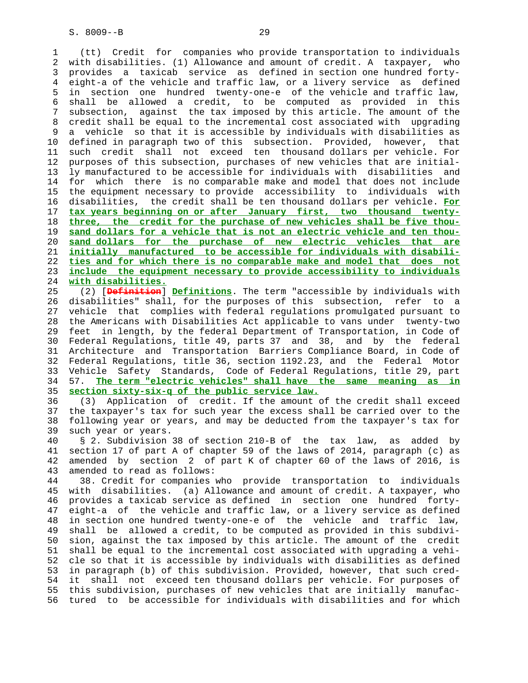1 (tt) Credit for companies who provide transportation to individuals 2 with disabilities. (1) Allowance and amount of credit. A taxpayer, who 3 provides a taxicab service as defined in section one hundred forty- 4 eight-a of the vehicle and traffic law, or a livery service as defined 5 in section one hundred twenty-one-e of the vehicle and traffic law, 6 shall be allowed a credit, to be computed as provided in this 7 subsection, against the tax imposed by this article. The amount of the 8 credit shall be equal to the incremental cost associated with upgrading 9 a vehicle so that it is accessible by individuals with disabilities as 10 defined in paragraph two of this subsection. Provided, however, that 11 such credit shall not exceed ten thousand dollars per vehicle. For 12 purposes of this subsection, purchases of new vehicles that are initial- 13 ly manufactured to be accessible for individuals with disabilities and 14 for which there is no comparable make and model that does not include 15 the equipment necessary to provide accessibility to individuals with 16 disabilities, the credit shall be ten thousand dollars per vehicle. **For** 17 **tax years beginning on or after January first, two thousand twenty-** 18 **three, the credit for the purchase of new vehicles shall be five thou-** 19 **sand dollars for a vehicle that is not an electric vehicle and ten thou-** 20 **sand dollars for the purchase of new electric vehicles that are** 21 **initially manufactured to be accessible for individuals with disabili-** 22 **ties and for which there is no comparable make and model that does not** 23 **include the equipment necessary to provide accessibility to individuals** 24 **with disabilities.**

 25 (2) [**Definition**] **Definitions**. The term "accessible by individuals with 26 disabilities" shall, for the purposes of this subsection, refer to a 27 vehicle that complies with federal regulations promulgated pursuant to 28 the Americans with Disabilities Act applicable to vans under twenty-two 29 feet in length, by the federal Department of Transportation, in Code of 30 Federal Regulations, title 49, parts 37 and 38, and by the federal 31 Architecture and Transportation Barriers Compliance Board, in Code of 32 Federal Regulations, title 36, section 1192.23, and the Federal Motor 33 Vehicle Safety Standards, Code of Federal Regulations, title 29, part 34 57. **The term "electric vehicles" shall have the same meaning as in** 35 **section sixty-six-q of the public service law.**

 36 (3) Application of credit. If the amount of the credit shall exceed 37 the taxpayer's tax for such year the excess shall be carried over to the 38 following year or years, and may be deducted from the taxpayer's tax for 39 such year or years.

 40 § 2. Subdivision 38 of section 210-B of the tax law, as added by 41 section 17 of part A of chapter 59 of the laws of 2014, paragraph (c) as 42 amended by section 2 of part K of chapter 60 of the laws of 2016, is 43 amended to read as follows:

 44 38. Credit for companies who provide transportation to individuals 45 with disabilities. (a) Allowance and amount of credit. A taxpayer, who 46 provides a taxicab service as defined in section one hundred forty- 47 eight-a of the vehicle and traffic law, or a livery service as defined 48 in section one hundred twenty-one-e of the vehicle and traffic law, 49 shall be allowed a credit, to be computed as provided in this subdivi- 50 sion, against the tax imposed by this article. The amount of the credit 51 shall be equal to the incremental cost associated with upgrading a vehi- 52 cle so that it is accessible by individuals with disabilities as defined 53 in paragraph (b) of this subdivision. Provided, however, that such cred- 54 it shall not exceed ten thousand dollars per vehicle. For purposes of 55 this subdivision, purchases of new vehicles that are initially manufac- 56 tured to be accessible for individuals with disabilities and for which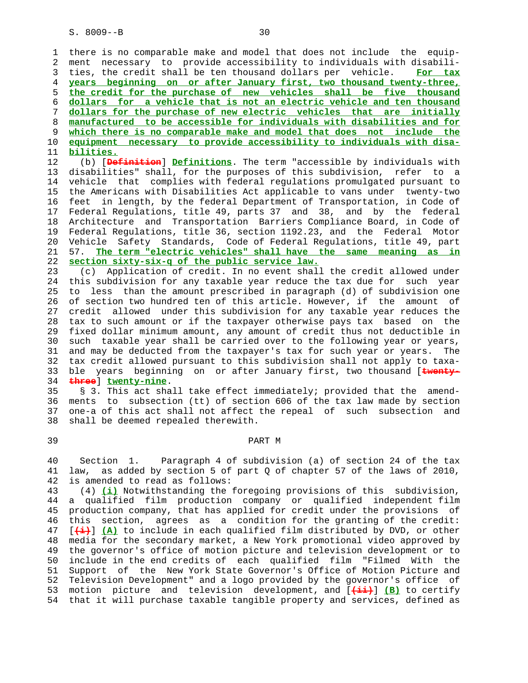1 there is no comparable make and model that does not include the equip- 2 ment necessary to provide accessibility to individuals with disabili- 3 ties, the credit shall be ten thousand dollars per vehicle. **For tax years beginning on or after January first, two thousand twenty-three, the credit for the purchase of new vehicles shall be five thousand dollars for a vehicle that is not an electric vehicle and ten thousand dollars for the purchase of new electric vehicles that are initially manufactured to be accessible for individuals with disabilities and for which there is no comparable make and model that does not include the equipment necessary to provide accessibility to individuals with disa- bilities.**

 12 (b) [**Definition**] **Definitions**. The term "accessible by individuals with 13 disabilities" shall, for the purposes of this subdivision, refer to a 14 vehicle that complies with federal regulations promulgated pursuant to 15 the Americans with Disabilities Act applicable to vans under twenty-two 16 feet in length, by the federal Department of Transportation, in Code of 17 Federal Regulations, title 49, parts 37 and 38, and by the federal 18 Architecture and Transportation Barriers Compliance Board, in Code of 19 Federal Regulations, title 36, section 1192.23, and the Federal Motor 20 Vehicle Safety Standards, Code of Federal Regulations, title 49, part 21 57. **The term "electric vehicles" shall have the same meaning as in** 22 **section sixty-six-q of the public service law.**

 23 (c) Application of credit. In no event shall the credit allowed under 24 this subdivision for any taxable year reduce the tax due for such year 25 to less than the amount prescribed in paragraph (d) of subdivision one 26 of section two hundred ten of this article. However, if the amount of 27 credit allowed under this subdivision for any taxable year reduces the 28 tax to such amount or if the taxpayer otherwise pays tax based on the 29 fixed dollar minimum amount, any amount of credit thus not deductible in 30 such taxable year shall be carried over to the following year or years, 31 and may be deducted from the taxpayer's tax for such year or years. The 32 tax credit allowed pursuant to this subdivision shall not apply to taxa- 33 ble years beginning on or after January first, two thousand [**twenty-** 34 **three**] **twenty-nine**.

 35 § 3. This act shall take effect immediately; provided that the amend- 36 ments to subsection (tt) of section 606 of the tax law made by section 37 one-a of this act shall not affect the repeal of such subsection and 38 shall be deemed repealed therewith.

## 39 PART M

 40 Section 1. Paragraph 4 of subdivision (a) of section 24 of the tax 41 law, as added by section 5 of part Q of chapter 57 of the laws of 2010, 42 is amended to read as follows:

 43 (4) **(i)** Notwithstanding the foregoing provisions of this subdivision, 44 a qualified film production company or qualified independent film 45 production company, that has applied for credit under the provisions of 46 this section, agrees as a condition for the granting of the credit: 47 [**(i)**] **(A)** to include in each qualified film distributed by DVD, or other 48 media for the secondary market, a New York promotional video approved by 49 the governor's office of motion picture and television development or to 50 include in the end credits of each qualified film "Filmed With the 51 Support of the New York State Governor's Office of Motion Picture and 52 Television Development" and a logo provided by the governor's office of 53 motion picture and television development, and [**(ii)**] **(B)** to certify 54 that it will purchase taxable tangible property and services, defined as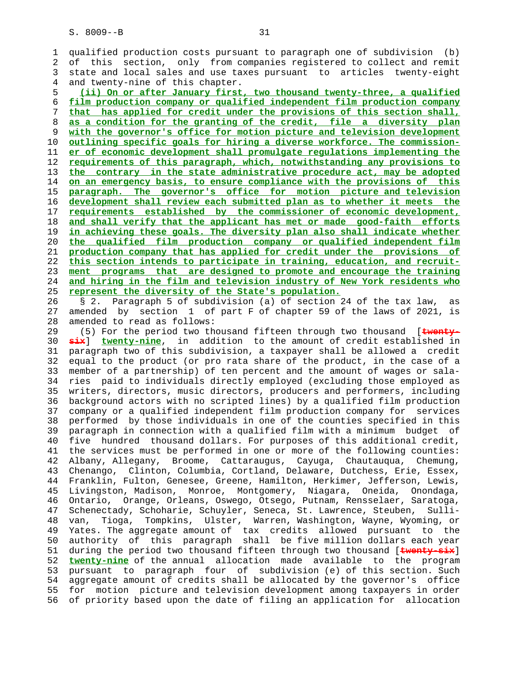1 qualified production costs pursuant to paragraph one of subdivision (b) 2 of this section, only from companies registered to collect and remit 3 state and local sales and use taxes pursuant to articles twenty-eight 4 and twenty-nine of this chapter.

**(ii) On or after January first, two thousand twenty-three, a qualified film production company or qualified independent film production company that has applied for credit under the provisions of this section shall, as a condition for the granting of the credit, file a diversity plan with the governor's office for motion picture and television development outlining specific goals for hiring a diverse workforce. The commission- er of economic development shall promulgate regulations implementing the requirements of this paragraph, which, notwithstanding any provisions to the contrary in the state administrative procedure act, may be adopted on an emergency basis, to ensure compliance with the provisions of this paragraph. The governor's office for motion picture and television development shall review each submitted plan as to whether it meets the requirements established by the commissioner of economic development, and shall verify that the applicant has met or made good-faith efforts in achieving these goals. The diversity plan also shall indicate whether the qualified film production company or qualified independent film production company that has applied for credit under the provisions of this section intends to participate in training, education, and recruit- ment programs that are designed to promote and encourage the training and hiring in the film and television industry of New York residents who represent the diversity of the State's population.**

 26 § 2. Paragraph 5 of subdivision (a) of section 24 of the tax law, as 27 amended by section 1 of part F of chapter 59 of the laws of 2021, is 28 amended to read as follows:

 29 (5) For the period two thousand fifteen through two thousand [**twenty-** 30 **six**] **twenty-nine**, in addition to the amount of credit established in 31 paragraph two of this subdivision, a taxpayer shall be allowed a credit 32 equal to the product (or pro rata share of the product, in the case of a 33 member of a partnership) of ten percent and the amount of wages or sala- 34 ries paid to individuals directly employed (excluding those employed as 35 writers, directors, music directors, producers and performers, including 36 background actors with no scripted lines) by a qualified film production 37 company or a qualified independent film production company for services 38 performed by those individuals in one of the counties specified in this 39 paragraph in connection with a qualified film with a minimum budget of 40 five hundred thousand dollars. For purposes of this additional credit, 41 the services must be performed in one or more of the following counties: 42 Albany, Allegany, Broome, Cattaraugus, Cayuga, Chautauqua, Chemung, 43 Chenango, Clinton, Columbia, Cortland, Delaware, Dutchess, Erie, Essex, 44 Franklin, Fulton, Genesee, Greene, Hamilton, Herkimer, Jefferson, Lewis, 45 Livingston, Madison, Monroe, Montgomery, Niagara, Oneida, Onondaga, 46 Ontario, Orange, Orleans, Oswego, Otsego, Putnam, Rensselaer, Saratoga, 47 Schenectady, Schoharie, Schuyler, Seneca, St. Lawrence, Steuben, Sulli- 48 van, Tioga, Tompkins, Ulster, Warren, Washington, Wayne, Wyoming, or 49 Yates. The aggregate amount of tax credits allowed pursuant to the 50 authority of this paragraph shall be five million dollars each year 51 during the period two thousand fifteen through two thousand [**twenty-six**] 52 **twenty-nine** of the annual allocation made available to the program 53 pursuant to paragraph four of subdivision (e) of this section. Such 54 aggregate amount of credits shall be allocated by the governor's office 55 for motion picture and television development among taxpayers in order 56 of priority based upon the date of filing an application for allocation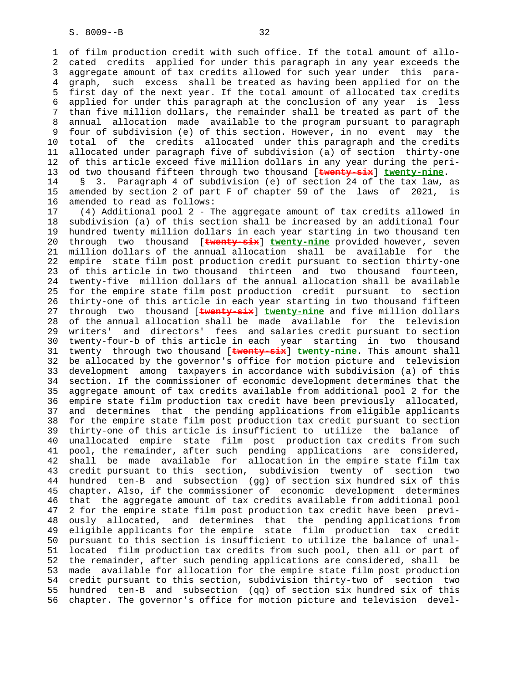1 of film production credit with such office. If the total amount of allo- 2 cated credits applied for under this paragraph in any year exceeds the 3 aggregate amount of tax credits allowed for such year under this para- 4 graph, such excess shall be treated as having been applied for on the 5 first day of the next year. If the total amount of allocated tax credits 6 applied for under this paragraph at the conclusion of any year is less 7 than five million dollars, the remainder shall be treated as part of the 8 annual allocation made available to the program pursuant to paragraph 9 four of subdivision (e) of this section. However, in no event may the<br>10 total of the credits allocated under this paragraph and the credits total of the credits allocated under this paragraph and the credits 11 allocated under paragraph five of subdivision (a) of section thirty-one 12 of this article exceed five million dollars in any year during the peri- 13 od two thousand fifteen through two thousand [**twenty-six**] **twenty-nine**.

 14 § 3. Paragraph 4 of subdivision (e) of section 24 of the tax law, as 15 amended by section 2 of part F of chapter 59 of the laws of 2021, is 16 amended to read as follows:

 17 (4) Additional pool 2 - The aggregate amount of tax credits allowed in 18 subdivision (a) of this section shall be increased by an additional four 19 hundred twenty million dollars in each year starting in two thousand ten 20 through two thousand [**twenty-six**] **twenty-nine** provided however, seven 21 million dollars of the annual allocation shall be available for the 22 empire state film post production credit pursuant to section thirty-one 23 of this article in two thousand thirteen and two thousand fourteen, 24 twenty-five million dollars of the annual allocation shall be available 25 for the empire state film post production credit pursuant to section 26 thirty-one of this article in each year starting in two thousand fifteen 27 through two thousand [**twenty-six**] **twenty-nine** and five million dollars 28 of the annual allocation shall be made available for the television 29 writers' and directors' fees and salaries credit pursuant to section 30 twenty-four-b of this article in each year starting in two thousand 31 twenty through two thousand [**twenty-six**] **twenty-nine**. This amount shall 32 be allocated by the governor's office for motion picture and television 33 development among taxpayers in accordance with subdivision (a) of this 34 section. If the commissioner of economic development determines that the 35 aggregate amount of tax credits available from additional pool 2 for the 36 empire state film production tax credit have been previously allocated, 37 and determines that the pending applications from eligible applicants 38 for the empire state film post production tax credit pursuant to section 39 thirty-one of this article is insufficient to utilize the balance of 40 unallocated empire state film post production tax credits from such 41 pool, the remainder, after such pending applications are considered, 42 shall be made available for allocation in the empire state film tax 43 credit pursuant to this section, subdivision twenty of section two 44 hundred ten-B and subsection (gg) of section six hundred six of this 45 chapter. Also, if the commissioner of economic development determines 46 that the aggregate amount of tax credits available from additional pool 47 2 for the empire state film post production tax credit have been previ- 48 ously allocated, and determines that the pending applications from 49 eligible applicants for the empire state film production tax credit 50 pursuant to this section is insufficient to utilize the balance of unal- 51 located film production tax credits from such pool, then all or part of 52 the remainder, after such pending applications are considered, shall be 53 made available for allocation for the empire state film post production 54 credit pursuant to this section, subdivision thirty-two of section two 55 hundred ten-B and subsection (qq) of section six hundred six of this 56 chapter. The governor's office for motion picture and television devel-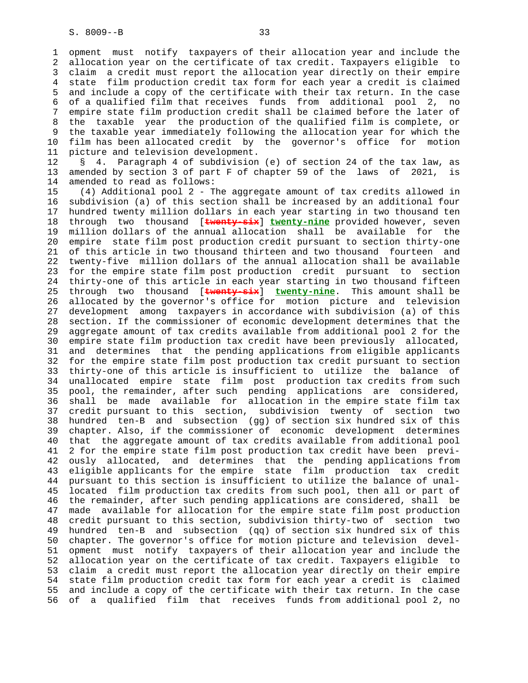1 opment must notify taxpayers of their allocation year and include the 2 allocation year on the certificate of tax credit. Taxpayers eligible to 3 claim a credit must report the allocation year directly on their empire 4 state film production credit tax form for each year a credit is claimed 5 and include a copy of the certificate with their tax return. In the case 6 of a qualified film that receives funds from additional pool 2, no 7 empire state film production credit shall be claimed before the later of 8 the taxable year the production of the qualified film is complete, or 9 the taxable year immediately following the allocation year for which the 10 film has been allocated credit by the governor's office for motion 11 picture and television development.

 12 § 4. Paragraph 4 of subdivision (e) of section 24 of the tax law, as 13 amended by section 3 of part F of chapter 59 of the laws of 2021, is 14 amended to read as follows:

 15 (4) Additional pool 2 - The aggregate amount of tax credits allowed in 16 subdivision (a) of this section shall be increased by an additional four 17 hundred twenty million dollars in each year starting in two thousand ten 18 through two thousand [**twenty-six**] **twenty-nine** provided however, seven 19 million dollars of the annual allocation shall be available for the 20 empire state film post production credit pursuant to section thirty-one 21 of this article in two thousand thirteen and two thousand fourteen and 22 twenty-five million dollars of the annual allocation shall be available 23 for the empire state film post production credit pursuant to section 24 thirty-one of this article in each year starting in two thousand fifteen 25 through two thousand [**twenty-six**] **twenty-nine**. This amount shall be 26 allocated by the governor's office for motion picture and television 27 development among taxpayers in accordance with subdivision (a) of this 28 section. If the commissioner of economic development determines that the 29 aggregate amount of tax credits available from additional pool 2 for the 30 empire state film production tax credit have been previously allocated, 31 and determines that the pending applications from eligible applicants 32 for the empire state film post production tax credit pursuant to section 33 thirty-one of this article is insufficient to utilize the balance of 34 unallocated empire state film post production tax credits from such 35 pool, the remainder, after such pending applications are considered, 36 shall be made available for allocation in the empire state film tax 37 credit pursuant to this section, subdivision twenty of section two 38 hundred ten-B and subsection (gg) of section six hundred six of this 39 chapter. Also, if the commissioner of economic development determines 40 that the aggregate amount of tax credits available from additional pool 41 2 for the empire state film post production tax credit have been previ- 42 ously allocated, and determines that the pending applications from 43 eligible applicants for the empire state film production tax credit 44 pursuant to this section is insufficient to utilize the balance of unal- 45 located film production tax credits from such pool, then all or part of 46 the remainder, after such pending applications are considered, shall be 47 made available for allocation for the empire state film post production 48 credit pursuant to this section, subdivision thirty-two of section two 49 hundred ten-B and subsection (qq) of section six hundred six of this 50 chapter. The governor's office for motion picture and television devel- 51 opment must notify taxpayers of their allocation year and include the 52 allocation year on the certificate of tax credit. Taxpayers eligible to 53 claim a credit must report the allocation year directly on their empire 54 state film production credit tax form for each year a credit is claimed 55 and include a copy of the certificate with their tax return. In the case 56 of a qualified film that receives funds from additional pool 2, no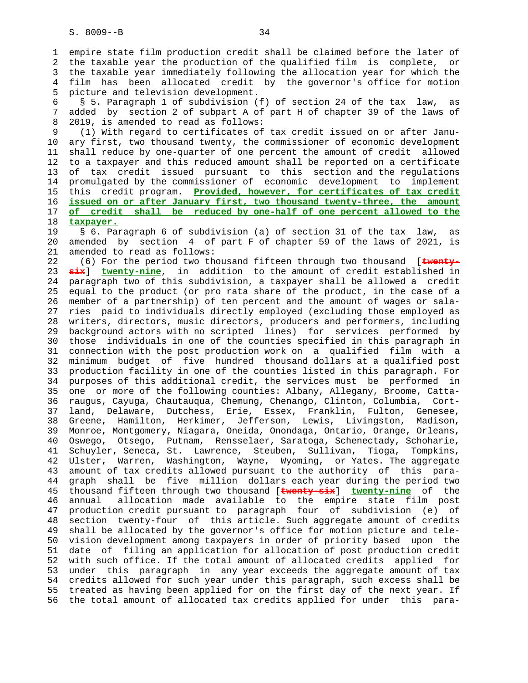1 empire state film production credit shall be claimed before the later of 2 the taxable year the production of the qualified film is complete, or 3 the taxable year immediately following the allocation year for which the 4 film has been allocated credit by the governor's office for motion 5 picture and television development.

 6 § 5. Paragraph 1 of subdivision (f) of section 24 of the tax law, as 7 added by section 2 of subpart A of part H of chapter 39 of the laws of 8 2019, is amended to read as follows:

 9 (1) With regard to certificates of tax credit issued on or after Janu- 10 ary first, two thousand twenty, the commissioner of economic development 11 shall reduce by one-quarter of one percent the amount of credit allowed 12 to a taxpayer and this reduced amount shall be reported on a certificate 13 of tax credit issued pursuant to this section and the regulations 14 promulgated by the commissioner of economic development to implement 15 this credit program. **Provided, however, for certificates of tax credit** 16 **issued on or after January first, two thousand twenty-three, the amount** 17 **of credit shall be reduced by one-half of one percent allowed to the** 18 **taxpayer.**

 19 § 6. Paragraph 6 of subdivision (a) of section 31 of the tax law, as 20 amended by section 4 of part F of chapter 59 of the laws of 2021, is 21 amended to read as follows:

 22 (6) For the period two thousand fifteen through two thousand [**twenty-** 23 **six**] **twenty-nine**, in addition to the amount of credit established in 24 paragraph two of this subdivision, a taxpayer shall be allowed a credit 25 equal to the product (or pro rata share of the product, in the case of a 26 member of a partnership) of ten percent and the amount of wages or sala- 27 ries paid to individuals directly employed (excluding those employed as 28 writers, directors, music directors, producers and performers, including 29 background actors with no scripted lines) for services performed by 30 those individuals in one of the counties specified in this paragraph in 31 connection with the post production work on a qualified film with a 32 minimum budget of five hundred thousand dollars at a qualified post 33 production facility in one of the counties listed in this paragraph. For 34 purposes of this additional credit, the services must be performed in 35 one or more of the following counties: Albany, Allegany, Broome, Catta- 36 raugus, Cayuga, Chautauqua, Chemung, Chenango, Clinton, Columbia, Cort- 37 land, Delaware, Dutchess, Erie, Essex, Franklin, Fulton, Genesee, 38 Greene, Hamilton, Herkimer, Jefferson, Lewis, Livingston, Madison, 39 Monroe, Montgomery, Niagara, Oneida, Onondaga, Ontario, Orange, Orleans, 40 Oswego, Otsego, Putnam, Rensselaer, Saratoga, Schenectady, Schoharie, 41 Schuyler, Seneca, St. Lawrence, Steuben, Sullivan, Tioga, Tompkins, 42 Ulster, Warren, Washington, Wayne, Wyoming, or Yates. The aggregate 43 amount of tax credits allowed pursuant to the authority of this para- 44 graph shall be five million dollars each year during the period two 45 thousand fifteen through two thousand [**twenty-six**] **twenty-nine** of the 46 annual allocation made available to the empire state film post 47 production credit pursuant to paragraph four of subdivision (e) of 48 section twenty-four of this article. Such aggregate amount of credits 49 shall be allocated by the governor's office for motion picture and tele- 50 vision development among taxpayers in order of priority based upon the 51 date of filing an application for allocation of post production credit 52 with such office. If the total amount of allocated credits applied for 53 under this paragraph in any year exceeds the aggregate amount of tax 54 credits allowed for such year under this paragraph, such excess shall be 55 treated as having been applied for on the first day of the next year. If 56 the total amount of allocated tax credits applied for under this para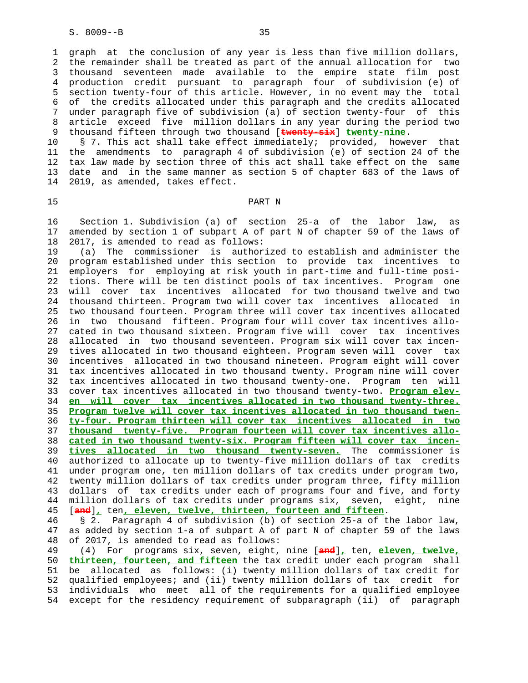1 graph at the conclusion of any year is less than five million dollars, 2 the remainder shall be treated as part of the annual allocation for two 3 thousand seventeen made available to the empire state film post 4 production credit pursuant to paragraph four of subdivision (e) of 5 section twenty-four of this article. However, in no event may the total 6 of the credits allocated under this paragraph and the credits allocated 7 under paragraph five of subdivision (a) of section twenty-four of this 8 article exceed five million dollars in any year during the period two 9 thousand fifteen through two thousand [**twenty-six**] **twenty-nine**.

 10 § 7. This act shall take effect immediately; provided, however that 11 the amendments to paragraph 4 of subdivision (e) of section 24 of the 12 tax law made by section three of this act shall take effect on the same 13 date and in the same manner as section 5 of chapter 683 of the laws of 14 2019, as amended, takes effect.

### 15 PART N

 16 Section 1. Subdivision (a) of section 25-a of the labor law, as 17 amended by section 1 of subpart A of part N of chapter 59 of the laws of 18 2017, is amended to read as follows:

 19 (a) The commissioner is authorized to establish and administer the 20 program established under this section to provide tax incentives to 21 employers for employing at risk youth in part-time and full-time posi- 22 tions. There will be ten distinct pools of tax incentives. Program one 23 will cover tax incentives allocated for two thousand twelve and two 24 thousand thirteen. Program two will cover tax incentives allocated in 25 two thousand fourteen. Program three will cover tax incentives allocated 26 in two thousand fifteen. Program four will cover tax incentives allo- 27 cated in two thousand sixteen. Program five will cover tax incentives 28 allocated in two thousand seventeen. Program six will cover tax incen- 29 tives allocated in two thousand eighteen. Program seven will cover tax 30 incentives allocated in two thousand nineteen. Program eight will cover 31 tax incentives allocated in two thousand twenty. Program nine will cover 32 tax incentives allocated in two thousand twenty-one. Program ten will 33 cover tax incentives allocated in two thousand twenty-two. **Program elev-** 34 **en will cover tax incentives allocated in two thousand twenty-three.** 35 **Program twelve will cover tax incentives allocated in two thousand twen-** 36 **ty-four. Program thirteen will cover tax incentives allocated in two** 37 **thousand twenty-five. Program fourteen will cover tax incentives allo-** 38 **cated in two thousand twenty-six. Program fifteen will cover tax incen-** 39 **tives allocated in two thousand twenty-seven.** The commissioner is 40 authorized to allocate up to twenty-five million dollars of tax credits 41 under program one, ten million dollars of tax credits under program two, 42 twenty million dollars of tax credits under program three, fifty million 43 dollars of tax credits under each of programs four and five, and forty 44 million dollars of tax credits under programs six, seven, eight, nine 45 [**and**]**,** ten**, eleven, twelve, thirteen, fourteen and fifteen**. 46 § 2. Paragraph 4 of subdivision (b) of section 25-a of the labor law, 47 as added by section 1-a of subpart A of part N of chapter 59 of the laws 48 of 2017, is amended to read as follows:

 49 (4) For programs six, seven, eight, nine [**and**]**,** ten, **eleven, twelve,** 50 **thirteen, fourteen, and fifteen** the tax credit under each program shall 51 be allocated as follows: (i) twenty million dollars of tax credit for 52 qualified employees; and (ii) twenty million dollars of tax credit for 53 individuals who meet all of the requirements for a qualified employee 54 except for the residency requirement of subparagraph (ii) of paragraph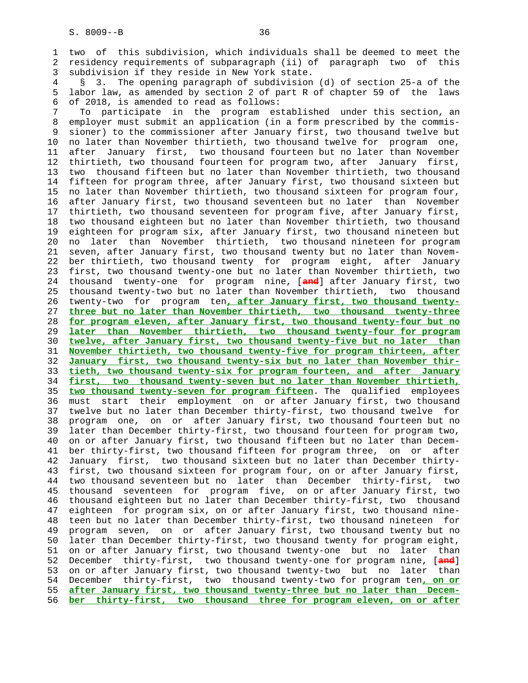1 two of this subdivision, which individuals shall be deemed to meet the 2 residency requirements of subparagraph (ii) of paragraph two of this 3 subdivision if they reside in New York state.

 4 § 3. The opening paragraph of subdivision (d) of section 25-a of the 5 labor law, as amended by section 2 of part R of chapter 59 of the laws 6 of 2018, is amended to read as follows:

 7 To participate in the program established under this section, an 8 employer must submit an application (in a form prescribed by the commis- 9 sioner) to the commissioner after January first, two thousand twelve but 10 no later than November thirtieth, two thousand twelve for program one, 11 after January first, two thousand fourteen but no later than November 12 thirtieth, two thousand fourteen for program two, after January first, 13 two thousand fifteen but no later than November thirtieth, two thousand 14 fifteen for program three, after January first, two thousand sixteen but 15 no later than November thirtieth, two thousand sixteen for program four, 16 after January first, two thousand seventeen but no later than November 17 thirtieth, two thousand seventeen for program five, after January first, 18 two thousand eighteen but no later than November thirtieth, two thousand 19 eighteen for program six, after January first, two thousand nineteen but 20 no later than November thirtieth, two thousand nineteen for program 21 seven, after January first, two thousand twenty but no later than Novem- 22 ber thirtieth, two thousand twenty for program eight, after January 23 first, two thousand twenty-one but no later than November thirtieth, two 24 thousand twenty-one for program nine, [**and**] after January first, two 25 thousand twenty-two but no later than November thirtieth, two thousand 26 twenty-two for program ten**, after January first, two thousand twenty-** 27 **three but no later than November thirtieth, two thousand twenty-three** 28 **for program eleven, after January first, two thousand twenty-four but no** 29 **later than November thirtieth, two thousand twenty-four for program** 30 **twelve, after January first, two thousand twenty-five but no later than** 31 **November thirtieth, two thousand twenty-five for program thirteen, after** 32 **January first, two thousand twenty-six but no later than November thir-** 33 **tieth, two thousand twenty-six for program fourteen, and after January** 34 **first, two thousand twenty-seven but no later than November thirtieth,** 35 **two thousand twenty-seven for program fifteen**. The qualified employees 36 must start their employment on or after January first, two thousand 37 twelve but no later than December thirty-first, two thousand twelve for 38 program one, on or after January first, two thousand fourteen but no 39 later than December thirty-first, two thousand fourteen for program two, 40 on or after January first, two thousand fifteen but no later than Decem- 41 ber thirty-first, two thousand fifteen for program three, on or after 42 January first, two thousand sixteen but no later than December thirty- 43 first, two thousand sixteen for program four, on or after January first, 44 two thousand seventeen but no later than December thirty-first, two 45 thousand seventeen for program five, on or after January first, two 46 thousand eighteen but no later than December thirty-first, two thousand 47 eighteen for program six, on or after January first, two thousand nine- 48 teen but no later than December thirty-first, two thousand nineteen for 49 program seven, on or after January first, two thousand twenty but no 50 later than December thirty-first, two thousand twenty for program eight, 51 on or after January first, two thousand twenty-one but no later than 52 December thirty-first, two thousand twenty-one for program nine, [**and**] 53 on or after January first, two thousand twenty-two but no later than 54 December thirty-first, two thousand twenty-two for program ten**, on or** 55 **after January first, two thousand twenty-three but no later than Decem-** 56 **ber thirty-first, two thousand three for program eleven, on or after**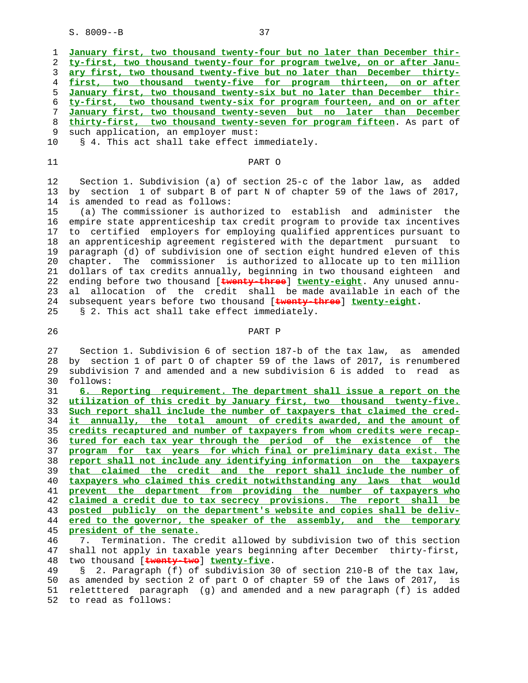

45 **president of the senate.**

 46 7. Termination. The credit allowed by subdivision two of this section 47 shall not apply in taxable years beginning after December thirty-first, 48 two thousand [**twenty-two**] **twenty-five**.

 49 § 2. Paragraph (f) of subdivision 30 of section 210-B of the tax law, 50 as amended by section 2 of part O of chapter 59 of the laws of 2017, is 51 reletttered paragraph (g) and amended and a new paragraph (f) is added 52 to read as follows: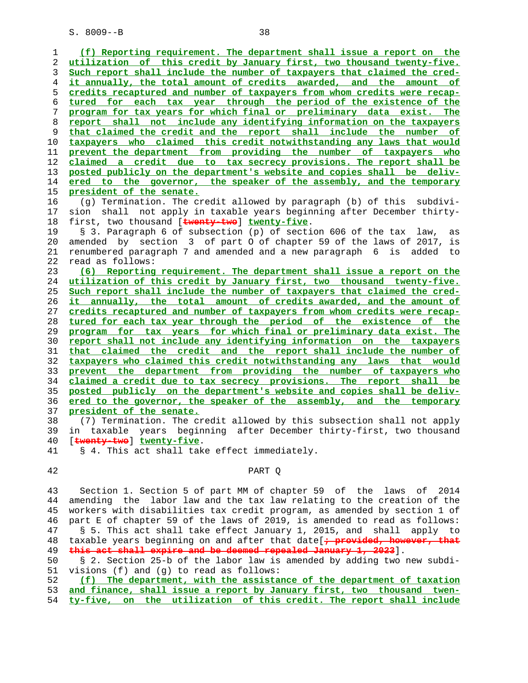**(f) Reporting requirement. The department shall issue a report on the utilization of this credit by January first, two thousand twenty-five. Such report shall include the number of taxpayers that claimed the cred- it annually, the total amount of credits awarded, and the amount of credits recaptured and number of taxpayers from whom credits were recap- tured for each tax year through the period of the existence of the program for tax years for which final or preliminary data exist. The report shall not include any identifying information on the taxpayers that claimed the credit and the report shall include the number of taxpayers who claimed this credit notwithstanding any laws that would prevent the department from providing the number of taxpayers who claimed a credit due to tax secrecy provisions. The report shall be posted publicly on the department's website and copies shall be deliv- ered to the governor, the speaker of the assembly, and the temporary president of the senate.** 16 (g) Termination. The credit allowed by paragraph (b) of this subdivi- 17 sion shall not apply in taxable years beginning after December thirty- 18 first, two thousand [**twenty-two**] **twenty-five**. 19 § 3. Paragraph 6 of subsection (p) of section 606 of the tax law, as 20 amended by section 3 of part O of chapter 59 of the laws of 2017, is 21 renumbered paragraph 7 and amended and a new paragraph 6 is added to 22 read as follows: **(6) Reporting requirement. The department shall issue a report on the utilization of this credit by January first, two thousand twenty-five. Such report shall include the number of taxpayers that claimed the cred- it annually, the total amount of credits awarded, and the amount of credits recaptured and number of taxpayers from whom credits were recap- tured for each tax year through the period of the existence of the program for tax years for which final or preliminary data exist. The report shall not include any identifying information on the taxpayers that claimed the credit and the report shall include the number of taxpayers who claimed this credit notwithstanding any laws that would prevent the department from providing the number of taxpayers who claimed a credit due to tax secrecy provisions. The report shall be posted publicly on the department's website and copies shall be deliv- ered to the governor, the speaker of the assembly, and the temporary president of the senate.** 38 (7) Termination. The credit allowed by this subsection shall not apply 39 in taxable years beginning after December thirty-first, two thousand 40 [**twenty-two**] **twenty-five**. 41 § 4. This act shall take effect immediately. 42 PART Q 43 Section 1. Section 5 of part MM of chapter 59 of the laws of 2014 44 amending the labor law and the tax law relating to the creation of the 45 workers with disabilities tax credit program, as amended by section 1 of 46 part E of chapter 59 of the laws of 2019, is amended to read as follows: 47 § 5. This act shall take effect January 1, 2015, and shall apply to 48 taxable years beginning on and after that date[<sup>+</sup> provided, however, t **this act shall expire and be deemed repealed January 1, 2023**]. 50 § 2. Section 25-b of the labor law is amended by adding two new subdi- 51 visions (f) and (g) to read as follows: **(f) The department, with the assistance of the department of taxation**

**and finance, shall issue a report by January first, two thousand twen- ty-five, on the utilization of this credit. The report shall include**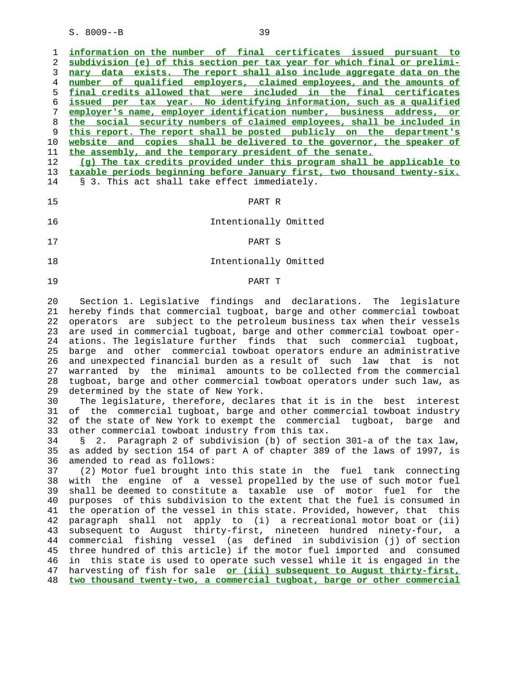**information on the number of final certificates issued pursuant to subdivision (e) of this section per tax year for which final or prelimi- nary data exists. The report shall also include aggregate data on the number of qualified employers, claimed employees, and the amounts of final credits allowed that were included in the final certificates issued per tax year. No identifying information, such as a qualified employer's name, employer identification number, business address, or the social security numbers of claimed employees, shall be included in this report. The report shall be posted publicly on the department's website and copies shall be delivered to the governor, the speaker of the assembly, and the temporary president of the senate.**

 12 **(g) The tax credits provided under this program shall be applicable to** 13 **taxable periods beginning before January first, two thousand twenty-six.** 14 § 3. This act shall take effect immediately.

- 15 PART R 16 Intentionally Omitted
- 17 PART S
	- 18 Intentionally Omitted

## 19 PART T

 20 Section 1. Legislative findings and declarations. The legislature 21 hereby finds that commercial tugboat, barge and other commercial towboat 22 operators are subject to the petroleum business tax when their vessels 23 are used in commercial tugboat, barge and other commercial towboat oper- 24 ations. The legislature further finds that such commercial tugboat, 25 barge and other commercial towboat operators endure an administrative 26 and unexpected financial burden as a result of such law that is not 27 warranted by the minimal amounts to be collected from the commercial 28 tugboat, barge and other commercial towboat operators under such law, as 29 determined by the state of New York.

 30 The legislature, therefore, declares that it is in the best interest 31 of the commercial tugboat, barge and other commercial towboat industry 32 of the state of New York to exempt the commercial tugboat, barge and 33 other commercial towboat industry from this tax.

 34 § 2. Paragraph 2 of subdivision (b) of section 301-a of the tax law, 35 as added by section 154 of part A of chapter 389 of the laws of 1997, is 36 amended to read as follows:

 37 (2) Motor fuel brought into this state in the fuel tank connecting 38 with the engine of a vessel propelled by the use of such motor fuel 39 shall be deemed to constitute a taxable use of motor fuel for the 40 purposes of this subdivision to the extent that the fuel is consumed in 41 the operation of the vessel in this state. Provided, however, that this 42 paragraph shall not apply to (i) a recreational motor boat or (ii) 43 subsequent to August thirty-first, nineteen hundred ninety-four, a 44 commercial fishing vessel (as defined in subdivision (j) of section 45 three hundred of this article) if the motor fuel imported and consumed 46 in this state is used to operate such vessel while it is engaged in the 47 harvesting of fish for sale **or (iii) subsequent to August thirty-first,** 48 **two thousand twenty-two, a commercial tugboat, barge or other commercial**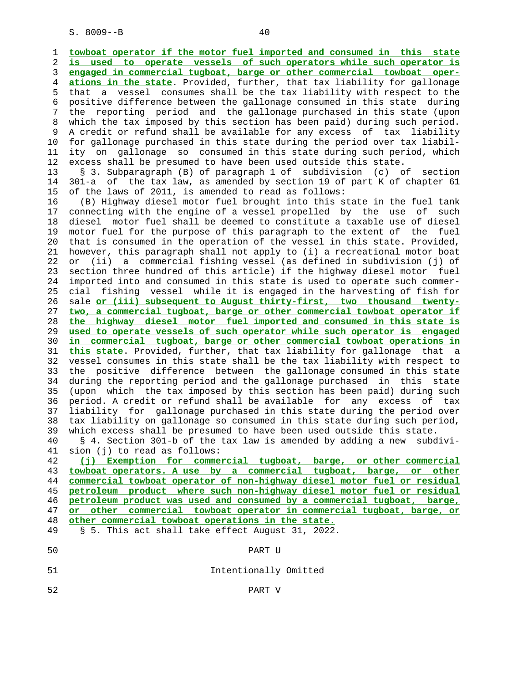1 **towboat operator if the motor fuel imported and consumed in this state** 2 **is used to operate vessels of such operators while such operator is** 3 **engaged in commercial tugboat, barge or other commercial towboat oper-** 4 **ations in the state**. Provided, further, that tax liability for gallonage 5 that a vessel consumes shall be the tax liability with respect to the 6 positive difference between the gallonage consumed in this state during 7 the reporting period and the gallonage purchased in this state (upon 8 which the tax imposed by this section has been paid) during such period. 9 A credit or refund shall be available for any excess of tax liability 10 for gallonage purchased in this state during the period over tax liabil- 11 ity on gallonage so consumed in this state during such period, which 12 excess shall be presumed to have been used outside this state. 13 § 3. Subparagraph (B) of paragraph 1 of subdivision (c) of section 14 301-a of the tax law, as amended by section 19 of part K of chapter 61 15 of the laws of 2011, is amended to read as follows: 16 (B) Highway diesel motor fuel brought into this state in the fuel tank 17 connecting with the engine of a vessel propelled by the use of such 18 diesel motor fuel shall be deemed to constitute a taxable use of diesel 19 motor fuel for the purpose of this paragraph to the extent of the fuel 20 that is consumed in the operation of the vessel in this state. Provided, 21 however, this paragraph shall not apply to (i) a recreational motor boat 22 or (ii) a commercial fishing vessel (as defined in subdivision (j) of 23 section three hundred of this article) if the highway diesel motor fuel 24 imported into and consumed in this state is used to operate such commer- 25 cial fishing vessel while it is engaged in the harvesting of fish for 26 sale **or (iii) subsequent to August thirty-first, two thousand twenty-** 27 **two, a commercial tugboat, barge or other commercial towboat operator if** 28 **the highway diesel motor fuel imported and consumed in this state is** 29 **used to operate vessels of such operator while such operator is engaged** 30 **in commercial tugboat, barge or other commercial towboat operations in** 31 **this state**. Provided, further, that tax liability for gallonage that a 32 vessel consumes in this state shall be the tax liability with respect to 33 the positive difference between the gallonage consumed in this state 34 during the reporting period and the gallonage purchased in this state 35 (upon which the tax imposed by this section has been paid) during such 36 period. A credit or refund shall be available for any excess of tax 37 liability for gallonage purchased in this state during the period over 38 tax liability on gallonage so consumed in this state during such period, 39 which excess shall be presumed to have been used outside this state. 40 § 4. Section 301-b of the tax law is amended by adding a new subdivi- 41 sion (j) to read as follows: 42 **(j) Exemption for commercial tugboat, barge, or other commercial** 43 **towboat operators. A use by a commercial tugboat, barge, or other** 44 **commercial towboat operator of non-highway diesel motor fuel or residual** 45 **petroleum product where such non-highway diesel motor fuel or residual** 46 **petroleum product was used and consumed by a commercial tugboat, barge,**

 47 **or other commercial towboat operator in commercial tugboat, barge, or** 48 **other commercial towboat operations in the state.**

49 § 5. This act shall take effect August 31, 2022.

- 50 PART U 51 Intentionally Omitted
- 
- 52 PART V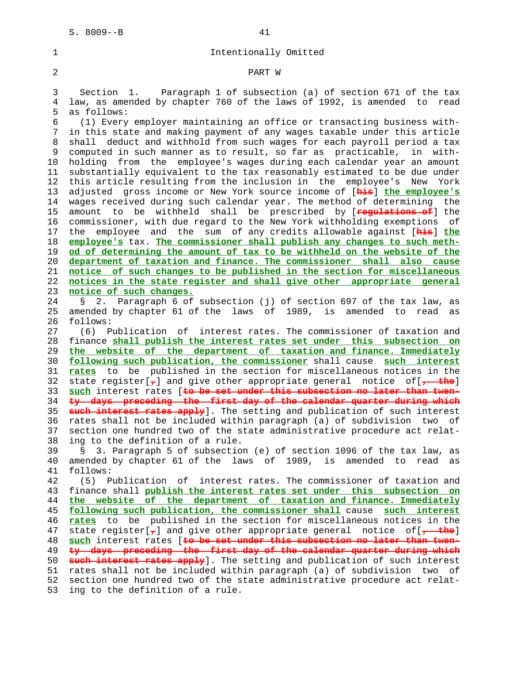1 Intentionally Omitted

## 2 PART W

 3 Section 1. Paragraph 1 of subsection (a) of section 671 of the tax 4 law, as amended by chapter 760 of the laws of 1992, is amended to read 5 as follows:

 6 (1) Every employer maintaining an office or transacting business with- 7 in this state and making payment of any wages taxable under this article 8 shall deduct and withhold from such wages for each payroll period a tax 9 computed in such manner as to result, so far as practicable, in with- 10 holding from the employee's wages during each calendar year an amount 11 substantially equivalent to the tax reasonably estimated to be due under 12 this article resulting from the inclusion in the employee's New York 13 adjusted gross income or New York source income of [**his**] **the employee's** 14 wages received during such calendar year. The method of determining the 15 amount to be withheld shall be prescribed by [**regulations of**] the 16 commissioner, with due regard to the New York withholding exemptions of 17 the employee and the sum of any credits allowable against [**his**] **the** 18 **employee's** tax. **The commissioner shall publish any changes to such meth-** 19 **od of determining the amount of tax to be withheld on the website of the** 20 **department of taxation and finance. The commissioner shall also cause** 21 **notice of such changes to be published in the section for miscellaneous** 22 **notices in the state register and shall give other appropriate general** 23 **notice of such changes.**

 24 § 2. Paragraph 6 of subsection (j) of section 697 of the tax law, as 25 amended by chapter 61 of the laws of 1989, is amended to read as 26 follows:

 27 (6) Publication of interest rates. The commissioner of taxation and 28 finance **shall publish the interest rates set under this subsection on** 29 **the website of the department of taxation and finance. Immediately** 30 **following such publication, the commissioner** shall cause **such interest** 31 **rates** to be published in the section for miscellaneous notices in the 32 state register[**,**] and give other appropriate general notice of[**, the**] 33 **such** interest rates [**to be set under this subsection no later than twen-** 34 **ty days preceding the first day of the calendar quarter during which** 35 **such interest rates apply**]. The setting and publication of such interest 36 rates shall not be included within paragraph (a) of subdivision two of 37 section one hundred two of the state administrative procedure act relat- 38 ing to the definition of a rule.

 39 § 3. Paragraph 5 of subsection (e) of section 1096 of the tax law, as 40 amended by chapter 61 of the laws of 1989, is amended to read as 41 follows:

 42 (5) Publication of interest rates. The commissioner of taxation and 43 finance shall **publish the interest rates set under this subsection on** 44 **the website of the department of taxation and finance. Immediately** 45 **following such publication, the commissioner shall** cause **such interest** 46 **rates** to be published in the section for miscellaneous notices in the 47 state register[**,**] and give other appropriate general notice of[**, the**] 48 **such** interest rates [**to be set under this subsection no later than twen-** 49 **ty days preceding the first day of the calendar quarter during which** 50 **such interest rates apply**]. The setting and publication of such interest 51 rates shall not be included within paragraph (a) of subdivision two of 52 section one hundred two of the state administrative procedure act relat- 53 ing to the definition of a rule.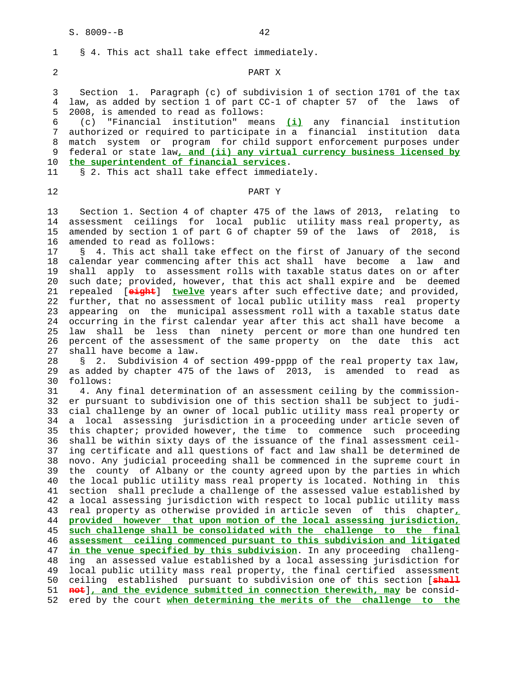# 2 PART X

 3 Section 1. Paragraph (c) of subdivision 1 of section 1701 of the tax 4 law, as added by section 1 of part CC-1 of chapter 57 of the laws of 5 2008, is amended to read as follows:

 6 (c) "Financial institution" means **(i)** any financial institution 7 authorized or required to participate in a financial institution data 8 match system or program for child support enforcement purposes under 9 federal or state law**, and (ii) any virtual currency business licensed by** 10 **the superintendent of financial services**.

11 § 2. This act shall take effect immediately.

1 § 4. This act shall take effect immediately.

# 12 PART Y

 13 Section 1. Section 4 of chapter 475 of the laws of 2013, relating to 14 assessment ceilings for local public utility mass real property, as 15 amended by section 1 of part G of chapter 59 of the laws of 2018, is 16 amended to read as follows:

 17 § 4. This act shall take effect on the first of January of the second 18 calendar year commencing after this act shall have become a law and 19 shall apply to assessment rolls with taxable status dates on or after 20 such date; provided, however, that this act shall expire and be deemed 21 repealed [**eight**] **twelve** years after such effective date; and provided, 22 further, that no assessment of local public utility mass real property 23 appearing on the municipal assessment roll with a taxable status date 24 occurring in the first calendar year after this act shall have become a 25 law shall be less than ninety percent or more than one hundred ten 26 percent of the assessment of the same property on the date this act 27 shall have become a law.

 28 § 2. Subdivision 4 of section 499-pppp of the real property tax law, 29 as added by chapter 475 of the laws of 2013, is amended to read as 30 follows:

 31 4. Any final determination of an assessment ceiling by the commission- 32 er pursuant to subdivision one of this section shall be subject to judi- 33 cial challenge by an owner of local public utility mass real property or 34 a local assessing jurisdiction in a proceeding under article seven of 35 this chapter; provided however, the time to commence such proceeding 36 shall be within sixty days of the issuance of the final assessment ceil- 37 ing certificate and all questions of fact and law shall be determined de 38 novo. Any judicial proceeding shall be commenced in the supreme court in 39 the county of Albany or the county agreed upon by the parties in which 40 the local public utility mass real property is located. Nothing in this 41 section shall preclude a challenge of the assessed value established by 42 a local assessing jurisdiction with respect to local public utility mass 43 real property as otherwise provided in article seven of this chapter**,** 44 **provided however that upon motion of the local assessing jurisdiction,** 45 **such challenge shall be consolidated with the challenge to the final** 46 **assessment ceiling commenced pursuant to this subdivision and litigated** 47 **in the venue specified by this subdivision**. In any proceeding challeng- 48 ing an assessed value established by a local assessing jurisdiction for 49 local public utility mass real property, the final certified assessment 50 ceiling established pursuant to subdivision one of this section [**shall** 51 **not**]**, and the evidence submitted in connection therewith, may** be consid- 52 ered by the court **when determining the merits of the challenge to the**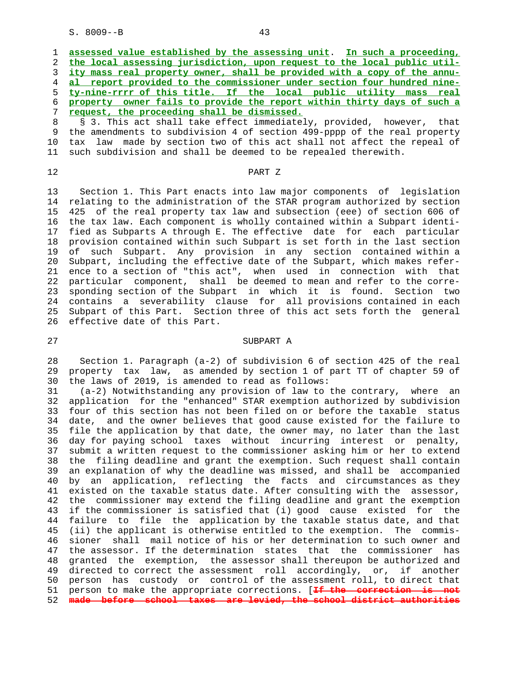|   | 1 assessed value established by the assessing unit. In such a proceeding,  |
|---|----------------------------------------------------------------------------|
|   | 2 the local assessing jurisdiction, upon request to the local public util- |
|   | 3 ity mass real property owner, shall be provided with a copy of the annu- |
|   | 4 al report provided to the commissioner under section four hundred nine-  |
|   | 5 ty-nine-rrrr of this title. If the local public utility mass real        |
|   | 6 property owner fails to provide the report within thirty days of such a  |
| 7 | request, the proceeding shall be dismissed.                                |
|   | 8 § 3. This act shall take effect immediately, provided, however, that     |
|   |                                                                            |

 9 the amendments to subdivision 4 of section 499-pppp of the real property 10 tax law made by section two of this act shall not affect the repeal of 11 such subdivision and shall be deemed to be repealed therewith.

# 12 PART Z

 13 Section 1. This Part enacts into law major components of legislation 14 relating to the administration of the STAR program authorized by section 15 425 of the real property tax law and subsection (eee) of section 606 of 16 the tax law. Each component is wholly contained within a Subpart identi- 17 fied as Subparts A through E. The effective date for each particular 18 provision contained within such Subpart is set forth in the last section 19 of such Subpart. Any provision in any section contained within a 20 Subpart, including the effective date of the Subpart, which makes refer- 21 ence to a section of "this act", when used in connection with that 22 particular component, shall be deemed to mean and refer to the corre- 23 sponding section of the Subpart in which it is found. Section two 24 contains a severability clause for all provisions contained in each 25 Subpart of this Part. Section three of this act sets forth the general 26 effective date of this Part.

### 27 SUBPART A

 28 Section 1. Paragraph (a-2) of subdivision 6 of section 425 of the real 29 property tax law, as amended by section 1 of part TT of chapter 59 of 30 the laws of 2019, is amended to read as follows:

 31 (a-2) Notwithstanding any provision of law to the contrary, where an 32 application for the "enhanced" STAR exemption authorized by subdivision 33 four of this section has not been filed on or before the taxable status 34 date, and the owner believes that good cause existed for the failure to 35 file the application by that date, the owner may, no later than the last 36 day for paying school taxes without incurring interest or penalty, 37 submit a written request to the commissioner asking him or her to extend 38 the filing deadline and grant the exemption. Such request shall contain 39 an explanation of why the deadline was missed, and shall be accompanied 40 by an application, reflecting the facts and circumstances as they 41 existed on the taxable status date. After consulting with the assessor, 42 the commissioner may extend the filing deadline and grant the exemption 43 if the commissioner is satisfied that (i) good cause existed for the 44 failure to file the application by the taxable status date, and that 45 (ii) the applicant is otherwise entitled to the exemption. The commis- 46 sioner shall mail notice of his or her determination to such owner and 47 the assessor. If the determination states that the commissioner has 48 granted the exemption, the assessor shall thereupon be authorized and 49 directed to correct the assessment roll accordingly, or, if another 50 person has custody or control of the assessment roll, to direct that 51 person to make the appropriate corrections. [**If the correction is not** 52 **made before school taxes are levied, the school district authorities**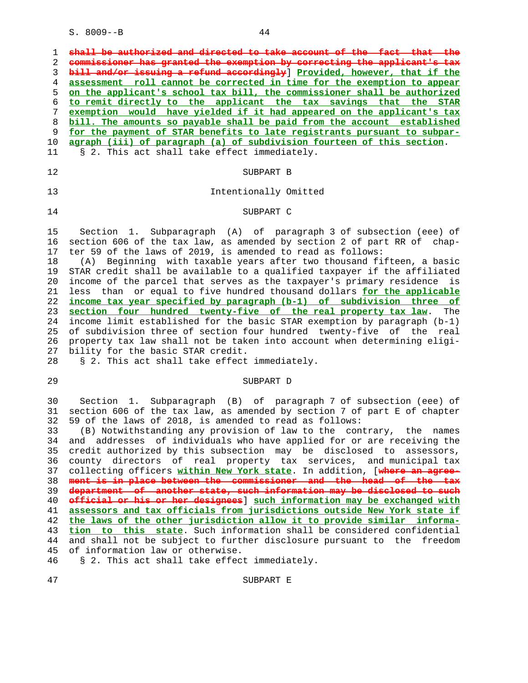1 **shall be authorized and directed to take account of the fact**  2 **commissioner has granted the exemption by correcting the applicant's tax** 3 **bill and/or issuing a refund accordingly**] **Provided, however, that if the** 4 **assessment roll cannot be corrected in time for the exemption to appear** 5 **on the applicant's school tax bill, the commissioner shall be authorized** 6 **to remit directly to the applicant the tax savings that the STAR** 7 **exemption would have yielded if it had appeared on the applicant's tax** 8 **bill. The amounts so payable shall be paid from the account established** 9 **for the payment of STAR benefits to late registrants pursuant to subpar-** 10 **agraph (iii) of paragraph (a) of subdivision fourteen of this section**. 11 § 2. This act shall take effect immediately. 12 SUBPART B 13 Intentionally Omitted 14 SUBPART C 15 Section 1. Subparagraph (A) of paragraph 3 of subsection (eee) of 16 section 606 of the tax law, as amended by section 2 of part RR of chap- 17 ter 59 of the laws of 2019, is amended to read as follows: 18 (A) Beginning with taxable years after two thousand fifteen, a basic 19 STAR credit shall be available to a qualified taxpayer if the affiliated 20 income of the parcel that serves as the taxpayer's primary residence is 21 less than or equal to five hundred thousand dollars **for the applicable** 22 **income tax year specified by paragraph (b-1) of subdivision three of** 23 **section four hundred twenty-five of the real property tax law**. The 24 income limit established for the basic STAR exemption by paragraph (b-1) 25 of subdivision three of section four hundred twenty-five of the real 26 property tax law shall not be taken into account when determining eligi-

27 bility for the basic STAR credit.

28 § 2. This act shall take effect immediately.

#### 29 SUBPART D

 30 Section 1. Subparagraph (B) of paragraph 7 of subsection (eee) of 31 section 606 of the tax law, as amended by section 7 of part E of chapter 32 59 of the laws of 2018, is amended to read as follows:

 33 (B) Notwithstanding any provision of law to the contrary, the names 34 and addresses of individuals who have applied for or are receiving the 35 credit authorized by this subsection may be disclosed to assessors, 36 county directors of real property tax services, and municipal tax 37 collecting officers **within New York state**. In addition, [**where an agree-** 38 **ment is in place between the commissioner and the head of the tax** 39 **department of another state, such information may be disclosed to such** 40 **official or his or her designees**] **such information may be exchanged with** 41 **assessors and tax officials from jurisdictions outside New York state if** 42 **the laws of the other jurisdiction allow it to provide similar informa-** 43 **tion to this state**. Such information shall be considered confidential 44 and shall not be subject to further disclosure pursuant to the freedom 45 of information law or otherwise.

46 § 2. This act shall take effect immediately.

47 SUBPART E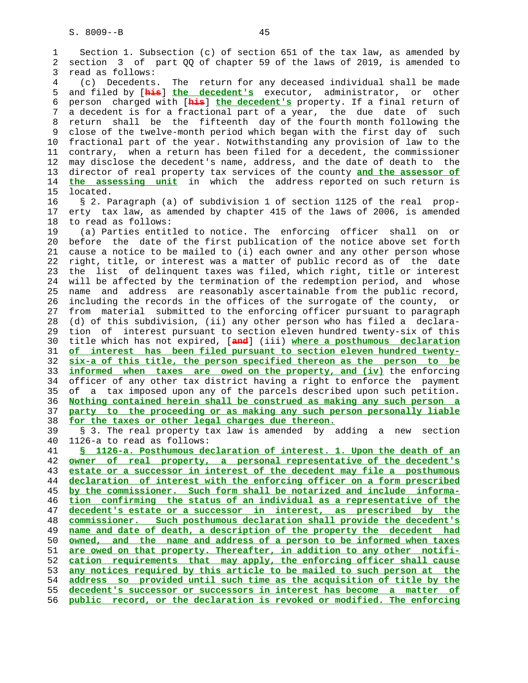1 Section 1. Subsection (c) of section 651 of the tax law, as amended by 2 section 3 of part QQ of chapter 59 of the laws of 2019, is amended to 3 read as follows: 4 (c) Decedents. The return for any deceased individual shall be made 5 and filed by [**his**] **the decedent's** executor, administrator, or other 6 person charged with [**his**] **the decedent's** property. If a final return of 7 a decedent is for a fractional part of a year, the due date of such 8 return shall be the fifteenth day of the fourth month following the 9 close of the twelve-month period which began with the first day of such 10 fractional part of the year. Notwithstanding any provision of law to the 11 contrary, when a return has been filed for a decedent, the commissioner 12 may disclose the decedent's name, address, and the date of death to the 13 director of real property tax services of the county **and the assessor of** 14 **the assessing unit** in which the address reported on such return is 15 located. 16 § 2. Paragraph (a) of subdivision 1 of section 1125 of the real prop- 17 erty tax law, as amended by chapter 415 of the laws of 2006, is amended 18 to read as follows: 19 (a) Parties entitled to notice. The enforcing officer shall on or 20 before the date of the first publication of the notice above set forth 21 cause a notice to be mailed to (i) each owner and any other person whose 22 right, title, or interest was a matter of public record as of the date 23 the list of delinquent taxes was filed, which right, title or interest 24 will be affected by the termination of the redemption period, and whose 25 name and address are reasonably ascertainable from the public record, 26 including the records in the offices of the surrogate of the county, or 27 from material submitted to the enforcing officer pursuant to paragraph 28 (d) of this subdivision, (ii) any other person who has filed a declara- 29 tion of interest pursuant to section eleven hundred twenty-six of this 30 title which has not expired, [**and**] (iii) **where a posthumous declaration** 31 **of interest has been filed pursuant to section eleven hundred twenty-** 32 **six-a of this title, the person specified thereon as the person to be** 33 **informed when taxes are owed on the property, and (iv)** the enforcing 34 officer of any other tax district having a right to enforce the payment 35 of a tax imposed upon any of the parcels described upon such petition. 36 **Nothing contained herein shall be construed as making any such person a** 37 **party to the proceeding or as making any such person personally liable** 38 **for the taxes or other legal charges due thereon.** 39 § 3. The real property tax law is amended by adding a new section 40 1126-a to read as follows: 41 **§ 1126-a. Posthumous declaration of interest. 1. Upon the death of an** 42 **owner of real property, a personal representative of the decedent's** 43 **estate or a successor in interest of the decedent may file a posthumous** 44 **declaration of interest with the enforcing officer on a form prescribed** 45 **by the commissioner. Such form shall be notarized and include informa-** 46 **tion confirming the status of an individual as a representative of the** 47 **decedent's estate or a successor in interest, as prescribed by the** 48 **commissioner. Such posthumous declaration shall provide the decedent's** 49 **name and date of death, a description of the property the decedent had** 50 **owned, and the name and address of a person to be informed when taxes** 51 **are owed on that property. Thereafter, in addition to any other notifi-** 52 **cation requirements that may apply, the enforcing officer shall cause** 53 **any notices required by this article to be mailed to such person at the** 54 **address so provided until such time as the acquisition of title by the** 55 **decedent's successor or successors in interest has become a matter of** 56 **public record, or the declaration is revoked or modified. The enforcing**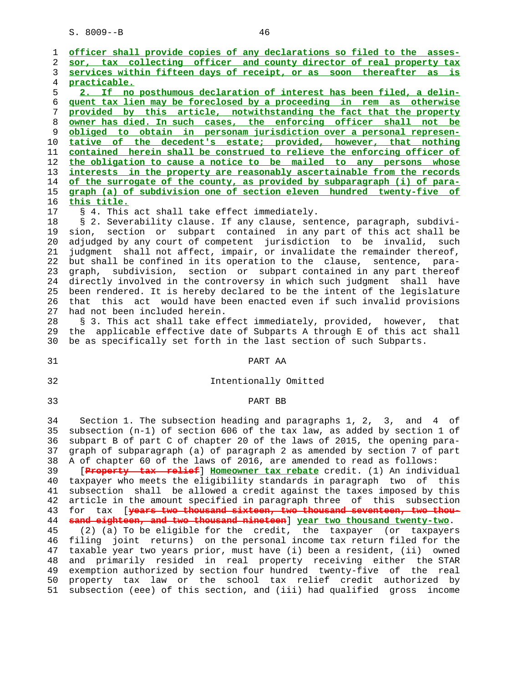1 **officer shall provide copies of any declarations so filed to the asses-** 2 **sor, tax collecting officer and county director of real property tax** 3 **services within fifteen days of receipt, or as soon thereafter as is** 4 **practicable.** 5 **2. If no posthumous declaration of interest has been filed, a delin-** 6 **quent tax lien may be foreclosed by a proceeding in rem as otherwise** 7 **provided by this article, notwithstanding the fact that the property** 8 **owner has died. In such cases, the enforcing officer shall not be** 9 **obliged to obtain in personam jurisdiction over a personal represen-** 10 **tative of the decedent's estate; provided, however, that nothing** 11 **contained herein shall be construed to relieve the enforcing officer of** 12 **the obligation to cause a notice to be mailed to any persons whose** 13 **interests in the property are reasonably ascertainable from the records** 14 **of the surrogate of the county, as provided by subparagraph (i) of para-** 15 **graph (a) of subdivision one of section eleven hundred twenty-five of** 16 **this title.** 17 § 4. This act shall take effect immediately. 18 § 2. Severability clause. If any clause, sentence, paragraph, subdivi- 19 sion, section or subpart contained in any part of this act shall be 20 adjudged by any court of competent jurisdiction to be invalid, such 21 judgment shall not affect, impair, or invalidate the remainder thereof, 22 but shall be confined in its operation to the clause, sentence, para- 23 graph, subdivision, section or subpart contained in any part thereof 24 directly involved in the controversy in which such judgment shall have 25 been rendered. It is hereby declared to be the intent of the legislature 26 that this act would have been enacted even if such invalid provisions 27 had not been included herein. 28 § 3. This act shall take effect immediately, provided, however, that 29 the applicable effective date of Subparts A through E of this act shall 30 be as specifically set forth in the last section of such Subparts. 31 PART AA 32 Intentionally Omitted

33 PART BB

 34 Section 1. The subsection heading and paragraphs 1, 2, 3, and 4 of 35 subsection (n-1) of section 606 of the tax law, as added by section 1 of 36 subpart B of part C of chapter 20 of the laws of 2015, the opening para- 37 graph of subparagraph (a) of paragraph 2 as amended by section 7 of part 38 A of chapter 60 of the laws of 2016, are amended to read as follows:

 39 [**Property tax relief**] **Homeowner tax rebate** credit. (1) An individual 40 taxpayer who meets the eligibility standards in paragraph two of this 41 subsection shall be allowed a credit against the taxes imposed by this 42 article in the amount specified in paragraph three of this subsection 43 for tax [**years two thousand sixteen, two thousand seventeen, two thou-** 44 **sand eighteen, and two thousand nineteen**] **year two thousand twenty-two**.

 45 (2) (a) To be eligible for the credit, the taxpayer (or taxpayers 46 filing joint returns) on the personal income tax return filed for the 47 taxable year two years prior, must have (i) been a resident, (ii) owned 48 and primarily resided in real property receiving either the STAR 49 exemption authorized by section four hundred twenty-five of the real 50 property tax law or the school tax relief credit authorized by 51 subsection (eee) of this section, and (iii) had qualified gross income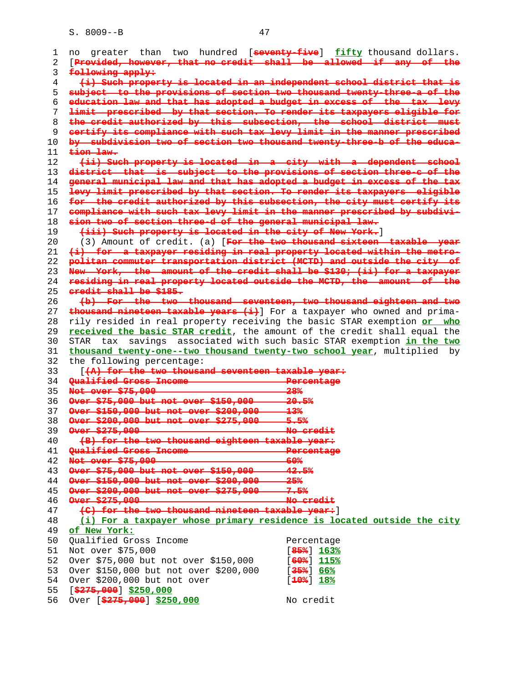| 1  | no                                                                       | greater than two hundred [seventy-five] fifty thousand dollars.      |
|----|--------------------------------------------------------------------------|----------------------------------------------------------------------|
| 2  | [Provided, however, that no credit shall be allowed if any of the        |                                                                      |
| 3  | following apply:                                                         |                                                                      |
| 4  | (i) Such property is located in an independent school district that is   |                                                                      |
| 5  | subject to the provisions of section two thousand twenty-three-a of the  |                                                                      |
| 6  | education law and that has adopted a budget in excess of the tax levy    |                                                                      |
| 7  | limit prescribed by that section. To render its taxpayers eligible for   |                                                                      |
| 8  | the credit authorized by this subsection, the school district must       |                                                                      |
|    |                                                                          |                                                                      |
| 9  | certify its compliance with such tax levy limit in the manner prescribed |                                                                      |
| 10 | by subdivision two of section two thousand twenty-three-b of the educa-  |                                                                      |
| 11 | tion law.                                                                |                                                                      |
| 12 | (ii) Such property is located in a city with a dependent school          |                                                                      |
| 13 | district that is subject to the provisions of section three-c of the     |                                                                      |
| 14 | general municipal law and that has adopted a budget in excess of the tax |                                                                      |
| 15 | levy limit prescribed by that section. To render its taxpayers eligible  |                                                                      |
| 16 | for the credit authorized by this subsection, the city must certify its  |                                                                      |
| 17 | compliance with such tax levy limit in the manner prescribed by subdivi- |                                                                      |
| 18 | sion two of section three-d of the general municipal law.                |                                                                      |
| 19 | (iii) Such property is located in the city of New York.]                 |                                                                      |
| 20 |                                                                          | (3) Amount of credit. (a) [For the two thousand sixteen taxable year |
| 21 | (i) for a taxpayer residing in real property located within the metro-   |                                                                      |
|    |                                                                          |                                                                      |
| 22 | politan commuter transportation district (MCTD) and outside the city of  |                                                                      |
| 23 | New York, the amount of the credit shall be \$130, (ii) for a taxpayer   |                                                                      |
| 24 | residing in real property located outside the MCTD, the amount of the    |                                                                      |
| 25 | eredit shall be \$185.                                                   |                                                                      |
| 26 | (b) For the two thousand seventeen, two thousand eighteen and two        |                                                                      |
| 27 | thousand nineteen taxable years (i) For a taxpayer who owned and prima-  |                                                                      |
| 28 | rily resided in real property receiving the basic STAR exemption or who  |                                                                      |
| 29 | received the basic STAR credit, the amount of the credit shall equal the |                                                                      |
| 30 | STAR tax savings associated with such basic STAR exemption in the two    |                                                                      |
| 31 | thousand twenty-one--two thousand twenty-two school year, multiplied by  |                                                                      |
| 32 | the following percentage:                                                |                                                                      |
| 33 | [(A) for the two thousand seventeen taxable year:                        |                                                                      |
| 34 |                                                                          | Percentage                                                           |
| 35 | Not over \$75,000                                                        | 28%                                                                  |
|    | Over \$75,000 but not over \$150,000 - 20.5%                             |                                                                      |
| 36 |                                                                          |                                                                      |
| 37 | Over \$150,000 but not over \$200,000 13%                                |                                                                      |
| 38 | Over \$200,000 but not over \$275,000 5.5%                               |                                                                      |
| 39 | Over \$275,000                                                           | <del>No credit</del>                                                 |
| 40 | (B) for the two thousand eighteen taxable year:                          |                                                                      |
| 41 | Oualified Gross Income                                                   | Percentage                                                           |
| 42 | Not over \$75,000                                                        | <del>60%</del>                                                       |
| 43 | Over \$75,000 but not over \$150,000                                     | 42.5%                                                                |
| 44 | Over \$150,000 but not over \$200,000                                    | عقد                                                                  |
| 45 | Over \$200,000 but not over \$275,000                                    |                                                                      |
|    | $0 \text{ver } $275,000$                                                 |                                                                      |
| 46 |                                                                          | <del>No credit</del>                                                 |
| 47 | (C) for the two thousand nineteen taxable year: [                        |                                                                      |
| 48 | (i) For a taxpayer whose primary residence is located outside the city   |                                                                      |
| 49 | of New York:                                                             |                                                                      |
| 50 | Qualified Gross Income                                                   | Percentage                                                           |
| 51 | Not over \$75,000                                                        | [ <del>85%</del> ] 163%                                              |
| 52 | Over \$75,000 but not over \$150,000                                     | [60%] 115%                                                           |
| 53 | Over \$150,000 but not over \$200,000                                    | [ <del>35%</del> ] 66%                                               |
| 54 | Over \$200,000 but not over                                              | $[10$ <sup>2</sup> $] 18$ <sup>2</sup>                               |
| 55 | $[$ \$275,000] \$250,000                                                 |                                                                      |
| 56 | Over [ $\frac{275,000}{275,000}$ ] \$250,000                             | No credit                                                            |
|    |                                                                          |                                                                      |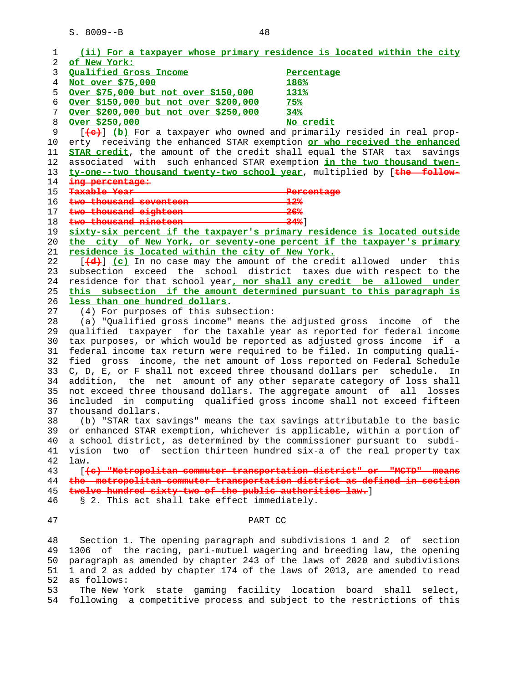| 1  | (ii) For a taxpayer whose primary residence is located within the city                                                                                                                                                               |                                                                   |
|----|--------------------------------------------------------------------------------------------------------------------------------------------------------------------------------------------------------------------------------------|-------------------------------------------------------------------|
| 2  | of New York:                                                                                                                                                                                                                         |                                                                   |
| 3  | Qualified Gross Income                                                                                                                                                                                                               | Percentage                                                        |
| 4  | Not over \$75,000                                                                                                                                                                                                                    | 186%                                                              |
| 5  | Over \$75,000 but not over \$150,000                                                                                                                                                                                                 | 131%                                                              |
| 6  | Over \$150,000 but not over \$200,000                                                                                                                                                                                                | 75%                                                               |
| 7  | Over \$200,000 but not over \$250,000                                                                                                                                                                                                | 34%                                                               |
| 8  | Over \$250,000                                                                                                                                                                                                                       | No credit                                                         |
| 9  | [(a) [b] For a taxpayer who owned and primarily resided in real prop-                                                                                                                                                                |                                                                   |
| 10 | erty receiving the enhanced STAR exemption or who received the enhanced                                                                                                                                                              |                                                                   |
| 11 | STAR credit, the amount of the credit shall equal the STAR tax                                                                                                                                                                       | savings                                                           |
| 12 | associated with such enhanced STAR exemption in the two thousand twen-                                                                                                                                                               |                                                                   |
| 13 | ty-one--two thousand twenty-two school year, multiplied by [the follow-                                                                                                                                                              |                                                                   |
|    |                                                                                                                                                                                                                                      |                                                                   |
| 14 | ing persentage:<br>Taxable Year                                                                                                                                                                                                      |                                                                   |
| 15 | two thousand seventeen <b>the contract of the contract of the contract of the contract of the contract of the contract of the contract of the contract of the contract of the contract of the contract of the contract of the co</b> | <del>Percentage</del><br>$-12%$                                   |
| 16 |                                                                                                                                                                                                                                      | 26%                                                               |
| 17 | two thousand eighteen <b>contains the set of the set of the set of the set of the set of the set of the set of the set of the set of the set of the set of the set of the set of the set of the set of the set of the set of the</b> |                                                                   |
| 18 | two thousand nineteen 24%                                                                                                                                                                                                            |                                                                   |
| 19 | sixty-six percent if the taxpayer's primary residence is located outside                                                                                                                                                             |                                                                   |
| 20 | the city of New York, or seventy-one percent if the taxpayer's primary                                                                                                                                                               |                                                                   |
| 21 | residence is located within the city of New York.                                                                                                                                                                                    |                                                                   |
| 22 | $\left[\frac{4}{4}\right]$ (c) In no case may the amount of the credit allowed under this                                                                                                                                            |                                                                   |
| 23 | subsection exceed the school district taxes due with respect to the                                                                                                                                                                  |                                                                   |
| 24 | residence for that school year, nor shall any credit be allowed under                                                                                                                                                                |                                                                   |
| 25 | this subsection if the amount determined pursuant to this paragraph is                                                                                                                                                               |                                                                   |
| 26 | less than one hundred dollars.                                                                                                                                                                                                       |                                                                   |
| 27 | (4) For purposes of this subsection:                                                                                                                                                                                                 |                                                                   |
| 28 | (a) "Qualified gross income" means the adjusted gross income of the                                                                                                                                                                  |                                                                   |
| 29 | qualified taxpayer for the taxable year as reported for federal income                                                                                                                                                               |                                                                   |
| 30 | tax purposes, or which would be reported as adjusted gross income if a                                                                                                                                                               |                                                                   |
| 31 | federal income tax return were required to be filed. In computing quali-                                                                                                                                                             |                                                                   |
| 32 | fied gross                                                                                                                                                                                                                           | income, the net amount of loss reported on Federal Schedule       |
| 33 | C, D, E, or F shall not exceed three thousand dollars per schedule.                                                                                                                                                                  | In                                                                |
| 34 | addition, the net amount of any other separate category of loss shall                                                                                                                                                                |                                                                   |
| 35 | not exceed three thousand dollars. The aggregate amount of all losses                                                                                                                                                                |                                                                   |
| 36 | included in computing qualified gross income shall not exceed fifteen                                                                                                                                                                |                                                                   |
| 37 | thousand dollars.                                                                                                                                                                                                                    |                                                                   |
| 38 | (b) "STAR tax savings" means the tax savings attributable to the basic                                                                                                                                                               |                                                                   |
| 39 | or enhanced STAR exemption, whichever is applicable, within a portion of                                                                                                                                                             |                                                                   |
| 40 | a school district, as determined by the commissioner pursuant to subdi-                                                                                                                                                              |                                                                   |
| 41 | vision two of section thirteen hundred six-a of the real property tax                                                                                                                                                                |                                                                   |
| 42 | law.                                                                                                                                                                                                                                 |                                                                   |
| 43 | [(e) Wetropolitan commuter transportation district" or                                                                                                                                                                               |                                                                   |
| 44 | the metropolitan commuter transportation district as defined in section                                                                                                                                                              |                                                                   |
| 45 | twelve hundred sixty-two of the public authorities law.                                                                                                                                                                              |                                                                   |
| 46 | § 2. This act shall take effect immediately.                                                                                                                                                                                         |                                                                   |
|    |                                                                                                                                                                                                                                      |                                                                   |
| 47 | PART CC                                                                                                                                                                                                                              |                                                                   |
|    |                                                                                                                                                                                                                                      |                                                                   |
| 48 | Section 1. The opening paragraph and subdivisions 1 and 2 of                                                                                                                                                                         | section                                                           |
| 49 | 1306                                                                                                                                                                                                                                 | of the racing, pari-mutuel wagering and breeding law, the opening |
| 50 | paragraph as amended by chapter 243 of the laws of 2020 and subdivisions                                                                                                                                                             |                                                                   |
| 51 | 1 and 2 as added by chapter 174 of the laws of 2013, are amended to read                                                                                                                                                             |                                                                   |
| 52 | as follows:                                                                                                                                                                                                                          |                                                                   |
|    |                                                                                                                                                                                                                                      |                                                                   |

 53 The New York state gaming facility location board shall select, 54 following a competitive process and subject to the restrictions of this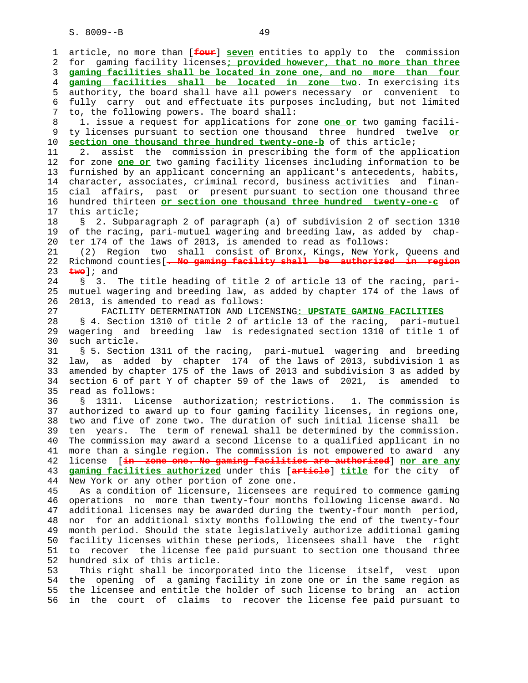1 article, no more than [**four**] **seven** entities to apply to the commission 2 for gaming facility licenses**; provided however, that no more than three** 3 **gaming facilities shall be located in zone one, and no more than four** 4 **gaming facilities shall be located in zone two**. In exercising its 5 authority, the board shall have all powers necessary or convenient to 6 fully carry out and effectuate its purposes including, but not limited 7 to, the following powers. The board shall: 8 1. issue a request for applications for zone **one or** two gaming facili- 9 ty licenses pursuant to section one thousand three hundred twelve **or** 10 **section one thousand three hundred twenty-one-b** of this article; 11 2. assist the commission in prescribing the form of the application 12 for zone **one or** two gaming facility licenses including information to be 13 furnished by an applicant concerning an applicant's antecedents, habits, 14 character, associates, criminal record, business activities and finan- 15 cial affairs, past or present pursuant to section one thousand three 16 hundred thirteen **or section one thousand three hundred twenty-one-c** of 17 this article; 18 § 2. Subparagraph 2 of paragraph (a) of subdivision 2 of section 1310 19 of the racing, pari-mutuel wagering and breeding law, as added by chap- 20 ter 174 of the laws of 2013, is amended to read as follows: 21 (2) Region two shall consist of Bronx, Kings, New York, Queens and 22 Richmond counties[**. No gaming facility shall be authorized in region** 23 **two**]; and 24 § 3. The title heading of title 2 of article 13 of the racing, pari- 25 mutuel wagering and breeding law, as added by chapter 174 of the laws of 26 2013, is amended to read as follows: 27 FACILITY DETERMINATION AND LICENSING**: UPSTATE GAMING FACILITIES** 28 § 4. Section 1310 of title 2 of article 13 of the racing, pari-mutuel 29 wagering and breeding law is redesignated section 1310 of title 1 of 30 such article. 31 § 5. Section 1311 of the racing, pari-mutuel wagering and breeding 32 law, as added by chapter 174 of the laws of 2013, subdivision 1 as 33 amended by chapter 175 of the laws of 2013 and subdivision 3 as added by 34 section 6 of part Y of chapter 59 of the laws of 2021, is amended to 35 read as follows: 36 § 1311. License authorization; restrictions. 1. The commission is 37 authorized to award up to four gaming facility licenses, in regions one, 38 two and five of zone two. The duration of such initial license shall be 39 ten years. The term of renewal shall be determined by the commission. 40 The commission may award a second license to a qualified applicant in no 41 more than a single region. The commission is not empowered to award any 42 license [**in zone one. No gaming facilities are authorized**] **nor are any** 43 **gaming facilities authorized** under this [**article**] **title** for the city of 44 New York or any other portion of zone one. 45 As a condition of licensure, licensees are required to commence gaming 46 operations no more than twenty-four months following license award. No 47 additional licenses may be awarded during the twenty-four month period, 48 nor for an additional sixty months following the end of the twenty-four 49 month period. Should the state legislatively authorize additional gaming 50 facility licenses within these periods, licensees shall have the right 51 to recover the license fee paid pursuant to section one thousand three 52 hundred six of this article. 53 This right shall be incorporated into the license itself, vest upon 54 the opening of a gaming facility in zone one or in the same region as 55 the licensee and entitle the holder of such license to bring an action

56 in the court of claims to recover the license fee paid pursuant to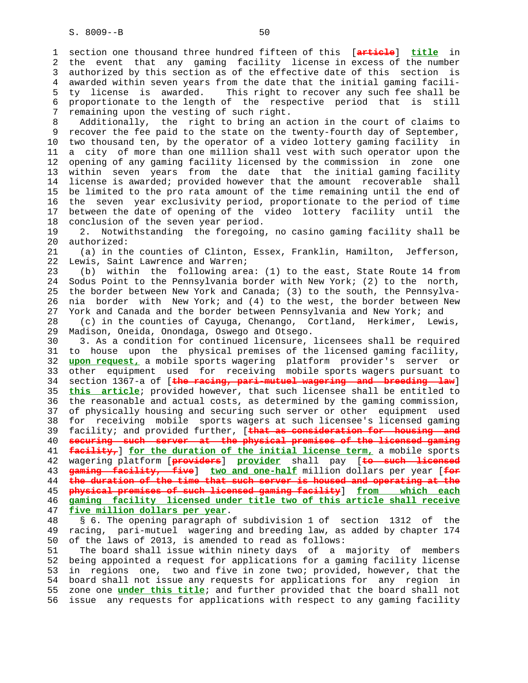1 section one thousand three hundred fifteen of this [**article**] **title** in 2 the event that any gaming facility license in excess of the number 3 authorized by this section as of the effective date of this section is 4 awarded within seven years from the date that the initial gaming facili- 5 ty license is awarded. This right to recover any such fee shall be 6 proportionate to the length of the respective period that is still 7 remaining upon the vesting of such right. 8 Additionally, the right to bring an action in the court of claims to 9 recover the fee paid to the state on the twenty-fourth day of September, 10 two thousand ten, by the operator of a video lottery gaming facility in 11 a city of more than one million shall vest with such operator upon the 12 opening of any gaming facility licensed by the commission in zone one 13 within seven years from the date that the initial gaming facility 14 license is awarded; provided however that the amount recoverable shall 15 be limited to the pro rata amount of the time remaining until the end of 16 the seven year exclusivity period, proportionate to the period of time 17 between the date of opening of the video lottery facility until the 18 conclusion of the seven year period. 19 2. Notwithstanding the foregoing, no casino gaming facility shall be 20 authorized: 21 (a) in the counties of Clinton, Essex, Franklin, Hamilton, Jefferson, 22 Lewis, Saint Lawrence and Warren; 23 (b) within the following area: (1) to the east, State Route 14 from 24 Sodus Point to the Pennsylvania border with New York; (2) to the north, 25 the border between New York and Canada; (3) to the south, the Pennsylva- 26 nia border with New York; and (4) to the west, the border between New 27 York and Canada and the border between Pennsylvania and New York; and 28 (c) in the counties of Cayuga, Chenango, Cortland, Herkimer, Lewis, 29 Madison, Oneida, Onondaga, Oswego and Otsego. 30 3. As a condition for continued licensure, licensees shall be required 31 to house upon the physical premises of the licensed gaming facility, 32 **upon request,** a mobile sports wagering platform provider's server or 33 other equipment used for receiving mobile sports wagers pursuant to 34 section 1367-a of [**the racing, pari-mutuel wagering and breeding law**] 35 **this article**; provided however, that such licensee shall be entitled to 36 the reasonable and actual costs, as determined by the gaming commission, 37 of physically housing and securing such server or other equipment used 38 for receiving mobile sports wagers at such licensee's licensed gaming 39 facility; and provided further, [**that as consideration for housing and** 40 **securing such server at the physical premises of the licensed gaming** 41 **facility,**] **for the duration of the initial license term,** a mobile sports 42 wagering platform [**providers**] **provider** shall pay [**to such licensed** 43 **gaming facility, five**] **two and one-half** million dollars per year [**for** 44 **the duration of the time that such server is housed and operating at the** 45 **physical premises of such licensed gaming facility**] **from which each** 46 **gaming facility licensed under title two of this article shall receive** 47 **five million dollars per year**. 48 § 6. The opening paragraph of subdivision 1 of section 1312 of the 49 racing, pari-mutuel wagering and breeding law, as added by chapter 174 50 of the laws of 2013, is amended to read as follows: 51 The board shall issue within ninety days of a majority of members

 52 being appointed a request for applications for a gaming facility license 53 in regions one, two and five in zone two; provided, however, that the 54 board shall not issue any requests for applications for any region in 55 zone one **under this title**; and further provided that the board shall not 56 issue any requests for applications with respect to any gaming facility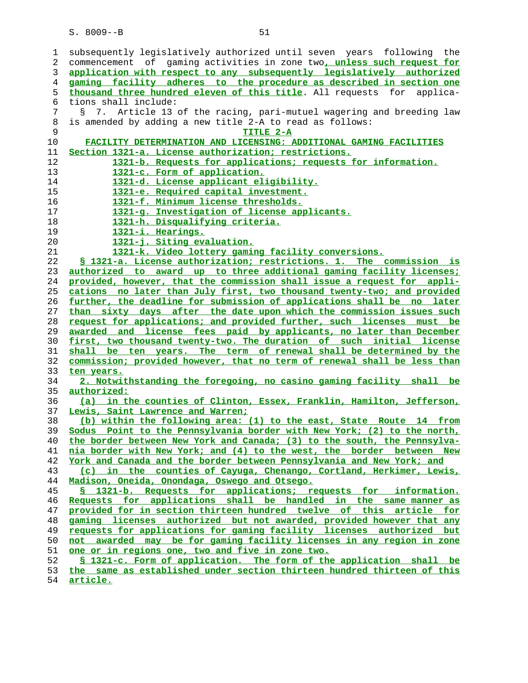| 1  | subsequently legislatively authorized until seven years following the    |
|----|--------------------------------------------------------------------------|
| 2  | commencement of gaming activities in zone two, unless such request for   |
| 3  | application with respect to any subsequently legislatively authorized    |
| 4  | gaming facility adheres to the procedure as described in section one     |
| 5  | thousand three hundred eleven of this title. All requests for applica-   |
| 6  | tions shall include:                                                     |
| 7  | 7. Article 13 of the racing, pari-mutuel wagering and breeding law<br>S. |
| 8  | is amended by adding a new title 2-A to read as follows:                 |
| 9  | TITLE 2-A                                                                |
| 10 | FACILITY DETERMINATION AND LICENSING: ADDITIONAL GAMING FACILITIES       |
| 11 | Section 1321-a. License authorization; restrictions.                     |
| 12 | 1321-b. Requests for applications; requests for information.             |
| 13 | 1321-c. Form of application.                                             |
| 14 | 1321-d. License applicant eligibility.                                   |
| 15 | 1321-e. Required capital investment.                                     |
|    |                                                                          |
| 16 | 1321-f. Minimum license thresholds.                                      |
| 17 | 1321-g. Investigation of license applicants.                             |
| 18 | 1321-h. Disqualifying criteria.                                          |
| 19 | 1321-i. Hearings.                                                        |
| 20 | 1321-j. Siting evaluation.                                               |
| 21 | 1321-k. Video lottery gaming facility conversions.                       |
| 22 | § 1321-a. License authorization; restrictions. 1. The commission is      |
| 23 | authorized to award up to three additional gaming facility licenses;     |
| 24 | provided, however, that the commission shall issue a request for appli-  |
| 25 | cations no later than July first, two thousand twenty-two; and provided  |
| 26 | further, the deadline for submission of applications shall be no later   |
| 27 | than sixty days after the date upon which the commission issues such     |
| 28 | request for applications; and provided further, such licenses must be    |
| 29 | awarded and license fees paid by applicants, no later than December      |
| 30 | first, two thousand twenty-two. The duration of such initial license     |
| 31 | shall be ten years. The term of renewal shall be determined by the       |
| 32 | commission; provided however, that no term of renewal shall be less than |
| 33 | ten years.                                                               |
| 34 | 2. Notwithstanding the foregoing, no casino gaming facility shall be     |
| 35 | <u>authorized:</u>                                                       |
| 36 | (a) in the counties of Clinton, Essex, Franklin, Hamilton, Jefferson,    |
| 37 | Lewis, Saint Lawrence and Warren;                                        |
| 38 | (b) within the following area: (1) to the east, State Route 14 from      |
| 39 | Sodus Point to the Pennsylvania border with New York; (2) to the north,  |
| 40 | the border between New York and Canada; (3) to the south, the Pennsylva- |
| 41 | nia border with New York; and (4) to the west, the border between New    |
| 42 | York and Canada and the border between Pennsylvania and New York; and    |
| 43 | (c) in the counties of Cayuga, Chenango, Cortland, Herkimer, Lewis,      |
| 44 | Madison, Oneida, Onondaga, Oswego and Otsego.                            |
| 45 | \$ 1321-b. Requests for applications; requests for information.          |
| 46 | Requests for applications shall be handled in the same manner as         |
| 47 | provided for in section thirteen hundred twelve of this article for      |
| 48 | gaming licenses authorized but not awarded, provided however that any    |
| 49 | requests for applications for gaming facility licenses authorized but    |
| 50 | not awarded may be for gaming facility licenses in any region in zone    |
| 51 | <u>one or in regions one, two and five in zone two.</u>                  |
| 52 | \$ 1321-c. Form of application. The form of the application shall be     |
| 53 | the same as established under section thirteen hundred thirteen of this  |
| 54 | article.                                                                 |
|    |                                                                          |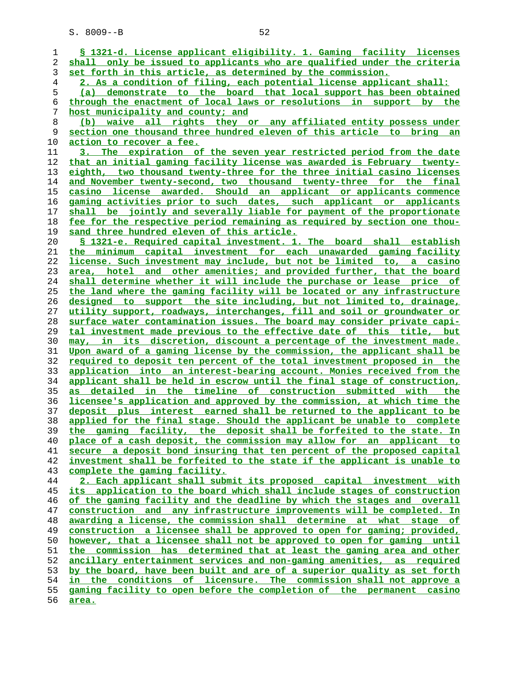**§ 1321-d. License applicant eligibility. 1. Gaming facility licenses shall only be issued to applicants who are qualified under the criteria set forth in this article, as determined by the commission. 2. As a condition of filing, each potential license applicant shall: (a) demonstrate to the board that local support has been obtained through the enactment of local laws or resolutions in support by the host municipality and county; and (b) waive all rights they or any affiliated entity possess under section one thousand three hundred eleven of this article to bring an action to recover a fee. 3. The expiration of the seven year restricted period from the date that an initial gaming facility license was awarded is February twenty- eighth, two thousand twenty-three for the three initial casino licenses and November twenty-second, two thousand twenty-three for the final casino license awarded. Should an applicant or applicants commence gaming activities prior to such dates, such applicant or applicants shall be jointly and severally liable for payment of the proportionate fee for the respective period remaining as required by section one thou- sand three hundred eleven of this article. § 1321-e. Required capital investment. 1. The board shall establish the minimum capital investment for each unawarded gaming facility license. Such investment may include, but not be limited to, a casino area, hotel and other amenities; and provided further, that the board shall determine whether it will include the purchase or lease price of the land where the gaming facility will be located or any infrastructure designed to support the site including, but not limited to, drainage, utility support, roadways, interchanges, fill and soil or groundwater or surface water contamination issues. The board may consider private capi- tal investment made previous to the effective date of this title, but may, in its discretion, discount a percentage of the investment made. Upon award of a gaming license by the commission, the applicant shall be required to deposit ten percent of the total investment proposed in the application into an interest-bearing account. Monies received from the applicant shall be held in escrow until the final stage of construction, as detailed in the timeline of construction submitted with the licensee's application and approved by the commission, at which time the deposit plus interest earned shall be returned to the applicant to be applied for the final stage. Should the applicant be unable to complete the gaming facility, the deposit shall be forfeited to the state. In place of a cash deposit, the commission may allow for an applicant to secure a deposit bond insuring that ten percent of the proposed capital investment shall be forfeited to the state if the applicant is unable to complete the gaming facility. 2. Each applicant shall submit its proposed capital investment with its application to the board which shall include stages of construction of the gaming facility and the deadline by which the stages and overall construction and any infrastructure improvements will be completed. In awarding a license, the commission shall determine at what stage of construction a licensee shall be approved to open for gaming; provided, however, that a licensee shall not be approved to open for gaming until the commission has determined that at least the gaming area and other ancillary entertainment services and non-gaming amenities, as required by the board, have been built and are of a superior quality as set forth in the conditions of licensure. The commission shall not approve a gaming facility to open before the completion of the permanent casino area.**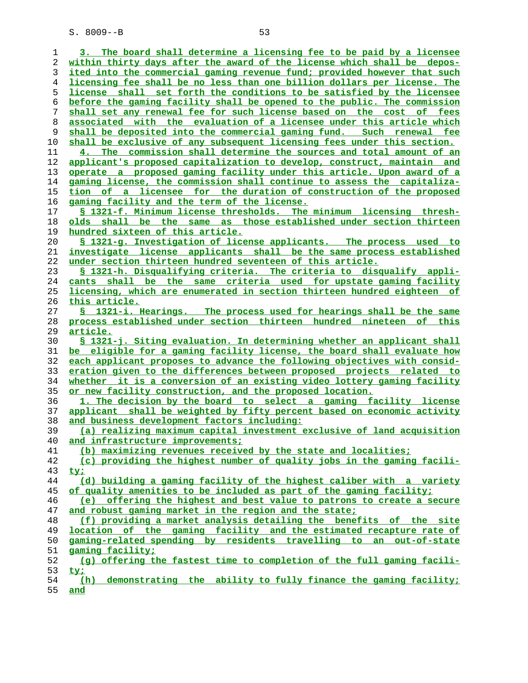| ı  | 3. The board shall determine a licensing fee to be paid by a licensee     |
|----|---------------------------------------------------------------------------|
| 2  | within thirty days after the award of the license which shall be depos-   |
| 3  | ited into the commercial gaming revenue fund; provided however that such  |
| 4  | licensing fee shall be no less than one billion dollars per license. The  |
| 5  | license shall set forth the conditions to be satisfied by the licensee    |
| 6  | before the gaming facility shall be opened to the public. The commission  |
| 7  | shall set any renewal fee for such license based on the cost of fees      |
| 8  | associated with the evaluation of a licensee under this article which     |
| 9  | shall be deposited into the commercial gaming fund. Such renewal fee      |
| 10 | shall be exclusive of any subsequent licensing fees under this section.   |
| 11 | 4. The commission shall determine the sources and total amount of an      |
|    | applicant's proposed capitalization to develop, construct, maintain and   |
| 12 |                                                                           |
| 13 | operate a proposed gaming facility under this article. Upon award of a    |
| 14 | gaming license, the commission shall continue to assess the capitaliza-   |
| 15 | tion of a licensee for the duration of construction of the proposed       |
| 16 | gaming facility and the term of the license.                              |
| 17 | § 1321-f. Minimum license thresholds. The minimum licensing thresh-       |
| 18 | olds shall be the same as those established under section thirteen        |
| 19 | hundred sixteen of this article.                                          |
| 20 | <u>S 1321-g. Investigation of license applicants. The process used to</u> |
| 21 | investigate license applicants shall be the same process established      |
| 22 | under section thirteen hundred seventeen of this article.                 |
| 23 | § 1321-h. Disqualifying criteria. The criteria to disqualify appli-       |
| 24 | cants shall be the same criteria used for upstate gaming facility         |
| 25 | licensing, which are enumerated in section thirteen hundred eighteen of   |
| 26 | this article.                                                             |
| 27 | S 1321-i. Hearings. The process used for hearings shall be the same       |
| 28 | process established under section thirteen hundred nineteen of this       |
| 29 | <u>article.</u>                                                           |
|    | § 1321-j. Siting evaluation. In determining whether an applicant shall    |
| 30 |                                                                           |
| 31 | be eligible for a gaming facility license, the board shall evaluate how   |
| 32 | each applicant proposes to advance the following objectives with consid-  |
| 33 | eration given to the differences between proposed projects related to     |
| 34 | whether it is a conversion of an existing video lottery gaming facility   |
| 35 | or new facility construction, and the proposed location.                  |
| 36 | 1. The decision by the board to select a gaming facility license          |
| 37 | applicant shall be weighted by fifty percent based on economic activity   |
| 38 | and business development factors including:                               |
| 39 | (a) realizing maximum capital investment exclusive of land acquisition    |
| 40 | and infrastructure improvements;                                          |
| 41 | (b) maximizing revenues received by the state and localities;             |
| 42 | (c) providing the highest number of quality jobs in the gaming facili-    |
| 43 | <u>ty;</u>                                                                |
| 44 | (d) building a gaming facility of the highest caliber with a variety      |
| 45 | of quality amenities to be included as part of the gaming facility;       |
| 46 | (e) offering the highest and best value to patrons to create a secure     |
| 47 | and robust gaming market in the region and the state;                     |
| 48 | (f) providing a market analysis detailing the benefits of the site        |
| 49 | location of the gaming facility and the estimated recapture rate of       |
| 50 | gaming-related spending by residents travelling to an out-of-state        |
| 51 | gaming facility;                                                          |
| 52 | (q) offering the fastest time to completion of the full gaming facili-    |
| 53 |                                                                           |
|    | <u>ty;</u>                                                                |
| 54 | demonstrating the ability to fully finance the gaming facility;<br>(h)    |
| 55 | <u>and</u>                                                                |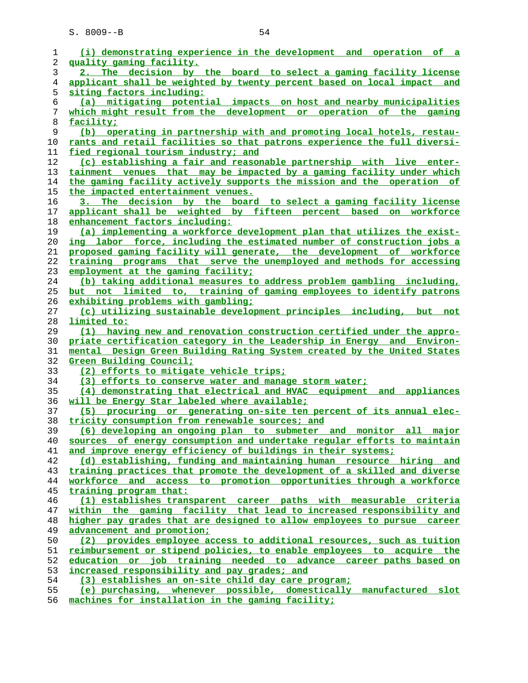| 1        | (i) demonstrating experience in the development and operation of a                                                                              |
|----------|-------------------------------------------------------------------------------------------------------------------------------------------------|
| 2        | quality gaming facility.                                                                                                                        |
| 3        | 2. The decision by the board to select a gaming facility license                                                                                |
| 4        | applicant shall be weighted by twenty percent based on local impact<br>and                                                                      |
| 5        | <u>siting factors including:</u>                                                                                                                |
| 6        | (a) mitigating potential impacts on host and nearby municipalities                                                                              |
| 7        | which might result from the development or operation of the gaming                                                                              |
| 8        | facility;                                                                                                                                       |
| 9        | operating in partnership with and promoting local hotels, restau-<br>(b)                                                                        |
| 10       | rants and retail facilities so that patrons experience the full diversi-                                                                        |
| 11       | fied regional tourism industry; and                                                                                                             |
| 12       | (c) establishing a fair and reasonable partnership with live enter-                                                                             |
| 13       | tainment venues that may be impacted by a gaming facility under which                                                                           |
| 14       | the gaming facility actively supports the mission and the operation of                                                                          |
| 15       | the impacted entertainment venues.                                                                                                              |
| 16       | 3. The decision by the board to select a gaming facility license                                                                                |
| 17       | applicant shall be weighted by fifteen percent based on workforce                                                                               |
| 18       | enhancement factors including:                                                                                                                  |
| 19       | (a) implementing a workforce development plan that utilizes the exist-                                                                          |
| 20       | <u>ing labor force, including the estimated number of construction jobs a</u>                                                                   |
| 21       | proposed gaming facility will generate, the development of workforce                                                                            |
| 22       | training programs that serve the unemployed and methods for accessing                                                                           |
| 23       | employment at the gaming facility;                                                                                                              |
| 24       | (b) taking additional measures to address problem gambling including,                                                                           |
| 25       | but not limited to, training of gaming employees to identify patrons                                                                            |
| 26       | exhibiting problems with gambling;                                                                                                              |
| 27       | (c) utilizing sustainable development principles including, but not                                                                             |
| 28       | limited to:                                                                                                                                     |
| 29       | (1) having new and renovation construction certified under the appro-<br>priate certification category in the Leadership in Energy and Environ- |
| 30<br>31 | mental Design Green Building Rating System created by the United States                                                                         |
| 32       | Green Building Council;                                                                                                                         |
| 33       | (2) efforts to mitigate vehicle trips;                                                                                                          |
| 34       | (3) efforts to conserve water and manage storm water;                                                                                           |
| 35       | (4) demonstrating that electrical and HVAC equipment and appliances                                                                             |
| 36       | will be Energy Star labeled where available;                                                                                                    |
| 37       | (5) procuring or generating on-site ten percent of its annual elec-                                                                             |
| 38       | tricity consumption from renewable sources; and                                                                                                 |
| 39       | (6) developing an ongoing plan to submeter and monitor all major                                                                                |
| 40       | sources of energy consumption and undertake regular efforts to maintain                                                                         |
| 41       | and improve energy efficiency of buildings in their systems;                                                                                    |
| 42       | (d) establishing, funding and maintaining human resource hiring and                                                                             |
| 43       | training practices that promote the development of a skilled and diverse                                                                        |
| 44       | workforce and access to promotion opportunities through a workforce                                                                             |
| 45       | training program that:                                                                                                                          |
| 46       | (1) establishes transparent career paths with measurable criteria                                                                               |
| 47       | within the gaming facility that lead to increased responsibility and                                                                            |
| 48       | higher pay grades that are designed to allow employees to pursue career                                                                         |
| 49       | advancement and promotion;                                                                                                                      |
| 50       | (2) provides employee access to additional resources, such as tuition                                                                           |
| 51       | reimbursement or stipend policies, to enable employees to acquire the                                                                           |
| 52       | education or job training needed to advance career paths based on                                                                               |
| 53       | increased responsibility and pay grades; and                                                                                                    |
| 54       | (3) establishes an on-site child day care program;                                                                                              |
| 55       | (e) purchasing, whenever possible, domestically manufactured slot<br>مسالمناها مالي مستلط والمنافر                                              |
| EС       |                                                                                                                                                 |

**machines for installation in the gaming facility;**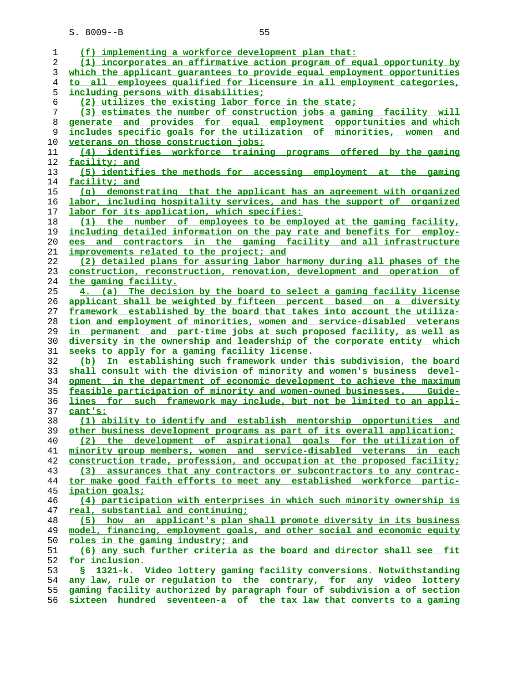| 1        | (f) implementing a workforce development plan that:                                                                                        |
|----------|--------------------------------------------------------------------------------------------------------------------------------------------|
| 2        | (1) incorporates an affirmative action program of equal opportunity by                                                                     |
| 3        | which the applicant quarantees to provide equal employment opportunities                                                                   |
| 4        | to all employees qualified for licensure in all employment categories,                                                                     |
| 5        | including persons with disabilities;                                                                                                       |
| 6        | (2) utilizes the existing labor force in the state;                                                                                        |
| 7        | (3) estimates the number of construction jobs a gaming facility will                                                                       |
| 8        | generate and provides for equal employment opportunities and which                                                                         |
| 9        | includes specific goals for the utilization of minorities, women and                                                                       |
| 10       | veterans on those construction jobs:                                                                                                       |
| 11       | (4) identifies workforce training programs offered by the gaming                                                                           |
| 12       | facility; and                                                                                                                              |
| 13       | (5) identifies the methods for accessing employment at the gaming                                                                          |
| 14       | facility; and                                                                                                                              |
| 15       | (q) demonstrating that the applicant has an agreement with organized                                                                       |
| 16       | labor, including hospitality services, and has the support of organized                                                                    |
| 17       | labor for its application, which specifies:                                                                                                |
| 18       | (1) the number of employees to be employed at the gaming facility,                                                                         |
| 19       | including detailed information on the pay rate and benefits for employ-                                                                    |
| 20       | ees and contractors in the gaming facility and all infrastructure                                                                          |
| 21       | improvements related to the project; and                                                                                                   |
| 22       | (2) detailed plans for assuring labor harmony during all phases of the                                                                     |
| 23<br>24 | construction, reconstruction, renovation, development and operation of                                                                     |
| 25       | the gaming facility.<br>4. (a) The decision by the board to select a gaming facility license                                               |
| 26       | applicant shall be weighted by fifteen percent based on a diversity                                                                        |
| 27       | framework established by the board that takes into account the utiliza-                                                                    |
| 28       | tion and employment of minorities, women and service-disabled veterans                                                                     |
| 29       | in permanent and part-time jobs at such proposed facility, as well as                                                                      |
| 30       | diversity in the ownership and leadership of the corporate entity which                                                                    |
| 31       | seeks to apply for a gaming facility license.                                                                                              |
| 32       | (b) In establishing such framework under this subdivision, the board                                                                       |
| 33       | shall consult with the division of minority and women's business devel-                                                                    |
| 34       | opment in the department of economic development to achieve the maximum                                                                    |
| 35       | feasible participation of minority and women-owned businesses.  Guide-                                                                     |
| 36       | lines for such framework may include, but not be limited to an appli-                                                                      |
| 37       | cant's:                                                                                                                                    |
| 38       | (1) ability to identify and establish mentorship opportunities and                                                                         |
|          | 39 other business development programs as part of its overall application;                                                                 |
| 40       | (2) the development of aspirational goals for the utilization of                                                                           |
| 41       | minority group members, women and service-disabled veterans in each                                                                        |
| 42       | construction trade, profession, and occupation at the proposed facility;                                                                   |
| 43       | (3) assurances that any contractors or subcontractors to any contrac-                                                                      |
| 44       | tor make good faith efforts to meet any established workforce partic-                                                                      |
| 45       | ipation goals;                                                                                                                             |
| 46       | (4) participation with enterprises in which such minority ownership is                                                                     |
| 47       | real, substantial and continuing;                                                                                                          |
| 48       | (5) how an applicant's plan shall promote diversity in its business                                                                        |
| 49       | model, financing, employment goals, and other social and economic equity                                                                   |
| 50       | roles in the gaming industry; and                                                                                                          |
| 51       | (6) any such further criteria as the board and director shall see fit                                                                      |
| 52       | for inclusion.                                                                                                                             |
| 53<br>54 | § 1321-k. Video lottery gaming facility conversions. Notwithstanding<br>any law, rule or regulation to the contrary, for any video lottery |
| 55       | gaming facility authorized by paragraph four of subdivision a of section                                                                   |
| 56       | sixteen hundred seventeen-a of the tax law that converts to a gaming                                                                       |
|          |                                                                                                                                            |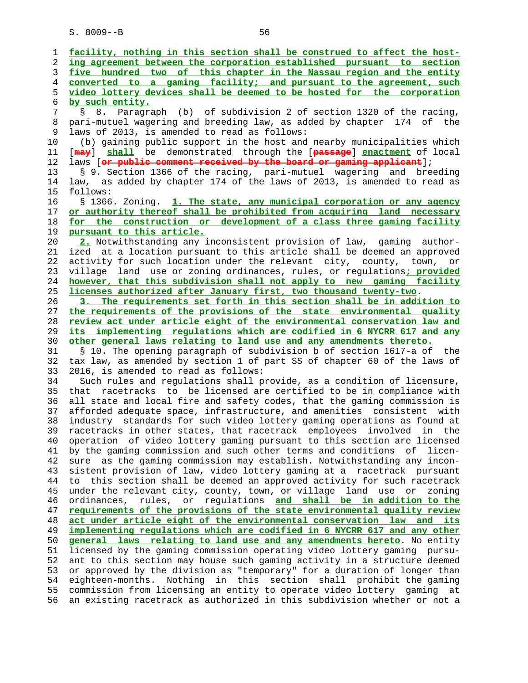| 1        | facility, nothing in this section shall be construed to affect the host-                                                                           |
|----------|----------------------------------------------------------------------------------------------------------------------------------------------------|
| 2        | ing agreement between the corporation established pursuant to section                                                                              |
| 3        | five hundred two of this chapter in the Nassau region and the entity                                                                               |
| 4        | converted to a gaming facility; and pursuant to the agreement, such                                                                                |
| 5        | video lottery devices shall be deemed to be hosted for the corporation                                                                             |
| 6        | by such entity.                                                                                                                                    |
| 7        | Paragraph (b) of subdivision 2 of section 1320 of the racing,<br>S<br>8.                                                                           |
| 8        | pari-mutuel wagering and breeding law, as added by chapter 174 of the                                                                              |
| 9        | laws of 2013, is amended to read as follows:                                                                                                       |
| 10       | (b) gaining public support in the host and nearby municipalities which                                                                             |
| 11       | [may] shall be demonstrated through the [passage] enactment of local                                                                               |
| 12       | laws [or public comment received by the board or gaming applicant];                                                                                |
| 13       | § 9. Section 1366 of the racing, pari-mutuel wagering and breeding                                                                                 |
| 14       | law, as added by chapter 174 of the laws of 2013, is amended to read as                                                                            |
| 15       | follows:                                                                                                                                           |
| 16       | § 1366. Zoning. 1. The state, any municipal corporation or any agency                                                                              |
| 17       | or authority thereof shall be prohibited from acquiring land necessary                                                                             |
| 18       | for the construction or development of a class three gaming facility                                                                               |
| 19       | pursuant to this article.                                                                                                                          |
| 20       | 2. Notwithstanding any inconsistent provision of law, gaming author-                                                                               |
| 21       | ized at a location pursuant to this article shall be deemed an approved                                                                            |
| 22       | activity for such location under the relevant city, county, town, or                                                                               |
| 23       | land use or zoning ordinances, rules, or regulations; provided<br>village                                                                          |
| 24       | however, that this subdivision shall not apply to new gaming facility                                                                              |
| 25       | licenses authorized after January first, two thousand twenty-two.                                                                                  |
| 26       | 3. The requirements set forth in this section shall be in addition to                                                                              |
| 27       | the requirements of the provisions of the state environmental quality                                                                              |
| 28       | review act under article eight of the environmental conservation law and                                                                           |
| 29       | its implementing regulations which are codified in 6 NYCRR 617 and any                                                                             |
| 30       | other general laws relating to land use and any amendments thereto.                                                                                |
| 31       | § 10. The opening paragraph of subdivision b of section 1617-a of the                                                                              |
| 32       | tax law, as amended by section 1 of part SS of chapter 60 of the laws of                                                                           |
| 33       | 2016, is amended to read as follows:                                                                                                               |
| 34       | Such rules and regulations shall provide, as a condition of licensure,                                                                             |
| 35       | racetracks to be licensed are certified to be in compliance with<br>that                                                                           |
| 36       | all state and local fire and safety codes, that the gaming commission is                                                                           |
| 37       | afforded adequate space, infrastructure, and amenities consistent with                                                                             |
| 38       | industry standards for such video lottery gaming operations as found at                                                                            |
| 39       | racetracks in other states, that racetrack employees<br>in the<br>involved                                                                         |
| 40       | operation of video lottery gaming pursuant to this section are licensed                                                                            |
| 41       | by the gaming commission and such other terms and conditions of licen-                                                                             |
| 42       | sure as the gaming commission may establish. Notwithstanding any incon-                                                                            |
| 43       | sistent provision of law, video lottery gaming at a racetrack pursuant                                                                             |
| 44       | to this section shall be deemed an approved activity for such racetrack                                                                            |
| 45       | under the relevant city, county, town, or village land use<br>or<br>zoning                                                                         |
| 46       | ordinances, rules,<br>or regulations and shall be in addition to the                                                                               |
| 47       | requirements of the provisions of the state environmental quality review                                                                           |
| 48       | act under article eight of the environmental conservation law and its                                                                              |
| 49       | implementing regulations which are codified in 6 NYCRR 617 and any other                                                                           |
| 50       | general laws relating to land use and any amendments hereto. No entity                                                                             |
|          |                                                                                                                                                    |
| 51       | licensed by the gaming commission operating video lottery gaming pursu-                                                                            |
| 52       | ant to this section may house such gaming activity in a structure deemed                                                                           |
| 53       | or approved by the division as "temporary" for a duration of longer than                                                                           |
| 54       | eighteen-months. Nothing in this section shall prohibit the gaming                                                                                 |
| 55<br>56 | commission from licensing an entity to operate video lottery gaming at<br>an existing racetrack as authorized in this subdivision whether or not a |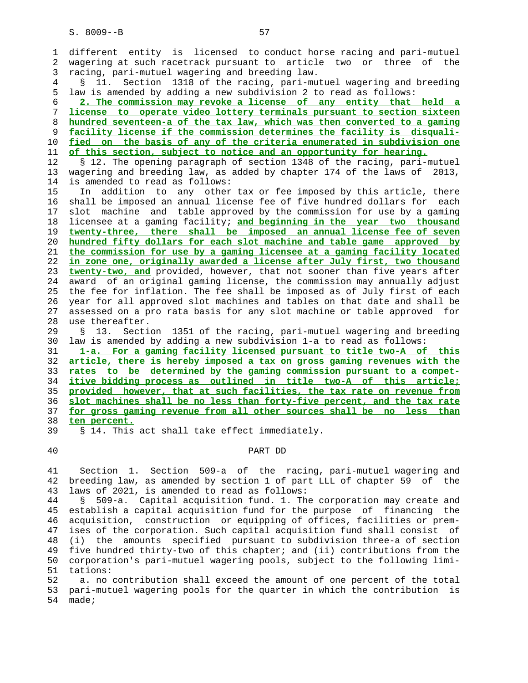| 1        | different entity is licensed to conduct horse racing and pari-mutuel                                                                       |
|----------|--------------------------------------------------------------------------------------------------------------------------------------------|
| 2        | wagering at such racetrack pursuant to article two or three of the                                                                         |
| 3        | racing, pari-mutuel wagering and breeding law.                                                                                             |
| 4        | Section 1318 of the racing, pari-mutuel wagering and breeding<br>Š.<br>11.                                                                 |
| 5        | law is amended by adding a new subdivision 2 to read as follows:                                                                           |
| 6        | 2. The commission may revoke a license of any entity that held a                                                                           |
| 7        | license to operate video lottery terminals pursuant to section sixteen                                                                     |
| 8        | hundred seventeen-a of the tax law, which was then converted to a gaming                                                                   |
| 9        | facility license if the commission determines the facility is disquali-                                                                    |
| 10       | fied on the basis of any of the criteria enumerated in subdivision one                                                                     |
| 11       | of this section, subject to notice and an opportunity for hearing.                                                                         |
| 12       | § 12. The opening paragraph of section 1348 of the racing, pari-mutuel                                                                     |
| 13       | wagering and breeding law, as added by chapter 174 of the laws of<br>2013,                                                                 |
| 14       | is amended to read as follows:                                                                                                             |
| 15       | addition to any other tax or fee imposed by this article, there<br>In                                                                      |
| 16       | shall be imposed an annual license fee of five hundred dollars for each                                                                    |
| 17       | machine and table approved by the commission for use by a gaming<br>slot                                                                   |
| 18       | licensee at a gaming facility; and beginning in the year two thousand                                                                      |
| 19       | twenty-three, there shall be imposed an annual license fee of seven                                                                        |
| 20       | hundred fifty dollars for each slot machine and table game approved by                                                                     |
| 21       | the commission for use by a gaming licensee at a gaming facility located                                                                   |
| 22       | in zone one, originally awarded a license after July first, two thousand                                                                   |
| 23       | twenty-two, and provided, however, that not sooner than five years after                                                                   |
| 24       | award of an original gaming license, the commission may annually adjust                                                                    |
| 25       | the fee for inflation. The fee shall be imposed as of July first of each                                                                   |
| 26       | year for all approved slot machines and tables on that date and shall be                                                                   |
| 27       | assessed on a pro rata basis for any slot machine or table approved for                                                                    |
| 28       | use thereafter.                                                                                                                            |
| 29       | Section 1351 of the racing, pari-mutuel wagering and breeding<br>S.<br>13.                                                                 |
| 30       | law is amended by adding a new subdivision 1-a to read as follows:                                                                         |
| 31       | 1-a. For a gaming facility licensed pursuant to title two-A of this                                                                        |
| 32<br>33 | article, there is hereby imposed a tax on gross gaming revenues with the                                                                   |
| 34       | rates to be determined by the gaming commission pursuant to a compet-<br>itive bidding process as outlined in title two-A of this article; |
| 35       | provided however, that at such facilities, the tax rate on revenue from                                                                    |
| 36       | slot machines shall be no less than forty-five percent, and the tax rate                                                                   |
| 37       | for gross gaming revenue from all other sources shall be no less than                                                                      |
| 38       | ten percent.                                                                                                                               |
| 39       | § 14. This act shall take effect immediately.                                                                                              |
|          |                                                                                                                                            |

### 40 PART DD

 41 Section 1. Section 509-a of the racing, pari-mutuel wagering and 42 breeding law, as amended by section 1 of part LLL of chapter 59 of the 43 laws of 2021, is amended to read as follows:

 44 § 509-a. Capital acquisition fund. 1. The corporation may create and 45 establish a capital acquisition fund for the purpose of financing the 46 acquisition, construction or equipping of offices, facilities or prem- 47 ises of the corporation. Such capital acquisition fund shall consist of 48 (i) the amounts specified pursuant to subdivision three-a of section 49 five hundred thirty-two of this chapter; and (ii) contributions from the 50 corporation's pari-mutuel wagering pools, subject to the following limi- 51 tations:

 52 a. no contribution shall exceed the amount of one percent of the total 53 pari-mutuel wagering pools for the quarter in which the contribution is 54 made;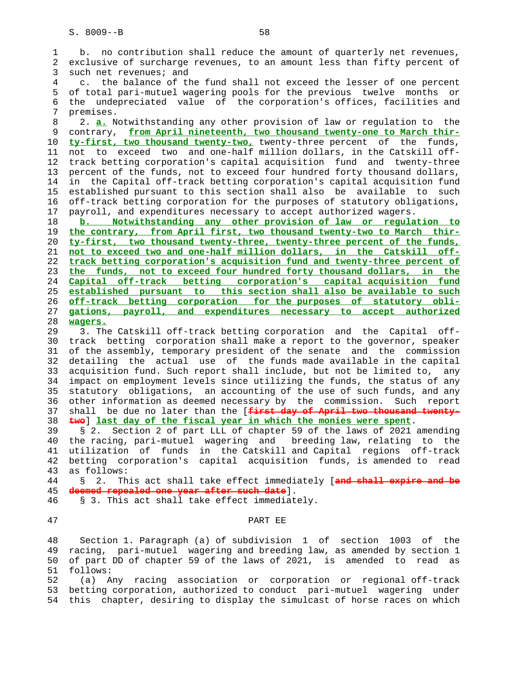1 b. no contribution shall reduce the amount of quarterly net revenues, 2 exclusive of surcharge revenues, to an amount less than fifty percent of 3 such net revenues; and 4 c. the balance of the fund shall not exceed the lesser of one percent 5 of total pari-mutuel wagering pools for the previous twelve months or 6 the undepreciated value of the corporation's offices, facilities and 7 premises. 8 2. **a.** Notwithstanding any other provision of law or regulation to the 9 contrary, **from April nineteenth, two thousand twenty-one to March thir-** 10 **ty-first, two thousand twenty-two,** twenty-three percent of the funds, 11 not to exceed two and one-half million dollars, in the Catskill off- 12 track betting corporation's capital acquisition fund and twenty-three 13 percent of the funds, not to exceed four hundred forty thousand dollars, 14 in the Capital off-track betting corporation's capital acquisition fund 15 established pursuant to this section shall also be available to such 16 off-track betting corporation for the purposes of statutory obligations, 17 payroll, and expenditures necessary to accept authorized wagers. 18 **b. Notwithstanding any other provision of law or regulation to** 19 **the contrary, from April first, two thousand twenty-two to March thir-** 20 **ty-first, two thousand twenty-three, twenty-three percent of the funds,** 21 **not to exceed two and one-half million dollars, in the Catskill off-** 22 **track betting corporation's acquisition fund and twenty-three percent of** 23 **the funds, not to exceed four hundred forty thousand dollars, in the** 24 **Capital off-track betting corporation's capital acquisition fund** 25 **established pursuant to this section shall also be available to such** 26 **off-track betting corporation for the purposes of statutory obli-** 27 **gations, payroll, and expenditures necessary to accept authorized** 28 **wagers.** 29 3. The Catskill off-track betting corporation and the Capital off- 30 track betting corporation shall make a report to the governor, speaker 31 of the assembly, temporary president of the senate and the commission

 32 detailing the actual use of the funds made available in the capital 33 acquisition fund. Such report shall include, but not be limited to, any 34 impact on employment levels since utilizing the funds, the status of any 35 statutory obligations, an accounting of the use of such funds, and any 36 other information as deemed necessary by the commission. Such report 37 shall be due no later than the [**first day of April two thousand twenty-** 38 **two**] **last day of the fiscal year in which the monies were spent**.

 39 § 2. Section 2 of part LLL of chapter 59 of the laws of 2021 amending 40 the racing, pari-mutuel wagering and breeding law, relating to the 41 utilization of funds in the Catskill and Capital regions off-track 42 betting corporation's capital acquisition funds, is amended to read 43 as follows:

 44 § 2. This act shall take effect immediately [**and shall expire and be** 45 **deemed repealed one year after such date**].

- 46 § 3. This act shall take effect immediately.
- 

#### 47 PART EE

 48 Section 1. Paragraph (a) of subdivision 1 of section 1003 of the 49 racing, pari-mutuel wagering and breeding law, as amended by section 1 50 of part DD of chapter 59 of the laws of 2021, is amended to read as 51 follows:

 52 (a) Any racing association or corporation or regional off-track 53 betting corporation, authorized to conduct pari-mutuel wagering under 54 this chapter, desiring to display the simulcast of horse races on which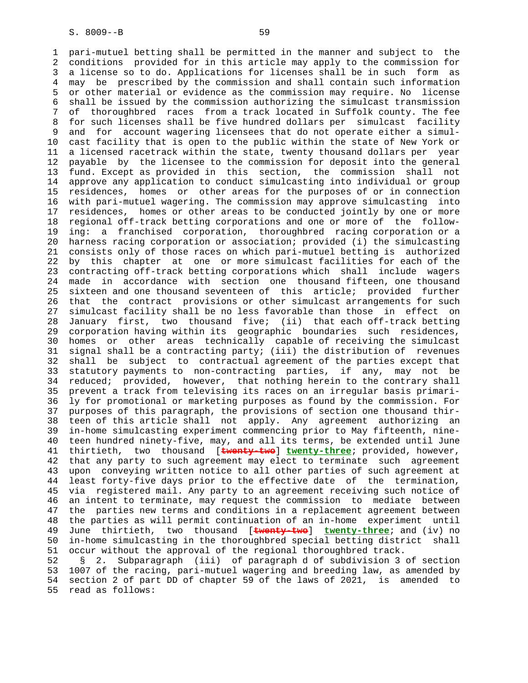1 pari-mutuel betting shall be permitted in the manner and subject to the 2 conditions provided for in this article may apply to the commission for 3 a license so to do. Applications for licenses shall be in such form as 4 may be prescribed by the commission and shall contain such information 5 or other material or evidence as the commission may require. No license 6 shall be issued by the commission authorizing the simulcast transmission 7 of thoroughbred races from a track located in Suffolk county. The fee 8 for such licenses shall be five hundred dollars per simulcast facility 9 and for account wagering licensees that do not operate either a simul- 10 cast facility that is open to the public within the state of New York or 11 a licensed racetrack within the state, twenty thousand dollars per year 12 payable by the licensee to the commission for deposit into the general 13 fund. Except as provided in this section, the commission shall not 14 approve any application to conduct simulcasting into individual or group 15 residences, homes or other areas for the purposes of or in connection 16 with pari-mutuel wagering. The commission may approve simulcasting into 17 residences, homes or other areas to be conducted jointly by one or more 18 regional off-track betting corporations and one or more of the follow- 19 ing: a franchised corporation, thoroughbred racing corporation or a 20 harness racing corporation or association; provided (i) the simulcasting 21 consists only of those races on which pari-mutuel betting is authorized 22 by this chapter at one or more simulcast facilities for each of the 23 contracting off-track betting corporations which shall include wagers 24 made in accordance with section one thousand fifteen, one thousand 25 sixteen and one thousand seventeen of this article; provided further 26 that the contract provisions or other simulcast arrangements for such 27 simulcast facility shall be no less favorable than those in effect on 28 January first, two thousand five; (ii) that each off-track betting 29 corporation having within its geographic boundaries such residences, 30 homes or other areas technically capable of receiving the simulcast 31 signal shall be a contracting party; (iii) the distribution of revenues 32 shall be subject to contractual agreement of the parties except that 33 statutory payments to non-contracting parties, if any, may not be 34 reduced; provided, however, that nothing herein to the contrary shall 35 prevent a track from televising its races on an irregular basis primari- 36 ly for promotional or marketing purposes as found by the commission. For 37 purposes of this paragraph, the provisions of section one thousand thir- 38 teen of this article shall not apply. Any agreement authorizing an 39 in-home simulcasting experiment commencing prior to May fifteenth, nine- 40 teen hundred ninety-five, may, and all its terms, be extended until June 41 thirtieth, two thousand [**twenty-two**] **twenty-three**; provided, however, 42 that any party to such agreement may elect to terminate such agreement 43 upon conveying written notice to all other parties of such agreement at 44 least forty-five days prior to the effective date of the termination, 45 via registered mail. Any party to an agreement receiving such notice of 46 an intent to terminate, may request the commission to mediate between 47 the parties new terms and conditions in a replacement agreement between 48 the parties as will permit continuation of an in-home experiment until 49 June thirtieth, two thousand [**twenty-two**] **twenty-three**; and (iv) no 50 in-home simulcasting in the thoroughbred special betting district shall 51 occur without the approval of the regional thoroughbred track. 52 § 2. Subparagraph (iii) of paragraph d of subdivision 3 of section

 53 1007 of the racing, pari-mutuel wagering and breeding law, as amended by 54 section 2 of part DD of chapter 59 of the laws of 2021, is amended to 55 read as follows: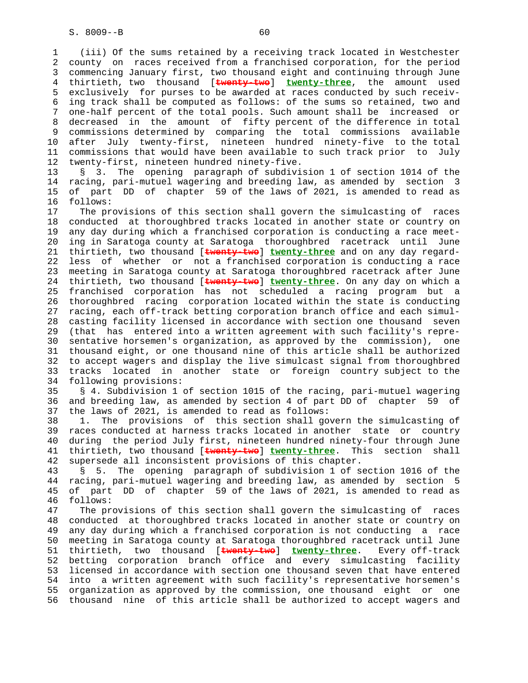1 (iii) Of the sums retained by a receiving track located in Westchester 2 county on races received from a franchised corporation, for the period 3 commencing January first, two thousand eight and continuing through June 4 thirtieth, two thousand [**twenty-two**] **twenty-three**, the amount used 5 exclusively for purses to be awarded at races conducted by such receiv- 6 ing track shall be computed as follows: of the sums so retained, two and 7 one-half percent of the total pools. Such amount shall be increased or 8 decreased in the amount of fifty percent of the difference in total 9 commissions determined by comparing the total commissions available<br>10 after July twenty-first, nineteen hundred ninety-five to the total after July twenty-first, nineteen hundred ninety-five to the total 11 commissions that would have been available to such track prior to July 12 twenty-first, nineteen hundred ninety-five.

 13 § 3. The opening paragraph of subdivision 1 of section 1014 of the 14 racing, pari-mutuel wagering and breeding law, as amended by section 3 15 of part DD of chapter 59 of the laws of 2021, is amended to read as 16 follows:

 17 The provisions of this section shall govern the simulcasting of races 18 conducted at thoroughbred tracks located in another state or country on 19 any day during which a franchised corporation is conducting a race meet- 20 ing in Saratoga county at Saratoga thoroughbred racetrack until June 21 thirtieth, two thousand [**twenty-two**] **twenty-three** and on any day regard- 22 less of whether or not a franchised corporation is conducting a race 23 meeting in Saratoga county at Saratoga thoroughbred racetrack after June 24 thirtieth, two thousand [**twenty-two**] **twenty-three**. On any day on which a 25 franchised corporation has not scheduled a racing program but a 26 thoroughbred racing corporation located within the state is conducting 27 racing, each off-track betting corporation branch office and each simul- 28 casting facility licensed in accordance with section one thousand seven 29 (that has entered into a written agreement with such facility's repre- 30 sentative horsemen's organization, as approved by the commission), one 31 thousand eight, or one thousand nine of this article shall be authorized 32 to accept wagers and display the live simulcast signal from thoroughbred 33 tracks located in another state or foreign country subject to the 34 following provisions:

 35 § 4. Subdivision 1 of section 1015 of the racing, pari-mutuel wagering 36 and breeding law, as amended by section 4 of part DD of chapter 59 of 37 the laws of 2021, is amended to read as follows:

 38 1. The provisions of this section shall govern the simulcasting of 39 races conducted at harness tracks located in another state or country 40 during the period July first, nineteen hundred ninety-four through June 41 thirtieth, two thousand [**twenty-two**] **twenty-three**. This section shall 42 supersede all inconsistent provisions of this chapter.

 43 § 5. The opening paragraph of subdivision 1 of section 1016 of the 44 racing, pari-mutuel wagering and breeding law, as amended by section 5 45 of part DD of chapter 59 of the laws of 2021, is amended to read as 46 follows:

 47 The provisions of this section shall govern the simulcasting of races 48 conducted at thoroughbred tracks located in another state or country on 49 any day during which a franchised corporation is not conducting a race 50 meeting in Saratoga county at Saratoga thoroughbred racetrack until June 51 thirtieth, two thousand [**twenty-two**] **twenty-three**. Every off-track 52 betting corporation branch office and every simulcasting facility 53 licensed in accordance with section one thousand seven that have entered 54 into a written agreement with such facility's representative horsemen's 55 organization as approved by the commission, one thousand eight or one 56 thousand nine of this article shall be authorized to accept wagers and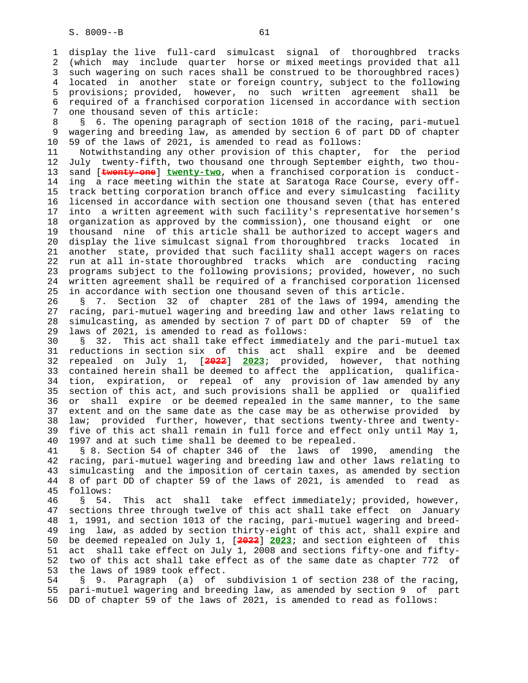1 display the live full-card simulcast signal of thoroughbred tracks 2 (which may include quarter horse or mixed meetings provided that all 3 such wagering on such races shall be construed to be thoroughbred races) 4 located in another state or foreign country, subject to the following 5 provisions; provided, however, no such written agreement shall be 6 required of a franchised corporation licensed in accordance with section 7 one thousand seven of this article:

 8 § 6. The opening paragraph of section 1018 of the racing, pari-mutuel 9 wagering and breeding law, as amended by section 6 of part DD of chapter 10 59 of the laws of 2021, is amended to read as follows:

 11 Notwithstanding any other provision of this chapter, for the period 12 July twenty-fifth, two thousand one through September eighth, two thou- 13 sand [**twenty-one**] **twenty-two**, when a franchised corporation is conduct- 14 ing a race meeting within the state at Saratoga Race Course, every off- 15 track betting corporation branch office and every simulcasting facility 16 licensed in accordance with section one thousand seven (that has entered 17 into a written agreement with such facility's representative horsemen's 18 organization as approved by the commission), one thousand eight or one 19 thousand nine of this article shall be authorized to accept wagers and 20 display the live simulcast signal from thoroughbred tracks located in 21 another state, provided that such facility shall accept wagers on races 22 run at all in-state thoroughbred tracks which are conducting racing 23 programs subject to the following provisions; provided, however, no such 24 written agreement shall be required of a franchised corporation licensed 25 in accordance with section one thousand seven of this article.

 26 § 7. Section 32 of chapter 281 of the laws of 1994, amending the 27 racing, pari-mutuel wagering and breeding law and other laws relating to 28 simulcasting, as amended by section 7 of part DD of chapter 59 of the 29 laws of 2021, is amended to read as follows:

 30 § 32. This act shall take effect immediately and the pari-mutuel tax 31 reductions in section six of this act shall expire and be deemed 32 repealed on July 1, [**2022**] **2023**; provided, however, that nothing 33 contained herein shall be deemed to affect the application, qualifica- 34 tion, expiration, or repeal of any provision of law amended by any 35 section of this act, and such provisions shall be applied or qualified 36 or shall expire or be deemed repealed in the same manner, to the same 37 extent and on the same date as the case may be as otherwise provided by 38 law; provided further, however, that sections twenty-three and twenty- 39 five of this act shall remain in full force and effect only until May 1, 40 1997 and at such time shall be deemed to be repealed.

 41 § 8. Section 54 of chapter 346 of the laws of 1990, amending the 42 racing, pari-mutuel wagering and breeding law and other laws relating to 43 simulcasting and the imposition of certain taxes, as amended by section 44 8 of part DD of chapter 59 of the laws of 2021, is amended to read as 45 follows:

 46 § 54. This act shall take effect immediately; provided, however, 47 sections three through twelve of this act shall take effect on January 48 1, 1991, and section 1013 of the racing, pari-mutuel wagering and breed- 49 ing law, as added by section thirty-eight of this act, shall expire and 50 be deemed repealed on July 1, [**2022**] **2023**; and section eighteen of this 51 act shall take effect on July 1, 2008 and sections fifty-one and fifty- 52 two of this act shall take effect as of the same date as chapter 772 of 53 the laws of 1989 took effect.

 54 § 9. Paragraph (a) of subdivision 1 of section 238 of the racing, 55 pari-mutuel wagering and breeding law, as amended by section 9 of part 56 DD of chapter 59 of the laws of 2021, is amended to read as follows: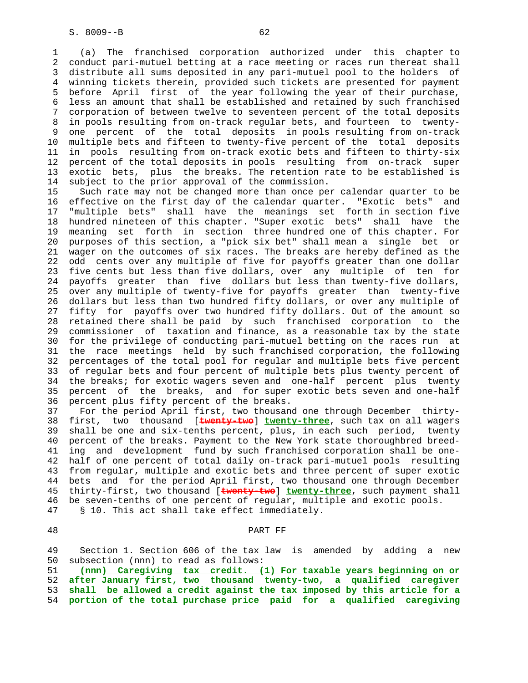1 (a) The franchised corporation authorized under this chapter to 2 conduct pari-mutuel betting at a race meeting or races run thereat shall 3 distribute all sums deposited in any pari-mutuel pool to the holders of 4 winning tickets therein, provided such tickets are presented for payment 5 before April first of the year following the year of their purchase, 6 less an amount that shall be established and retained by such franchised 7 corporation of between twelve to seventeen percent of the total deposits 8 in pools resulting from on-track regular bets, and fourteen to twenty- 9 one percent of the total deposits in pools resulting from on-track<br>10 multiple bets and fifteen to twenty-five percent of the total deposits multiple bets and fifteen to twenty-five percent of the total deposits 11 in pools resulting from on-track exotic bets and fifteen to thirty-six 12 percent of the total deposits in pools resulting from on-track super 13 exotic bets, plus the breaks. The retention rate to be established is 14 subject to the prior approval of the commission.

 15 Such rate may not be changed more than once per calendar quarter to be 16 effective on the first day of the calendar quarter. "Exotic bets" and 17 "multiple bets" shall have the meanings set forth in section five 18 hundred nineteen of this chapter. "Super exotic bets" shall have the 19 meaning set forth in section three hundred one of this chapter. For 20 purposes of this section, a "pick six bet" shall mean a single bet or 21 wager on the outcomes of six races. The breaks are hereby defined as the 22 odd cents over any multiple of five for payoffs greater than one dollar 23 five cents but less than five dollars, over any multiple of ten for 24 payoffs greater than five dollars but less than twenty-five dollars, 25 over any multiple of twenty-five for payoffs greater than twenty-five 26 dollars but less than two hundred fifty dollars, or over any multiple of 27 fifty for payoffs over two hundred fifty dollars. Out of the amount so 28 retained there shall be paid by such franchised corporation to the 29 commissioner of taxation and finance, as a reasonable tax by the state 30 for the privilege of conducting pari-mutuel betting on the races run at 31 the race meetings held by such franchised corporation, the following 32 percentages of the total pool for regular and multiple bets five percent 33 of regular bets and four percent of multiple bets plus twenty percent of 34 the breaks; for exotic wagers seven and one-half percent plus twenty 35 percent of the breaks, and for super exotic bets seven and one-half 36 percent plus fifty percent of the breaks.

 37 For the period April first, two thousand one through December thirty- 38 first, two thousand [**twenty-two**] **twenty-three**, such tax on all wagers 39 shall be one and six-tenths percent, plus, in each such period, twenty 40 percent of the breaks. Payment to the New York state thoroughbred breed- 41 ing and development fund by such franchised corporation shall be one- 42 half of one percent of total daily on-track pari-mutuel pools resulting 43 from regular, multiple and exotic bets and three percent of super exotic 44 bets and for the period April first, two thousand one through December 45 thirty-first, two thousand [**twenty-two**] **twenty-three**, such payment shall 46 be seven-tenths of one percent of regular, multiple and exotic pools. 47 § 10. This act shall take effect immediately.

#### PART FF

 49 Section 1. Section 606 of the tax law is amended by adding a new 50 subsection (nnn) to read as follows: 51 **(nnn) Caregiving tax credit. (1) For taxable years beginning on or**

 52 **after January first, two thousand twenty-two, a qualified caregiver** 53 **shall be allowed a credit against the tax imposed by this article for a**

54 **portion of the total purchase price paid for a qualified caregiving**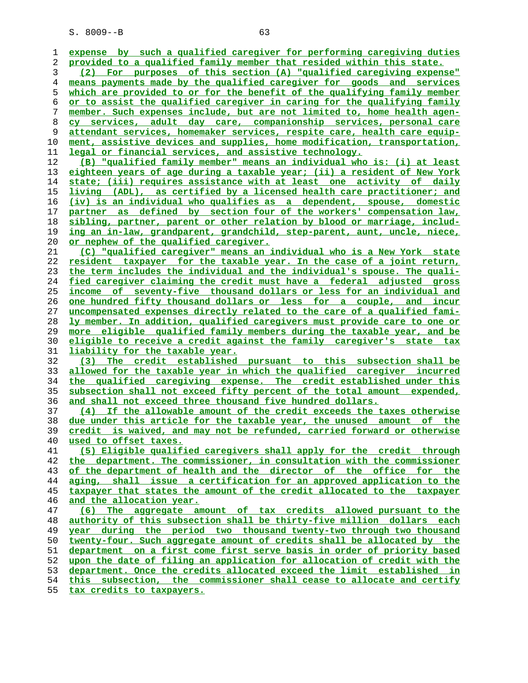**expense by such a qualified caregiver for performing caregiving duties provided to a qualified family member that resided within this state. (2) For purposes of this section (A) "qualified caregiving expense" means payments made by the qualified caregiver for goods and services which are provided to or for the benefit of the qualifying family member or to assist the qualified caregiver in caring for the qualifying family member. Such expenses include, but are not limited to, home health agen- cy services, adult day care, companionship services, personal care attendant services, homemaker services, respite care, health care equip- ment, assistive devices and supplies, home modification, transportation, legal or financial services, and assistive technology. (B) "qualified family member" means an individual who is: (i) at least eighteen years of age during a taxable year; (ii) a resident of New York state; (iii) requires assistance with at least one activity of daily living (ADL), as certified by a licensed health care practitioner; and (iv) is an individual who qualifies as a dependent, spouse, domestic partner as defined by section four of the workers' compensation law, sibling, partner, parent or other relation by blood or marriage, includ- ing an in-law, grandparent, grandchild, step-parent, aunt, uncle, niece, or nephew of the qualified caregiver. (C) "qualified caregiver" means an individual who is a New York state resident taxpayer for the taxable year. In the case of a joint return, the term includes the individual and the individual's spouse. The quali- fied caregiver claiming the credit must have a federal adjusted gross income of seventy-five thousand dollars or less for an individual and one hundred fifty thousand dollars or less for a couple, and incur uncompensated expenses directly related to the care of a qualified fami- ly member. In addition, qualified caregivers must provide care to one or more eligible qualified family members during the taxable year, and be eligible to receive a credit against the family caregiver's state tax liability for the taxable year. (3) The credit established pursuant to this subsection shall be allowed for the taxable year in which the qualified caregiver incurred the qualified caregiving expense. The credit established under this subsection shall not exceed fifty percent of the total amount expended, and shall not exceed three thousand five hundred dollars. (4) If the allowable amount of the credit exceeds the taxes otherwise due under this article for the taxable year, the unused amount of the credit is waived, and may not be refunded, carried forward or otherwise used to offset taxes. (5) Eligible qualified caregivers shall apply for the credit through the department. The commissioner, in consultation with the commissioner of the department of health and the director of the office for the aging, shall issue a certification for an approved application to the taxpayer that states the amount of the credit allocated to the taxpayer and the allocation year. (6) The aggregate amount of tax credits allowed pursuant to the authority of this subsection shall be thirty-five million dollars each year during the period two thousand twenty-two through two thousand twenty-four. Such aggregate amount of credits shall be allocated by the department on a first come first serve basis in order of priority based upon the date of filing an application for allocation of credit with the department. Once the credits allocated exceed the limit established in this subsection, the commissioner shall cease to allocate and certify**

**tax credits to taxpayers.**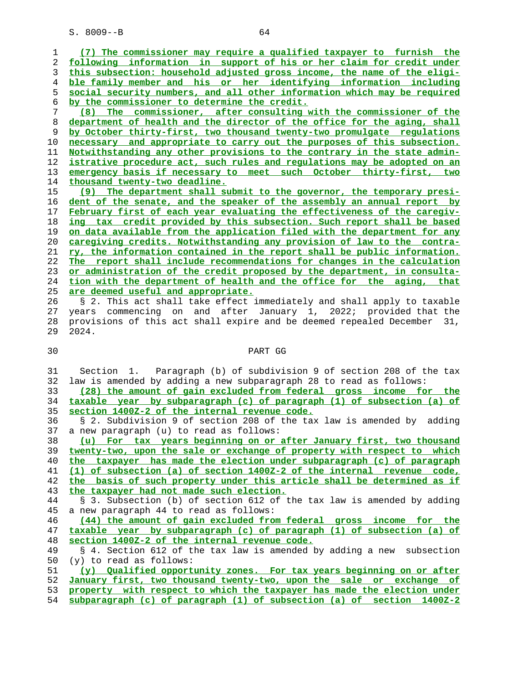**(7) The commissioner may require a qualified taxpayer to furnish the following information in support of his or her claim for credit under this subsection: household adjusted gross income, the name of the eligi- ble family member and his or her identifying information including social security numbers, and all other information which may be required by the commissioner to determine the credit. (8) The commissioner, after consulting with the commissioner of the department of health and the director of the office for the aging, shall by October thirty-first, two thousand twenty-two promulgate regulations necessary and appropriate to carry out the purposes of this subsection. Notwithstanding any other provisions to the contrary in the state admin- istrative procedure act, such rules and regulations may be adopted on an emergency basis if necessary to meet such October thirty-first, two thousand twenty-two deadline. (9) The department shall submit to the governor, the temporary presi- dent of the senate, and the speaker of the assembly an annual report by February first of each year evaluating the effectiveness of the caregiv- ing tax credit provided by this subsection. Such report shall be based on data available from the application filed with the department for any caregiving credits. Notwithstanding any provision of law to the contra- ry, the information contained in the report shall be public information. The report shall include recommendations for changes in the calculation or administration of the credit proposed by the department, in consulta- tion with the department of health and the office for the aging, that are deemed useful and appropriate.** 26 § 2. This act shall take effect immediately and shall apply to taxable 27 years commencing on and after January 1, 2022; provided that the 28 provisions of this act shall expire and be deemed repealed December 31, 29 2024. 30 PART GG 31 Section 1. Paragraph (b) of subdivision 9 of section 208 of the tax 32 law is amended by adding a new subparagraph 28 to read as follows: **(28) the amount of gain excluded from federal gross income for the taxable year by subparagraph (c) of paragraph (1) of subsection (a) of section 1400Z-2 of the internal revenue code.**

 36 § 2. Subdivision 9 of section 208 of the tax law is amended by adding 37 a new paragraph (u) to read as follows:

**(u) For tax years beginning on or after January first, two thousand twenty-two, upon the sale or exchange of property with respect to which the taxpayer has made the election under subparagraph (c) of paragraph (1) of subsection (a) of section 1400Z-2 of the internal revenue code, the basis of such property under this article shall be determined as if the taxpayer had not made such election.**

 44 § 3. Subsection (b) of section 612 of the tax law is amended by adding 45 a new paragraph 44 to read as follows:

**(44) the amount of gain excluded from federal gross income for the taxable year by subparagraph (c) of paragraph (1) of subsection (a) of section 1400Z-2 of the internal revenue code.**

 49 § 4. Section 612 of the tax law is amended by adding a new subsection 50 (y) to read as follows:

**(y) Qualified opportunity zones. For tax years beginning on or after January first, two thousand twenty-two, upon the sale or exchange of property with respect to which the taxpayer has made the election under**

**subparagraph (c) of paragraph (1) of subsection (a) of section 1400Z-2**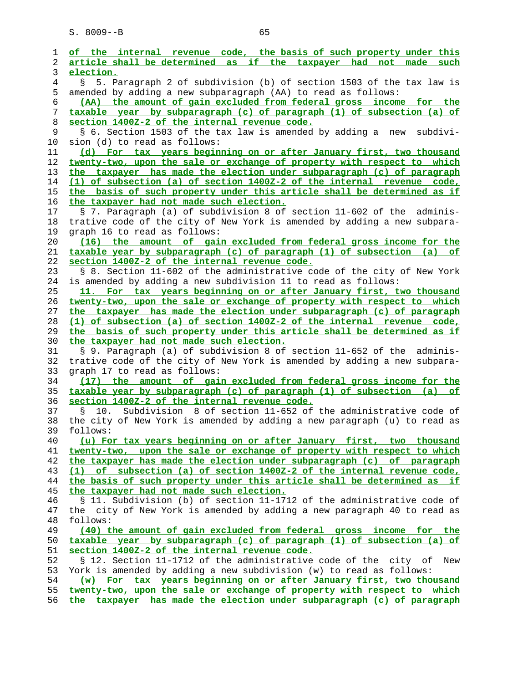**of the internal revenue code, the basis of such property under this article shall be determined as if the taxpayer had not made such election.** 4 § 5. Paragraph 2 of subdivision (b) of section 1503 of the tax law is 5 amended by adding a new subparagraph (AA) to read as follows: **(AA) the amount of gain excluded from federal gross income for the taxable year by subparagraph (c) of paragraph (1) of subsection (a) of section 1400Z-2 of the internal revenue code.** 9 § 6. Section 1503 of the tax law is amended by adding a new subdivi- 10 sion (d) to read as follows: **(d) For tax years beginning on or after January first, two thousand twenty-two, upon the sale or exchange of property with respect to which the taxpayer has made the election under subparagraph (c) of paragraph (1) of subsection (a) of section 1400Z-2 of the internal revenue code, the basis of such property under this article shall be determined as if the taxpayer had not made such election.** 17 § 7. Paragraph (a) of subdivision 8 of section 11-602 of the adminis- 18 trative code of the city of New York is amended by adding a new subpara- 19 graph 16 to read as follows: **(16) the amount of gain excluded from federal gross income for the taxable year by subparagraph (c) of paragraph (1) of subsection (a) of section 1400Z-2 of the internal revenue code.** 23 § 8. Section 11-602 of the administrative code of the city of New York 24 is amended by adding a new subdivision 11 to read as follows: **11. For tax years beginning on or after January first, two thousand twenty-two, upon the sale or exchange of property with respect to which the taxpayer has made the election under subparagraph (c) of paragraph (1) of subsection (a) of section 1400Z-2 of the internal revenue code, the basis of such property under this article shall be determined as if the taxpayer had not made such election.** § 9. Paragraph (a) of subdivision 8 of section 11-652 of the adminis- 32 trative code of the city of New York is amended by adding a new subpara- 33 graph 17 to read as follows: **(17) the amount of gain excluded from federal gross income for the taxable year by subparagraph (c) of paragraph (1) of subsection (a) of section 1400Z-2 of the internal revenue code.** 37 § 10. Subdivision 8 of section 11-652 of the administrative code of 38 the city of New York is amended by adding a new paragraph (u) to read as 39 follows: **(u) For tax years beginning on or after January first, two thousand twenty-two, upon the sale or exchange of property with respect to which the taxpayer has made the election under subparagraph (c) of paragraph (1) of subsection (a) of section 1400Z-2 of the internal revenue code, the basis of such property under this article shall be determined as if the taxpayer had not made such election.** 46 § 11. Subdivision (b) of section 11-1712 of the administrative code of 47 the city of New York is amended by adding a new paragraph 40 to read as 48 follows: **(40) the amount of gain excluded from federal gross income for the taxable year by subparagraph (c) of paragraph (1) of subsection (a) of section 1400Z-2 of the internal revenue code.** 52 § 12. Section 11-1712 of the administrative code of the city of New 53 York is amended by adding a new subdivision (w) to read as follows: **(w) For tax years beginning on or after January first, two thousand twenty-two, upon the sale or exchange of property with respect to which the taxpayer has made the election under subparagraph (c) of paragraph**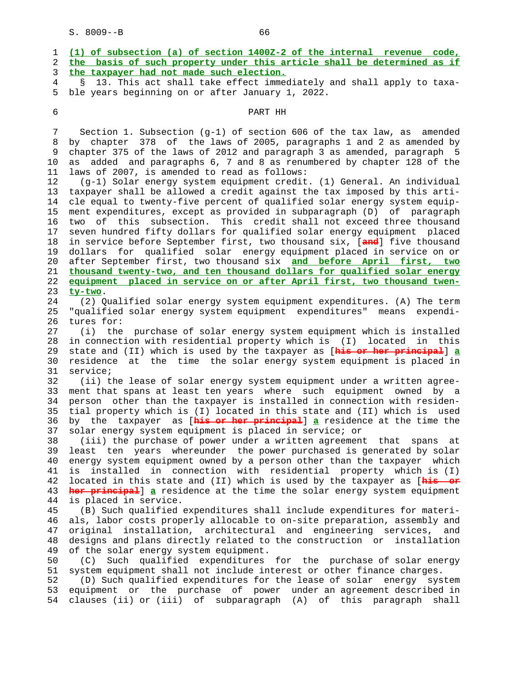| 4        | 13. This act shall take effect immediately and shall apply to taxa-<br>$\mathcal{S}$                                                             |
|----------|--------------------------------------------------------------------------------------------------------------------------------------------------|
| 5        | ble years beginning on or after January 1, 2022.                                                                                                 |
| 6        | PART HH                                                                                                                                          |
| 7        | Section 1. Subsection (g-1) of section 606 of the tax law, as amended                                                                            |
| 8        | by chapter 378 of the laws of 2005, paragraphs 1 and 2 as amended by                                                                             |
| 9        | chapter 375 of the laws of 2012 and paragraph 3 as amended, paragraph 5                                                                          |
| 10       | added and paragraphs 6, 7 and 8 as renumbered by chapter 128 of the<br>as                                                                        |
| 11       | laws of 2007, is amended to read as follows:                                                                                                     |
| 12       | (g-1) Solar energy system equipment credit. (1) General. An individual                                                                           |
| 13       | taxpayer shall be allowed a credit against the tax imposed by this arti-                                                                         |
| 14       | cle equal to twenty-five percent of qualified solar energy system equip-                                                                         |
| 15       | ment expenditures, except as provided in subparagraph (D) of paragraph                                                                           |
| 16       | subsection.<br>This credit shall not exceed three thousand<br>of this<br>two                                                                     |
| 17       | seven hundred fifty dollars for qualified solar energy equipment placed                                                                          |
| 18<br>19 | in service before September first, two thousand six, [and] five thousand<br>dollars for qualified solar energy equipment placed in service on or |
| 20       | after September first, two thousand six and before April first, two                                                                              |
| 21       | thousand twenty-two, and ten thousand dollars for qualified solar energy                                                                         |
| 22       | equipment placed in service on or after April first, two thousand twen-                                                                          |
| 23       | ty-two.                                                                                                                                          |
| 24       | (2) Qualified solar energy system equipment expenditures. (A) The term                                                                           |
| 25       | "qualified solar energy system equipment expenditures" means expendi-                                                                            |
| 26       | tures for:                                                                                                                                       |
| 27       | (i) the purchase of solar energy system equipment which is installed                                                                             |
| 28       | in connection with residential property which is (I) located in this                                                                             |
| 29       | state and (II) which is used by the taxpayer as [his or her principal] a                                                                         |
| 30       | at the time the solar energy system equipment is placed in<br>residence                                                                          |
| 31<br>32 | service;<br>(ii) the lease of solar energy system equipment under a written agree-                                                               |
| 33       | ment that spans at least ten years where such equipment owned by a                                                                               |
| 34       | person other than the taxpayer is installed in connection with residen-                                                                          |
| 35       | tial property which is (I) located in this state and (II) which is used                                                                          |
| 36       | by the taxpayer as [ <b>his or her principal</b> ] a residence at the time the                                                                   |
| 37       | solar energy system equipment is placed in service; or                                                                                           |
| 38       | (iii) the purchase of power under a written agreement<br>that<br>spans                                                                           |
| 39       | least ten years whereunder the power purchased is generated by solar                                                                             |
| 40       | energy system equipment owned by a person other than the taxpayer which                                                                          |
| 41       | is installed in connection with residential property which is (I)                                                                                |
| 42       | located in this state and (II) which is used by the taxpayer as [his or                                                                          |
| 43<br>44 | her principal] a residence at the time the solar energy system equipment<br>is placed in service.                                                |
| 45       | (B) Such qualified expenditures shall include expenditures for materi-                                                                           |
| 46       | als, labor costs properly allocable to on-site preparation, assembly and                                                                         |
| 47       | original installation, architectural and engineering services, and                                                                               |
| 48       | designs and plans directly related to the construction or<br>installation                                                                        |
| 49       | of the solar energy system equipment.                                                                                                            |
| 50       | Such qualified expenditures for the purchase of solar energy<br>(C)                                                                              |
| 51       | system equipment shall not include interest or other finance charges.                                                                            |
| 52       | (D) Such qualified expenditures for the lease of solar energy system                                                                             |
| 53       | equipment or the purchase of power under an agreement described in<br>clauses (ii) or (iii) of subparagraph (A) of this paragraph shall          |
| 54       |                                                                                                                                                  |

1 **(1) of subsection (a) of section 1400Z-2 of the internal revenue code,**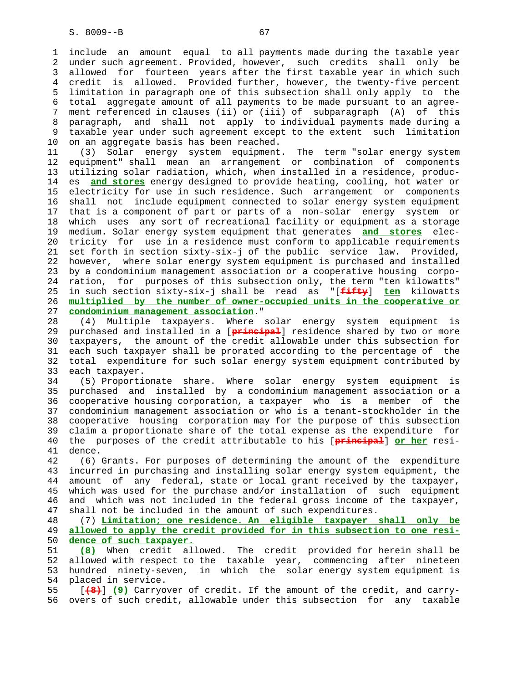1 include an amount equal to all payments made during the taxable year 2 under such agreement. Provided, however, such credits shall only be 3 allowed for fourteen years after the first taxable year in which such 4 credit is allowed. Provided further, however, the twenty-five percent 5 limitation in paragraph one of this subsection shall only apply to the 6 total aggregate amount of all payments to be made pursuant to an agree- 7 ment referenced in clauses (ii) or (iii) of subparagraph (A) of this 8 paragraph, and shall not apply to individual payments made during a 9 taxable year under such agreement except to the extent such limitation 10 on an aggregate basis has been reached.

 11 (3) Solar energy system equipment. The term "solar energy system 12 equipment" shall mean an arrangement or combination of components 13 utilizing solar radiation, which, when installed in a residence, produc- 14 es **and stores** energy designed to provide heating, cooling, hot water or 15 electricity for use in such residence. Such arrangement or components 16 shall not include equipment connected to solar energy system equipment 17 that is a component of part or parts of a non-solar energy system or 18 which uses any sort of recreational facility or equipment as a storage 19 medium. Solar energy system equipment that generates **and stores** elec- 20 tricity for use in a residence must conform to applicable requirements 21 set forth in section sixty-six-j of the public service law. Provided, 22 however, where solar energy system equipment is purchased and installed 23 by a condominium management association or a cooperative housing corpo- 24 ration, for purposes of this subsection only, the term "ten kilowatts" 25 in such section sixty-six-j shall be read as "[**fifty**] **ten** kilowatts 26 **multiplied by the number of owner-occupied units in the cooperative or** 27 **condominium management association**."

 28 (4) Multiple taxpayers. Where solar energy system equipment is 29 purchased and installed in a [**principal**] residence shared by two or more 30 taxpayers, the amount of the credit allowable under this subsection for 31 each such taxpayer shall be prorated according to the percentage of the 32 total expenditure for such solar energy system equipment contributed by 33 each taxpayer.

 34 (5) Proportionate share. Where solar energy system equipment is 35 purchased and installed by a condominium management association or a 36 cooperative housing corporation, a taxpayer who is a member of the 37 condominium management association or who is a tenant-stockholder in the 38 cooperative housing corporation may for the purpose of this subsection 39 claim a proportionate share of the total expense as the expenditure for 40 the purposes of the credit attributable to his [**principal**] **or her** resi- 41 dence.

 42 (6) Grants. For purposes of determining the amount of the expenditure 43 incurred in purchasing and installing solar energy system equipment, the 44 amount of any federal, state or local grant received by the taxpayer, 45 which was used for the purchase and/or installation of such equipment 46 and which was not included in the federal gross income of the taxpayer, 47 shall not be included in the amount of such expenditures.

 48 (7) **Limitation; one residence. An eligible taxpayer shall only be** 49 **allowed to apply the credit provided for in this subsection to one resi-** 50 **dence of such taxpayer.**

 51 **(8)** When credit allowed. The credit provided for herein shall be 52 allowed with respect to the taxable year, commencing after nineteen 53 hundred ninety-seven, in which the solar energy system equipment is 54 placed in service.

 55 [**(8)**] **(9)** Carryover of credit. If the amount of the credit, and carry- 56 overs of such credit, allowable under this subsection for any taxable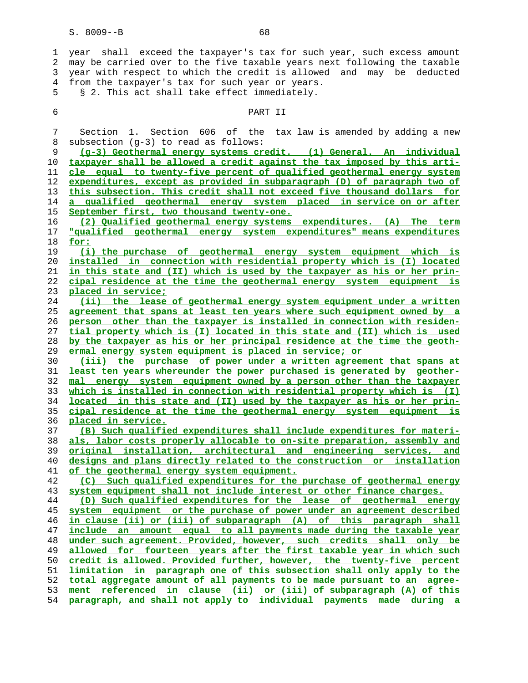1 year shall exceed the taxpayer's tax for such year, such excess amount 2 may be carried over to the five taxable years next following the taxable 3 year with respect to which the credit is allowed and may be deducted 4 from the taxpayer's tax for such year or years. 5 § 2. This act shall take effect immediately. 6 PART II 7 Section 1. Section 606 of the tax law is amended by adding a new 8 subsection (g-3) to read as follows: **(g-3) Geothermal energy systems credit. (1) General. An individual taxpayer shall be allowed a credit against the tax imposed by this arti- cle equal to twenty-five percent of qualified geothermal energy system expenditures, except as provided in subparagraph (D) of paragraph two of this subsection. This credit shall not exceed five thousand dollars for a qualified geothermal energy system placed in service on or after September first, two thousand twenty-one. (2) Qualified geothermal energy systems expenditures. (A) The term "qualified geothermal energy system expenditures" means expenditures for: (i) the purchase of geothermal energy system equipment which is installed in connection with residential property which is (I) located in this state and (II) which is used by the taxpayer as his or her prin- cipal residence at the time the geothermal energy system equipment is placed in service; (ii) the lease of geothermal energy system equipment under a written agreement that spans at least ten years where such equipment owned by a person other than the taxpayer is installed in connection with residen- tial property which is (I) located in this state and (II) which is used by the taxpayer as his or her principal residence at the time the geoth- ermal energy system equipment is placed in service; or (iii) the purchase of power under a written agreement that spans at least ten years whereunder the power purchased is generated by geother- mal energy system equipment owned by a person other than the taxpayer which is installed in connection with residential property which is (I) located in this state and (II) used by the taxpayer as his or her prin- cipal residence at the time the geothermal energy system equipment is placed in service. (B) Such qualified expenditures shall include expenditures for materi- als, labor costs properly allocable to on-site preparation, assembly and original installation, architectural and engineering services, and designs and plans directly related to the construction or installation of the geothermal energy system equipment. (C) Such qualified expenditures for the purchase of geothermal energy system equipment shall not include interest or other finance charges. (D) Such qualified expenditures for the lease of geothermal energy system equipment or the purchase of power under an agreement described in clause (ii) or (iii) of subparagraph (A) of this paragraph shall include an amount equal to all payments made during the taxable year under such agreement. Provided, however, such credits shall only be allowed for fourteen years after the first taxable year in which such credit is allowed. Provided further, however, the twenty-five percent limitation in paragraph one of this subsection shall only apply to the total aggregate amount of all payments to be made pursuant to an agree- ment referenced in clause (ii) or (iii) of subparagraph (A) of this**

**paragraph, and shall not apply to individual payments made during a**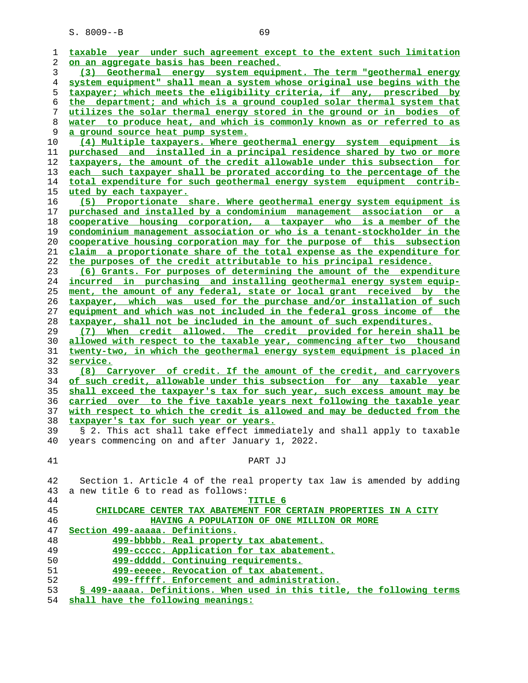**taxable year under such agreement except to the extent such limitation on an aggregate basis has been reached. (3) Geothermal energy system equipment. The term "geothermal energy system equipment" shall mean a system whose original use begins with the taxpayer; which meets the eligibility criteria, if any, prescribed by the department; and which is a ground coupled solar thermal system that utilizes the solar thermal energy stored in the ground or in bodies of water to produce heat, and which is commonly known as or referred to as a ground source heat pump system. (4) Multiple taxpayers. Where geothermal energy system equipment is purchased and installed in a principal residence shared by two or more taxpayers, the amount of the credit allowable under this subsection for each such taxpayer shall be prorated according to the percentage of the total expenditure for such geothermal energy system equipment contrib- uted by each taxpayer. (5) Proportionate share. Where geothermal energy system equipment is purchased and installed by a condominium management association or a cooperative housing corporation, a taxpayer who is a member of the condominium management association or who is a tenant-stockholder in the cooperative housing corporation may for the purpose of this subsection claim a proportionate share of the total expense as the expenditure for the purposes of the credit attributable to his principal residence. (6) Grants. For purposes of determining the amount of the expenditure incurred in purchasing and installing geothermal energy system equip- ment, the amount of any federal, state or local grant received by the taxpayer, which was used for the purchase and/or installation of such equipment and which was not included in the federal gross income of the taxpayer, shall not be included in the amount of such expenditures. (7) When credit allowed. The credit provided for herein shall be allowed with respect to the taxable year, commencing after two thousand twenty-two, in which the geothermal energy system equipment is placed in service. (8) Carryover of credit. If the amount of the credit, and carryovers of such credit, allowable under this subsection for any taxable year shall exceed the taxpayer's tax for such year, such excess amount may be carried over to the five taxable years next following the taxable year with respect to which the credit is allowed and may be deducted from the taxpayer's tax for such year or years.** 39 § 2. This act shall take effect immediately and shall apply to taxable 40 years commencing on and after January 1, 2022. 41 PART JJ 42 Section 1. Article 4 of the real property tax law is amended by adding 43 a new title 6 to read as follows: **TITLE 6 CHILDCARE CENTER TAX ABATEMENT FOR CERTAIN PROPERTIES IN A CITY HAVING A POPULATION OF ONE MILLION OR MORE Section 499-aaaaa. Definitions. 499-bbbbb. Real property tax abatement. 499-ccccc. Application for tax abatement. 499-ddddd. Continuing requirements. 499-eeeee. Revocation of tax abatement. 499-fffff. Enforcement and administration. § 499-aaaaa. Definitions. When used in this title, the following terms**

**shall have the following meanings:**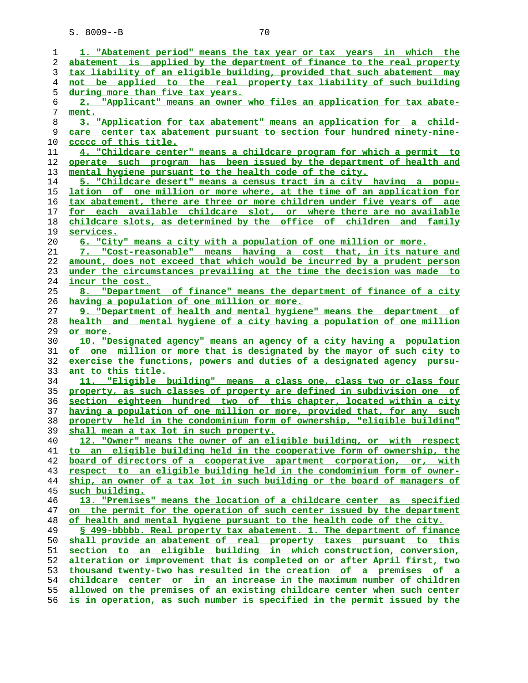| 1        | 1. "Abatement period" means the tax year or tax years in which the                                                |
|----------|-------------------------------------------------------------------------------------------------------------------|
| 2        | abatement is applied by the department of finance to the real property                                            |
| 3        | tax liability of an eligible building, provided that such abatement may                                           |
| 4        | not be applied to the real property tax liability of such building                                                |
| 5        | during more than five tax years.                                                                                  |
| 6        | 2. "Applicant" means an owner who files an application for tax abate-                                             |
| 7        | ment.                                                                                                             |
| 8        | 3. "Application for tax abatement" means an application for a child-                                              |
| 9        | care center tax abatement pursuant to section four hundred ninety-nine-                                           |
| 10       | ccccc of this title.                                                                                              |
| 11       | 4. "Childcare center" means a childcare program for which a permit to                                             |
| 12       | operate such program has been issued by the department of health and                                              |
| 13       | mental hygiene pursuant to the health code of the city.                                                           |
| 14       | 5. "Childcare desert" means a census tract in a city having a popu-                                               |
| 15       | lation of one million or more where, at the time of an application for                                            |
| 16       | tax abatement, there are three or more children under five years of age                                           |
| 17       | for each available childcare slot, or where there are no available                                                |
| 18       | childcare slots, as determined by the office of children and family                                               |
| 19       | services.                                                                                                         |
| 20       | 6. "City" means a city with a population of one million or more.                                                  |
| 21       | 7. "Cost-reasonable" means having a cost that, in its nature and                                                  |
| 22       | amount, does not exceed that which would be incurred by a prudent person                                          |
| 23       | under the circumstances prevailing at the time the decision was made to                                           |
| 24       | incur the cost.                                                                                                   |
| 25       | 8. "Department of finance" means the department of finance of a city                                              |
| 26       | having a population of one million or more.                                                                       |
| 27       | 9. "Department of health and mental hygiene" means the department of                                              |
| 28       | health and mental hygiene of a city having a population of one million                                            |
| 29       | or more.                                                                                                          |
| 30       | 10. "Designated agency" means an agency of a city having a population                                             |
| 31       | of one million or more that is designated by the mayor of such city to                                            |
| 32       | exercise the functions, powers and duties of a designated agency pursu-                                           |
| 33       | ant to this title.                                                                                                |
| 34       | 11. "Eligible building" means a class one, class two or class four                                                |
| 35       | property, as such classes of property are defined in subdivision one of                                           |
| 36       | section eighteen hundred two of this chapter, located within a city                                               |
| 37       | having a population of one million or more, provided that, for any such                                           |
| 38<br>39 | property held in the condominium form of ownership, "eligible building"<br>shall mean a tax lot in such property. |
| 40       | 12. "Owner" means the owner of an eligible building, or with respect                                              |
| 41       | to an eligible building held in the cooperative form of ownership, the                                            |
| 42       | board of directors of a cooperative apartment corporation, or, with                                               |
| 43       | respect to an eligible building held in the condominium form of owner-                                            |
| 44       | ship, an owner of a tax lot in such building or the board of managers of                                          |
| 45       | such building.                                                                                                    |
| 46       | 13. "Premises" means the location of a childcare center as specified                                              |
| 47       | on the permit for the operation of such center issued by the department                                           |
| 48       | of health and mental hygiene pursuant to the health code of the city.                                             |
| 49       | § 499-bbbbb. Real property tax abatement. 1. The department of finance                                            |
| 50       | shall provide an abatement of real property taxes pursuant to this                                                |
| 51       | section to an eligible building in which construction, conversion,                                                |
| 52       | alteration or improvement that is completed on or after April first, two                                          |
| 53       | thousand twenty-two has resulted in the creation of a premises of a                                               |
| 54       |                                                                                                                   |
|          | childcare center or in an increase in the maximum number of children                                              |
| 55       | allowed on the premises of an existing childcare center when such center                                          |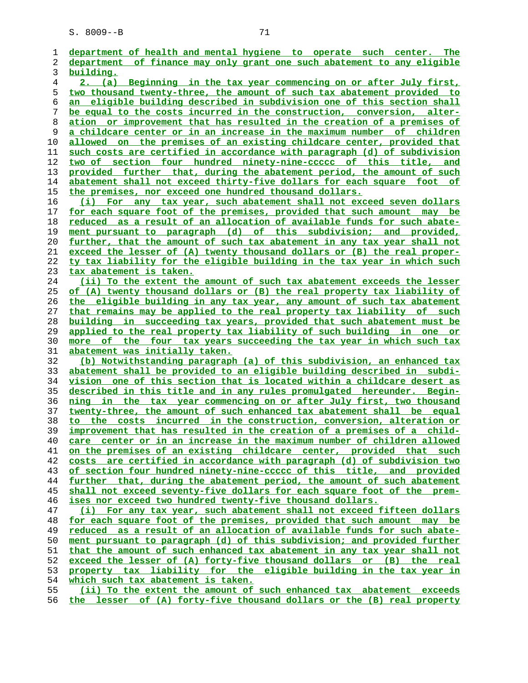**department of health and mental hygiene to operate such center. The department of finance may only grant one such abatement to any eligible building. 2. (a) Beginning in the tax year commencing on or after July first, two thousand twenty-three, the amount of such tax abatement provided to an eligible building described in subdivision one of this section shall be equal to the costs incurred in the construction, conversion, alter- ation or improvement that has resulted in the creation of a premises of a childcare center or in an increase in the maximum number of children allowed on the premises of an existing childcare center, provided that such costs are certified in accordance with paragraph (d) of subdivision two of section four hundred ninety-nine-ccccc of this title, and provided further that, during the abatement period, the amount of such abatement shall not exceed thirty-five dollars for each square foot of the premises, nor exceed one hundred thousand dollars. (i) For any tax year, such abatement shall not exceed seven dollars for each square foot of the premises, provided that such amount may be reduced as a result of an allocation of available funds for such abate- ment pursuant to paragraph (d) of this subdivision; and provided, further, that the amount of such tax abatement in any tax year shall not exceed the lesser of (A) twenty thousand dollars or (B) the real proper- ty tax liability for the eligible building in the tax year in which such tax abatement is taken. (ii) To the extent the amount of such tax abatement exceeds the lesser of (A) twenty thousand dollars or (B) the real property tax liability of the eligible building in any tax year, any amount of such tax abatement that remains may be applied to the real property tax liability of such building in succeeding tax years, provided that such abatement must be applied to the real property tax liability of such building in one or more of the four tax years succeeding the tax year in which such tax abatement was initially taken. (b) Notwithstanding paragraph (a) of this subdivision, an enhanced tax abatement shall be provided to an eligible building described in subdi- vision one of this section that is located within a childcare desert as described in this title and in any rules promulgated hereunder. Begin- ning in the tax year commencing on or after July first, two thousand twenty-three, the amount of such enhanced tax abatement shall be equal to the costs incurred in the construction, conversion, alteration or improvement that has resulted in the creation of a premises of a child- care center or in an increase in the maximum number of children allowed on the premises of an existing childcare center, provided that such costs are certified in accordance with paragraph (d) of subdivision two of section four hundred ninety-nine-ccccc of this title, and provided further that, during the abatement period, the amount of such abatement shall not exceed seventy-five dollars for each square foot of the prem- ises nor exceed two hundred twenty-five thousand dollars. (i) For any tax year, such abatement shall not exceed fifteen dollars for each square foot of the premises, provided that such amount may be reduced as a result of an allocation of available funds for such abate** ment pursuant to paragraph (d) of this subdivision; and provided further **that the amount of such enhanced tax abatement in any tax year shall not exceed the lesser of (A) forty-five thousand dollars or (B) the real property tax liability for the eligible building in the tax year in which such tax abatement is taken. (ii) To the extent the amount of such enhanced tax abatement exceeds**

**the lesser of (A) forty-five thousand dollars or the (B) real property**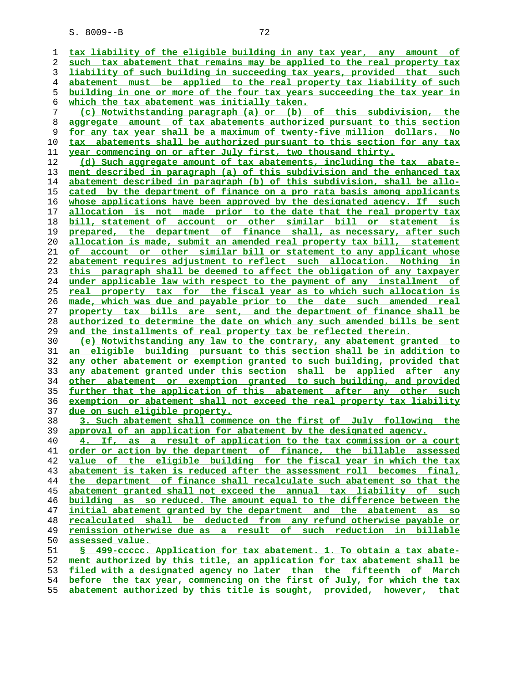**tax liability of the eligible building in any tax year, any amount of such tax abatement that remains may be applied to the real property tax liability of such building in succeeding tax years, provided that such abatement must be applied to the real property tax liability of such building in one or more of the four tax years succeeding the tax year in which the tax abatement was initially taken.**

**(c) Notwithstanding paragraph (a) or (b) of this subdivision, the aggregate amount of tax abatements authorized pursuant to this section for any tax year shall be a maximum of twenty-five million dollars. No tax abatements shall be authorized pursuant to this section for any tax year commencing on or after July first, two thousand thirty.**

**(d) Such aggregate amount of tax abatements, including the tax abate- ment described in paragraph (a) of this subdivision and the enhanced tax abatement described in paragraph (b) of this subdivision, shall be allo- cated by the department of finance on a pro rata basis among applicants whose applications have been approved by the designated agency. If such allocation is not made prior to the date that the real property tax bill, statement of account or other similar bill or statement is prepared, the department of finance shall, as necessary, after such allocation is made, submit an amended real property tax bill, statement of account or other similar bill or statement to any applicant whose abatement requires adjustment to reflect such allocation. Nothing in this paragraph shall be deemed to affect the obligation of any taxpayer under applicable law with respect to the payment of any installment of real property tax for the fiscal year as to which such allocation is made, which was due and payable prior to the date such amended real property tax bills are sent, and the department of finance shall be authorized to determine the date on which any such amended bills be sent and the installments of real property tax be reflected therein.**

**(e) Notwithstanding any law to the contrary, any abatement granted to an eligible building pursuant to this section shall be in addition to any other abatement or exemption granted to such building, provided that any abatement granted under this section shall be applied after any other abatement or exemption granted to such building, and provided further that the application of this abatement after any other such exemption or abatement shall not exceed the real property tax liability due on such eligible property.**

**3. Such abatement shall commence on the first of July following the approval of an application for abatement by the designated agency.**

**4. If, as a result of application to the tax commission or a court order or action by the department of finance, the billable assessed value of the eligible building for the fiscal year in which the tax abatement is taken is reduced after the assessment roll becomes final, the department of finance shall recalculate such abatement so that the abatement granted shall not exceed the annual tax liability of such building as so reduced. The amount equal to the difference between the initial abatement granted by the department and the abatement as so recalculated shall be deducted from any refund otherwise payable or remission otherwise due as a result of such reduction in billable assessed value.**

**§ 499-ccccc. Application for tax abatement. 1. To obtain a tax abate- ment authorized by this title, an application for tax abatement shall be filed with a designated agency no later than the fifteenth of March before the tax year, commencing on the first of July, for which the tax abatement authorized by this title is sought, provided, however, that**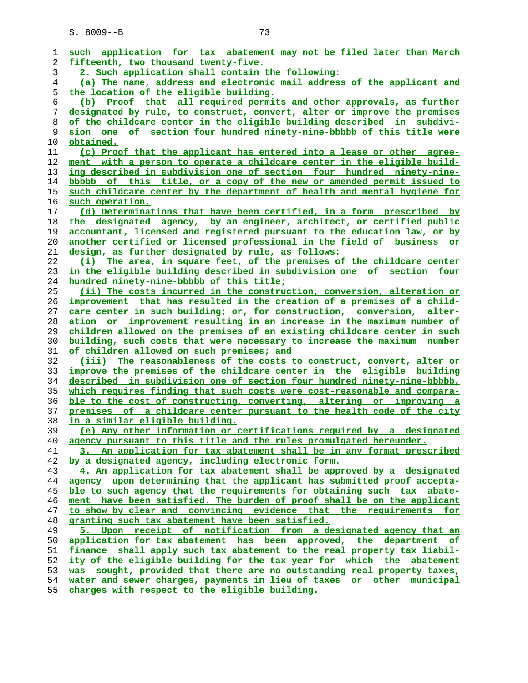| 1  | such application for tax abatement may not be filed later than March          |
|----|-------------------------------------------------------------------------------|
| 2  | fifteenth, two thousand twenty-five.                                          |
| 3  | 2. Such application shall contain the following:                              |
| 4  | (a) The name, address and electronic mail address of the applicant and        |
| 5  | the location of the eligible building.                                        |
| 6  | (b) Proof that all required permits and other approvals, as further           |
| 7  | designated by rule, to construct, convert, alter or improve the premises      |
| 8  | of the childcare center in the eligible building described in subdivi-        |
| 9  | sion one of section four hundred ninety-nine-bbbbb of this title were         |
| 10 | obtained.                                                                     |
| 11 | (c) Proof that the applicant has entered into a lease or other agree-         |
| 12 | ment with a person to operate a childcare center in the eligible build-       |
| 13 | ing described in subdivision one of section four hundred ninety-nine-         |
| 14 | bbbbb of this title, or a copy of the new or amended permit issued to         |
| 15 | such childcare center by the department of health and mental hygiene for      |
| 16 | such operation.                                                               |
| 17 | (d) Determinations that have been certified, in a form prescribed by          |
| 18 | the designated agency, by an engineer, architect, or certified public         |
| 19 | accountant, licensed and registered pursuant to the education law, or by      |
| 20 | <u>another certified or licensed professional in the field of business or</u> |
| 21 | design, as further designated by rule, as follows:                            |
| 22 | (i) The area, in square feet, of the premises of the childcare center         |
| 23 | in the eligible building described in subdivision one of section four         |
| 24 | hundred ninety-nine-bbbbb of this title;                                      |
| 25 | (ii) The costs incurred in the construction, conversion, alteration or        |
| 26 | improvement that has resulted in the creation of a premises of a child-       |
| 27 | care center in such building; or, for construction, conversion, alter-        |
| 28 | ation or improvement resulting in an increase in the maximum number of        |
| 29 | children allowed on the premises of an existing childcare center in such      |
| 30 | building, such costs that were necessary to increase the maximum number       |
| 31 | of children allowed on such premises; and                                     |
| 32 | (iii) The reasonableness of the costs to construct, convert, alter or         |
| 33 | improve the premises of the childcare center in the eligible building         |
| 34 | described in subdivision one of section four hundred ninety-nine-bbbbb,       |
| 35 | which requires finding that such costs were cost-reasonable and compara-      |
| 36 | ble to the cost of constructing, converting, altering or improving a          |
| 37 | premises of a childcare center pursuant to the health code of the city        |
| 38 | <u>in a similar eligible building.</u>                                        |
| 39 | (e) Any other information or certifications required by a designated          |
| 40 | agency pursuant to this title and the rules promulgated hereunder.            |
| 41 | 3. An application for tax abatement shall be in any format prescribed         |
| 42 | by a designated agency, including electronic form.                            |
| 43 | 4. An application for tax abatement shall be approved by a designated         |
| 44 | agency upon determining that the applicant has submitted proof accepta-       |
| 45 | ble to such agency that the requirements for obtaining such tax abate-        |
| 46 | ment have been satisfied. The burden of proof shall be on the applicant       |
| 47 | to show by clear and convincing evidence that the requirements for            |
| 48 | granting such tax abatement have been satisfied.                              |
| 49 | 5. Upon receipt of notification from a designated agency that an              |
| 50 | application for tax abatement has been approved, the department of            |
| 51 | finance shall apply such tax abatement to the real property tax liabil-       |
| 52 | <u>ity of the eligible building for the tax year for which the abatement</u>  |
| 53 | was sought, provided that there are no outstanding real property taxes,       |
| 54 | water and sewer charges, payments in lieu of taxes or other municipal         |
| 55 | charges with respect to the eligible building.                                |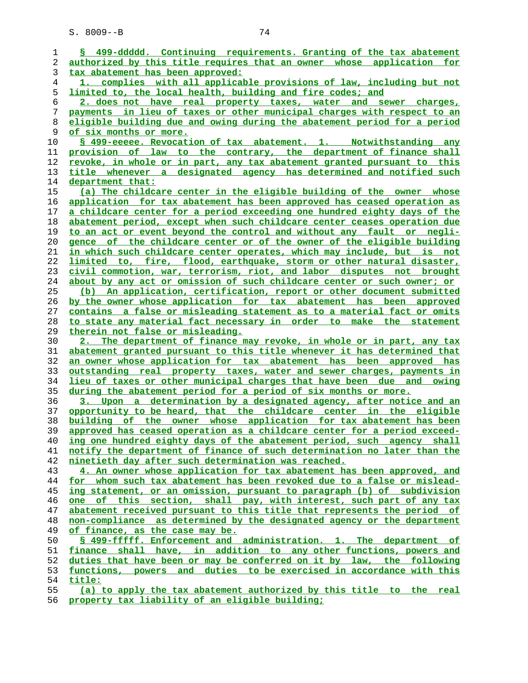**§ 499-ddddd. Continuing requirements. Granting of the tax abatement authorized by this title requires that an owner whose application for tax abatement has been approved: 1. complies with all applicable provisions of law, including but not limited to, the local health, building and fire codes; and 2. does not have real property taxes, water and sewer charges, payments in lieu of taxes or other municipal charges with respect to an eligible building due and owing during the abatement period for a period of six months or more. § 499-eeeee. Revocation of tax abatement. 1. Notwithstanding any provision of law to the contrary, the department of finance shall revoke, in whole or in part, any tax abatement granted pursuant to this title whenever a designated agency has determined and notified such department that: (a) The childcare center in the eligible building of the owner whose application for tax abatement has been approved has ceased operation as a childcare center for a period exceeding one hundred eighty days of the abatement period, except when such childcare center ceases operation due to an act or event beyond the control and without any fault or negli- gence of the childcare center or of the owner of the eligible building in which such childcare center operates, which may include, but is not limited to, fire, flood, earthquake, storm or other natural disaster, civil commotion, war, terrorism, riot, and labor disputes not brought about by any act or omission of such childcare center or such owner; or (b) An application, certification, report or other document submitted by the owner whose application for tax abatement has been approved contains a false or misleading statement as to a material fact or omits to state any material fact necessary in order to make the statement therein not false or misleading. 2. The department of finance may revoke, in whole or in part, any tax abatement granted pursuant to this title whenever it has determined that an owner whose application for tax abatement has been approved has outstanding real property taxes, water and sewer charges, payments in lieu of taxes or other municipal charges that have been due and owing during the abatement period for a period of six months or more. 3. Upon a determination by a designated agency, after notice and an opportunity to be heard, that the childcare center in the eligible building of the owner whose application for tax abatement has been approved has ceased operation as a childcare center for a period exceed- ing one hundred eighty days of the abatement period, such agency shall notify the department of finance of such determination no later than the ninetieth day after such determination was reached. 4. An owner whose application for tax abatement has been approved, and for whom such tax abatement has been revoked due to a false or mislead- ing statement, or an omission, pursuant to paragraph (b) of subdivision one of this section, shall pay, with interest, such part of any tax abatement received pursuant to this title that represents the period of non-compliance as determined by the designated agency or the department of finance, as the case may be. § 499-fffff. Enforcement and administration. 1. The department of finance shall have, in addition to any other functions, powers and duties that have been or may be conferred on it by law, the following functions, powers and duties to be exercised in accordance with this title: (a) to apply the tax abatement authorized by this title to the real property tax liability of an eligible building;**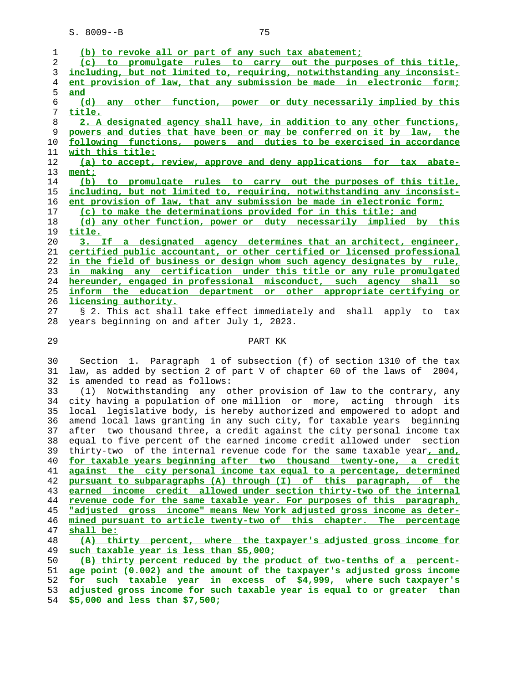| (b) to revoke all or part of any such tax abatement;                     |
|--------------------------------------------------------------------------|
| (c) to promulgate rules to carry out the purposes of this title,         |
| including, but not limited to, requiring, notwithstanding any inconsist- |
| ent provision of law, that any submission be made in electronic form;    |
| and                                                                      |
| (d) any other function, power or duty necessarily implied by this        |
| title.                                                                   |
| 2. A designated agency shall have, in addition to any other functions,   |
| powers and duties that have been or may be conferred on it by law, the   |
| following functions, powers and duties to be exercised in accordance     |
| with this title:                                                         |
| (a) to accept, review, approve and deny applications for tax abate-      |
| ment;                                                                    |
| (b) to promulgate rules to carry out the purposes of this title,         |
| including, but not limited to, requiring, notwithstanding any inconsist- |
| ent provision of law, that any submission be made in electronic form;    |
| (c) to make the determinations provided for in this title; and           |
| (d) any other function, power or duty necessarily implied by this        |
| title.                                                                   |
| 3. If a designated agency determines that an architect, engineer,        |
| certified public accountant, or other certified or licensed professional |
| in the field of business or design whom such agency designates by rule,  |
| in making any certification under this title or any rule promulgated     |
| hereunder, engaged in professional misconduct, such agency shall so      |
| inform the education department or other appropriate certifying or       |
| licensing authority.                                                     |
|                                                                          |
| § 2. This act shall take effect immediately and shall apply to tax       |
| years beginning on and after July 1, 2023.                               |
| PART KK                                                                  |
|                                                                          |
|                                                                          |
| Section 1. Paragraph 1 of subsection (f) of section 1310 of the tax      |
| law, as added by section 2 of part V of chapter 60 of the laws of 2004,  |
| is amended to read as follows:                                           |
| Notwithstanding any other provision of law to the contrary, any<br>(1)   |
| city having a population of one million or more, acting through its      |
| local legislative body, is hereby authorized and empowered to adopt and  |
| amend local laws granting in any such city, for taxable years beginning  |
| after two thousand three, a credit against the city personal income tax  |
| equal to five percent of the earned income credit allowed under section  |
| thirty-two of the internal revenue code for the same taxable year, and,  |
| for taxable years beginning after two thousand twenty-one, a credit      |
| against the city personal income tax equal to a percentage, determined   |
|                                                                          |
| pursuant to subparagraphs (A) through (I) of this paragraph, of the      |
| earned income credit allowed under section thirty-two of the internal    |
|                                                                          |

**"adjusted gross income" means New York adjusted gross income as deter- mined pursuant to article twenty-two of this chapter. The percentage shall be:**

**(A) thirty percent, where the taxpayer's adjusted gross income for such taxable year is less than \$5,000;**

**(B) thirty percent reduced by the product of two-tenths of a percent- age point (0.002) and the amount of the taxpayer's adjusted gross income for such taxable year in excess of \$4,999, where such taxpayer's adjusted gross income for such taxable year is equal to or greater than \$5,000 and less than \$7,500;**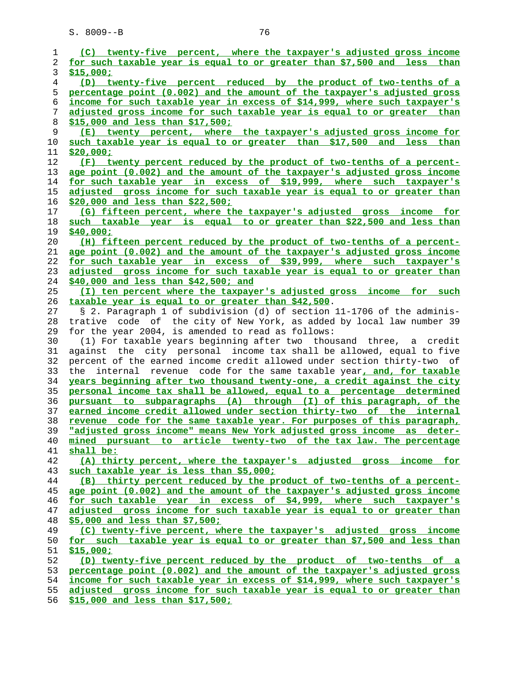| 1              | (C) twenty-five percent, where the taxpayer's adjusted gross income       |
|----------------|---------------------------------------------------------------------------|
| $\overline{2}$ | for such taxable year is equal to or greater than \$7,500 and less than   |
| 3              | \$15,000;                                                                 |
| 4              | (D) twenty-five percent reduced by the product of two-tenths of a         |
| 5              | percentage point (0.002) and the amount of the taxpayer's adjusted gross  |
| 6              | income for such taxable year in excess of \$14,999, where such taxpayer's |
| 7              | adjusted gross income for such taxable year is equal to or greater than   |
| 8              | \$15,000 and less than \$17,500;                                          |
| 9              | (E) twenty percent, where the taxpayer's adjusted gross income for        |
| 10             | such taxable year is equal to or greater than \$17,500 and less than      |
| 11             | \$20,000;                                                                 |
| 12             | (F) twenty percent reduced by the product of two-tenths of a percent-     |
| 13             | age point (0.002) and the amount of the taxpayer's adjusted gross income  |
| 14             | for such taxable year in excess of \$19,999, where such taxpayer's        |
| 15             | adjusted gross income for such taxable year is equal to or greater than   |
| 16             | \$20,000 and less than \$22,500;                                          |
| 17             | (G) fifteen percent, where the taxpayer's adjusted gross income for       |
| 18             | such taxable year is equal to or greater than \$22,500 and less than      |
| 19             | \$40,000;                                                                 |
| $20 \,$        | (H) fifteen percent reduced by the product of two-tenths of a percent-    |
| 21             | age point (0.002) and the amount of the taxpayer's adjusted gross income  |
|                | for such taxable year in excess of \$39,999, where such taxpayer's        |
| 22             |                                                                           |
| 23             | adjusted gross income for such taxable year is equal to or greater than   |
| 24             | \$40,000 and less than \$42,500; and                                      |
| 25             | (I) ten percent where the taxpayer's adjusted gross income for such       |
| 26             | taxable year is equal to or greater than \$42,500.                        |
| 27             | § 2. Paragraph 1 of subdivision (d) of section 11-1706 of the adminis-    |
| 28             | trative code of the city of New York, as added by local law number 39     |
| 29             | for the year 2004, is amended to read as follows:                         |
| 30             | (1) For taxable years beginning after two thousand three, a credit        |
| 31             | against the city personal income tax shall be allowed, equal to five      |
| 32             | percent of the earned income credit allowed under section thirty-two of   |
| 33             | the internal revenue code for the same taxable year, and, for taxable     |
| 34             | years beginning after two thousand twenty-one, a credit against the city  |
| 35             | personal income tax shall be allowed, equal to a percentage determined    |
| 36             | pursuant to subparagraphs (A) through (I) of this paragraph, of the       |
| 37             | earned income credit allowed under section thirty-two of the internal     |
| 38             | revenue code for the same taxable year. For purposes of this paragraph,   |
| 39             | "adjusted gross income" means New York adjusted gross income as deter-    |
| 40             | mined pursuant to article twenty-two of the tax law. The percentage       |
| 41             | shall be:                                                                 |
| 42             | (A) thirty percent, where the taxpayer's adjusted gross income for        |
| 43             | such taxable year is less than \$5,000;                                   |
| 44             | (B) thirty percent reduced by the product of two-tenths of a percent-     |
| 45             | age point (0.002) and the amount of the taxpayer's adjusted gross income  |
| 46             | for such taxable year in excess of \$4,999, where such taxpayer's         |
| 47             | adjusted gross income for such taxable year is equal to or greater than   |
| 48             | \$5,000 and less than \$7,500;                                            |
| 49             | (C) twenty-five percent, where the taxpayer's adjusted gross income       |
| 50             | for such taxable year is equal to or greater than \$7,500 and less than   |
| 51             | \$15,000;                                                                 |
| 52             | (D) twenty-five percent reduced by the product of two-tenths of a         |
| 53             | percentage point (0.002) and the amount of the taxpayer's adjusted gross  |
| 54             | income for such taxable year in excess of \$14,999, where such taxpayer's |
| 55             | adjusted gross income for such taxable year is equal to or greater than   |

**\$15,000 and less than \$17,500;**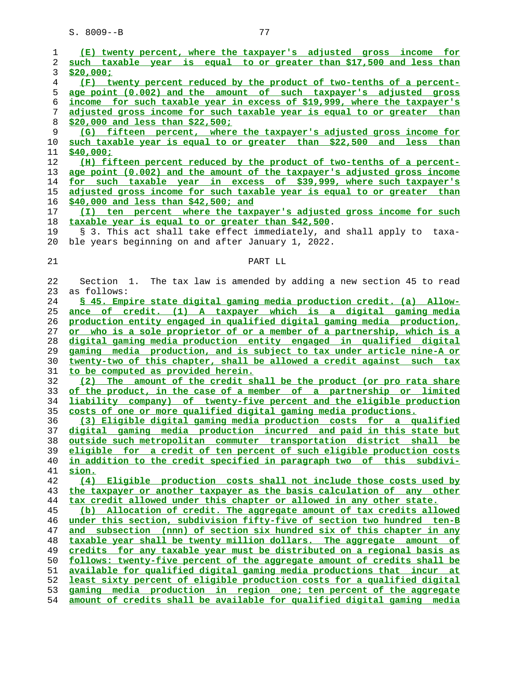| 1  | (E) twenty percent, where the taxpayer's adjusted gross income for       |
|----|--------------------------------------------------------------------------|
| 2  | such taxable year is equal to or greater than \$17,500 and less than     |
| 3  | \$20,000;                                                                |
| 4  | (F) twenty percent reduced by the product of two-tenths of a percent-    |
| 5  | age point (0.002) and the amount of such taxpayer's adjusted gross       |
| б  | income for such taxable year in excess of \$19,999, where the taxpayer's |
| 7  | adjusted gross income for such taxable year is equal to or greater than  |
| 8  |                                                                          |
|    | \$20,000 and less than \$22,500;                                         |
| 9  | (G) fifteen percent, where the taxpayer's adjusted gross income for      |
| 10 | such taxable year is equal to or greater than \$22,500 and less than     |
| 11 | \$40,000;                                                                |
| 12 | (H) fifteen percent reduced by the product of two-tenths of a percent-   |
| 13 | age point (0.002) and the amount of the taxpayer's adjusted gross income |
| 14 | for such taxable year in excess of \$39,999, where such taxpayer's       |
| 15 | adjusted gross income for such taxable year is equal to or greater than  |
| 16 | $$40,000$ and less than \$42,500; and                                    |
| 17 | (I) ten percent where the taxpayer's adjusted gross income for such      |
| 18 | taxable year is equal to or greater than \$42,500.                       |
| 19 | § 3. This act shall take effect immediately, and shall apply to taxa-    |
| 20 | ble years beginning on and after January 1, 2022.                        |
|    |                                                                          |
|    |                                                                          |
| 21 | PART LL                                                                  |
|    |                                                                          |
| 22 | Section 1.<br>The tax law is amended by adding a new section 45 to read  |
| 23 | as follows:                                                              |
| 24 | \$ 45. Empire state digital gaming media production credit. (a) Allow-   |
| 25 | ance of credit. (1) A taxpayer which is a digital gaming media           |
| 26 | production entity engaged in qualified digital gaming media production,  |
| 27 | or who is a sole proprietor of or a member of a partnership, which is a  |
| 28 | digital gaming media production entity engaged in qualified digital      |
| 29 | gaming media production, and is subject to tax under article nine-A or   |
| 30 | twenty-two of this chapter, shall be allowed a credit against such tax   |
| 31 | to be computed as provided herein.                                       |
| 32 | (2) The amount of the credit shall be the product (or pro rata share     |
| 33 | of the product, in the case of a member of a partnership or limited      |
| 34 | liability company) of twenty-five percent and the eligible production    |
| 35 | costs of one or more qualified digital gaming media productions.         |
| 36 | (3) Eligible digital gaming media production costs for a qualified       |
| 37 | digital gaming media production incurred and paid in this state but      |
|    |                                                                          |
| 38 | outside such metropolitan commuter transportation district shall be      |
| 39 | eligible for a credit of ten percent of such eligible production costs   |
| 40 | in addition to the credit specified in paragraph two of this subdivi-    |
| 41 | sion.                                                                    |
| 42 | (4) Eligible production costs shall not include those costs used by      |
| 43 | the taxpayer or another taxpayer as the basis calculation of any other   |
| 44 | tax credit allowed under this chapter or allowed in any other state.     |
| 45 | (b) Allocation of credit. The aggregate amount of tax credits allowed    |
| 46 | under this section, subdivision fifty-five of section two hundred ten-B  |
| 47 | and subsection (nnn) of section six hundred six of this chapter in any   |
| 48 | taxable year shall be twenty million dollars. The aggregate amount of    |
| 49 | credits for any taxable year must be distributed on a regional basis as  |
| 50 | follows: twenty-five percent of the aggregate amount of credits shall be |
| 51 | available for qualified digital gaming media productions that incur at   |
| 52 | least sixty percent of eligible production costs for a qualified digital |
|    |                                                                          |
| 53 | gaming media production in region one; ten percent of the aggregate      |
| 54 | amount of credits shall be available for qualified digital gaming media  |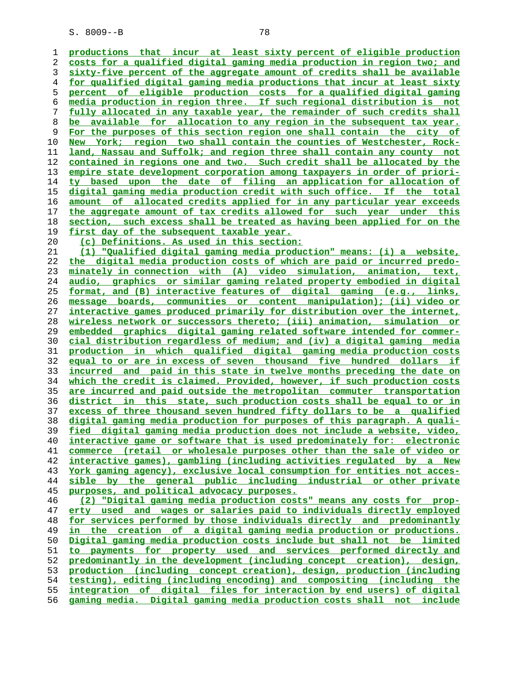**productions that incur at least sixty percent of eligible production costs for a qualified digital gaming media production in region two; and sixty-five percent of the aggregate amount of credits shall be available for qualified digital gaming media productions that incur at least sixty percent of eligible production costs for a qualified digital gaming media production in region three. If such regional distribution is not fully allocated in any taxable year, the remainder of such credits shall be available for allocation to any region in the subsequent tax year. For the purposes of this section region one shall contain the city of** New York; region two shall contain the counties of Westchester, Rock-**land, Nassau and Suffolk; and region three shall contain any county not contained in regions one and two. Such credit shall be allocated by the empire state development corporation among taxpayers in order of priori- ty based upon the date of filing an application for allocation of digital gaming media production credit with such office. If the total amount of allocated credits applied for in any particular year exceeds the aggregate amount of tax credits allowed for such year under this section, such excess shall be treated as having been applied for on the first day of the subsequent taxable year. (c) Definitions. As used in this section: (1) "Qualified digital gaming media production" means: (i) a website, the digital media production costs of which are paid or incurred predo- minately in connection with (A) video simulation, animation, text, audio, graphics or similar gaming related property embodied in digital format, and (B) interactive features of digital gaming (e.g., links, message boards, communities or content manipulation); (ii) video or interactive games produced primarily for distribution over the internet, wireless network or successors thereto; (iii) animation, simulation or embedded graphics digital gaming related software intended for commer- cial distribution regardless of medium; and (iv) a digital gaming media production in which qualified digital gaming media production costs equal to or are in excess of seven thousand five hundred dollars if incurred and paid in this state in twelve months preceding the date on which the credit is claimed. Provided, however, if such production costs are incurred and paid outside the metropolitan commuter transportation district in this state, such production costs shall be equal to or in excess of three thousand seven hundred fifty dollars to be a qualified digital gaming media production for purposes of this paragraph. A quali- fied digital gaming media production does not include a website, video, interactive game or software that is used predominately for: electronic commerce (retail or wholesale purposes other than the sale of video or interactive games), gambling (including activities regulated by a New York gaming agency), exclusive local consumption for entities not acces- sible by the general public including industrial or other private purposes, and political advocacy purposes. (2) "Digital gaming media production costs" means any costs for prop- erty used and wages or salaries paid to individuals directly employed for services performed by those individuals directly and predominantly in the creation of a digital gaming media production or productions. Digital gaming media production costs include but shall not be limited to payments for property used and services performed directly and predominantly in the development (including concept creation), design, production (including concept creation), design, production (including testing), editing (including encoding) and compositing (including the integration of digital files for interaction by end users) of digital**

**gaming media. Digital gaming media production costs shall not include**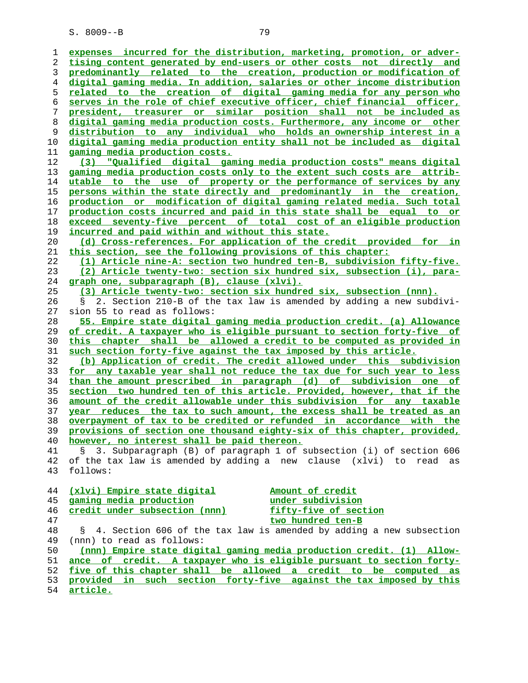| ı        |                                                                                                                                          |
|----------|------------------------------------------------------------------------------------------------------------------------------------------|
|          | expenses incurred for the distribution, marketing, promotion, or adver-                                                                  |
| 2        | tising content generated by end-users or other costs not directly and                                                                    |
| 3        | predominantly related to the creation, production or modification of                                                                     |
| 4        | digital gaming media. In addition, salaries or other income distribution                                                                 |
| 5        | related to the creation of digital gaming media for any person who                                                                       |
| 6        | serves in the role of chief executive officer, chief financial officer,                                                                  |
| 7        | president, treasurer or similar position shall not be included as                                                                        |
| 8        | digital gaming media production costs. Furthermore, any income or other                                                                  |
| 9        | distribution to any individual who holds an ownership interest in a                                                                      |
| 10       | digital gaming media production entity shall not be included as digital                                                                  |
| 11       | gaming media production costs.                                                                                                           |
| 12       | (3) "Qualified digital gaming media production costs" means digital                                                                      |
| 13       | gaming media production costs only to the extent such costs are attrib-                                                                  |
| 14       | utable to the use of property or the performance of services by any                                                                      |
| 15       | persons within the state directly and predominantly in the creation,                                                                     |
| 16       | production or modification of digital gaming related media. Such total                                                                   |
| 17       | production costs incurred and paid in this state shall be equal to or                                                                    |
| 18       | exceed seventy-five percent of total cost of an eligible production                                                                      |
| 19       | incurred and paid within and without this state.                                                                                         |
| 20       | (d) Cross-references. For application of the credit provided for in                                                                      |
| 21       | this section, see the following provisions of this chapter:                                                                              |
| 22       | (1) Article nine-A: section two hundred ten-B, subdivision fifty-five.                                                                   |
| 23       | (2) Article twenty-two: section six hundred six, subsection (i), para-                                                                   |
| 24       | graph one, subparagraph (B), clause (xlvi).                                                                                              |
| 25       | (3) Article twenty-two: section six hundred six, subsection (nnn).                                                                       |
|          |                                                                                                                                          |
| 26       | 2. Section 210-B of the tax law is amended by adding a new subdivi-<br>S.                                                                |
| 27       | sion 55 to read as follows:                                                                                                              |
| 28       | 55. Empire state digital gaming media production credit. (a) Allowance                                                                   |
| 29       | of credit. A taxpayer who is eligible pursuant to section forty-five of                                                                  |
| 30       | this chapter shall be allowed a credit to be computed as provided in                                                                     |
| 31       | such section forty-five against the tax imposed by this article.<br>(b) Application of credit. The credit allowed under this subdivision |
|          |                                                                                                                                          |
| 32       |                                                                                                                                          |
| 33       | for any taxable year shall not reduce the tax due for such year to less                                                                  |
| 34       | than the amount prescribed in paragraph (d) of subdivision one of                                                                        |
| 35       | section two hundred ten of this article. Provided, however, that if the                                                                  |
| 36       | amount of the credit allowable under this subdivision for any taxable                                                                    |
| 37       | year reduces the tax to such amount, the excess shall be treated as an                                                                   |
| 38       | overpayment of tax to be credited or refunded in accordance with the                                                                     |
| 39       | provisions of section one thousand eighty-six of this chapter, provided,                                                                 |
| 40       | however, no interest shall be paid thereon.                                                                                              |
| 41       | 3. Subparagraph (B) of paragraph 1 of subsection (i) of section 606                                                                      |
| 42       | of the tax law is amended by adding a new clause (xlvi) to read as                                                                       |
| 43       | follows:                                                                                                                                 |
|          |                                                                                                                                          |
| 44       | (xlvi) Empire state digital<br>Amount of credit                                                                                          |
| 45       | gaming media production<br>under subdivision                                                                                             |
| 46       | credit under subsection (nnn)<br>fifty-five of section                                                                                   |
| 47       | two hundred ten-B                                                                                                                        |
| 48       | 4. Section 606 of the tax law is amended by adding a new subsection<br>S.                                                                |
| 49       | (nnn) to read as follows:                                                                                                                |
| 50       | (nnn) Empire state digital gaming media production credit. (1) Allow-                                                                    |
| 51       | ance of credit. A taxpayer who is eligible pursuant to section forty-                                                                    |
| 52<br>53 | five of this chapter shall be allowed a credit to be computed as<br>provided in such section forty-five against the tax imposed by this  |

**article.**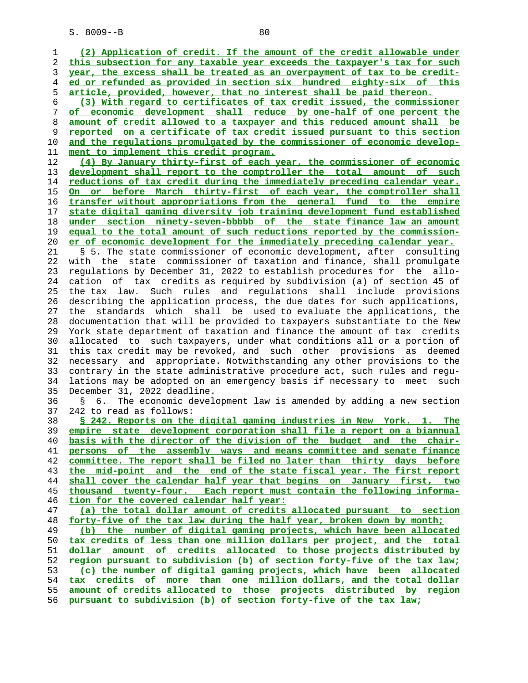**(2) Application of credit. If the amount of the credit allowable under this subsection for any taxable year exceeds the taxpayer's tax for such year, the excess shall be treated as an overpayment of tax to be credit- ed or refunded as provided in section six hundred eighty-six of this article, provided, however, that no interest shall be paid thereon. (3) With regard to certificates of tax credit issued, the commissioner of economic development shall reduce by one-half of one percent the amount of credit allowed to a taxpayer and this reduced amount shall be reported on a certificate of tax credit issued pursuant to this section and the regulations promulgated by the commissioner of economic develop- ment to implement this credit program. (4) By January thirty-first of each year, the commissioner of economic development shall report to the comptroller the total amount of such reductions of tax credit during the immediately preceding calendar year. On or before March thirty-first of each year, the comptroller shall transfer without appropriations from the general fund to the empire state digital gaming diversity job training development fund established under section ninety-seven-bbbbb of the state finance law an amount equal to the total amount of such reductions reported by the commission- er of economic development for the immediately preceding calendar year.** 21 § 5. The state commissioner of economic development, after consulting 22 with the state commissioner of taxation and finance, shall promulgate 23 regulations by December 31, 2022 to establish procedures for the allo- 24 cation of tax credits as required by subdivision (a) of section 45 of 25 the tax law. Such rules and regulations shall include provisions 26 describing the application process, the due dates for such applications, 27 the standards which shall be used to evaluate the applications, the 28 documentation that will be provided to taxpayers substantiate to the New 29 York state department of taxation and finance the amount of tax credits 30 allocated to such taxpayers, under what conditions all or a portion of 31 this tax credit may be revoked, and such other provisions as deemed 32 necessary and appropriate. Notwithstanding any other provisions to the 33 contrary in the state administrative procedure act, such rules and regu- 34 lations may be adopted on an emergency basis if necessary to meet such 35 December 31, 2022 deadline. 36 § 6. The economic development law is amended by adding a new section 37 242 to read as follows: **§ 242. Reports on the digital gaming industries in New York. 1. The empire state development corporation shall file a report on a biannual**

**basis with the director of the division of the budget and the chair- persons of the assembly ways and means committee and senate finance committee. The report shall be filed no later than thirty days before the mid-point and the end of the state fiscal year. The first report shall cover the calendar half year that begins on January first, two thousand twenty-four. Each report must contain the following informa- tion for the covered calendar half year: (a) the total dollar amount of credits allocated pursuant to section forty-five of the tax law during the half year, broken down by month; (b) the number of digital gaming projects, which have been allocated tax credits of less than one million dollars per project, and the total dollar amount of credits allocated to those projects distributed by region pursuant to subdivision (b) of section forty-five of the tax law; (c) the number of digital gaming projects, which have been allocated tax credits of more than one million dollars, and the total dollar**

**amount of credits allocated to those projects distributed by region pursuant to subdivision (b) of section forty-five of the tax law;**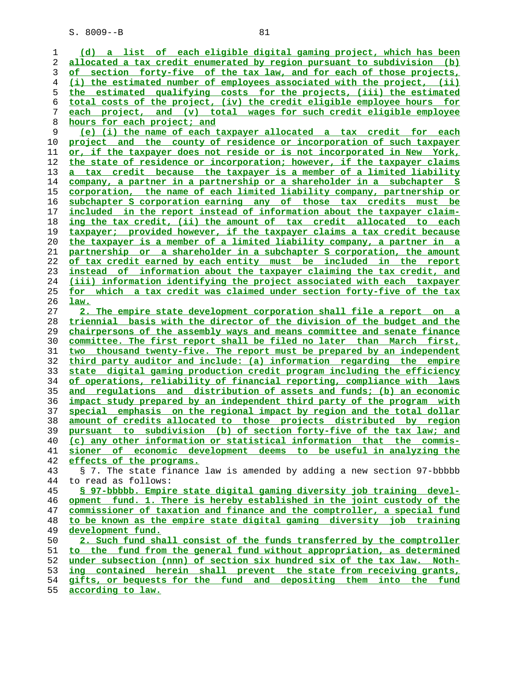**(d) a list of each eligible digital gaming project, which has been allocated a tax credit enumerated by region pursuant to subdivision (b) of section forty-five of the tax law, and for each of those projects, (i) the estimated number of employees associated with the project, (ii) the estimated qualifying costs for the projects, (iii) the estimated total costs of the project, (iv) the credit eligible employee hours for each project, and (v) total wages for such credit eligible employee hours for each project; and (e) (i) the name of each taxpayer allocated a tax credit for each project and the county of residence or incorporation of such taxpayer or, if the taxpayer does not reside or is not incorporated in New York, the state of residence or incorporation; however, if the taxpayer claims a tax credit because the taxpayer is a member of a limited liability company, a partner in a partnership or a shareholder in a subchapter S corporation, the name of each limited liability company, partnership or subchapter S corporation earning any of those tax credits must be included in the report instead of information about the taxpayer claim- ing the tax credit, (ii) the amount of tax credit allocated to each taxpayer; provided however, if the taxpayer claims a tax credit because the taxpayer is a member of a limited liability company, a partner in a partnership or a shareholder in a subchapter S corporation, the amount of tax credit earned by each entity must be included in the report instead of information about the taxpayer claiming the tax credit, and (iii) information identifying the project associated with each taxpayer for which a tax credit was claimed under section forty-five of the tax law. 2. The empire state development corporation shall file a report on a triennial basis with the director of the division of the budget and the chairpersons of the assembly ways and means committee and senate finance committee. The first report shall be filed no later than March first, two thousand twenty-five. The report must be prepared by an independent third party auditor and include: (a) information regarding the empire state digital gaming production credit program including the efficiency of operations, reliability of financial reporting, compliance with laws and regulations and distribution of assets and funds; (b) an economic impact study prepared by an independent third party of the program with special emphasis on the regional impact by region and the total dollar amount of credits allocated to those projects distributed by region pursuant to subdivision (b) of section forty-five of the tax law; and (c) any other information or statistical information that the commis- sioner of economic development deems to be useful in analyzing the effects of the programs.** 43 § 7. The state finance law is amended by adding a new section 97-bbbbb 44 to read as follows: **§ 97-bbbbb. Empire state digital gaming diversity job training devel- opment fund. 1. There is hereby established in the joint custody of the commissioner of taxation and finance and the comptroller, a special fund to be known as the empire state digital gaming diversity job training development fund. 2. Such fund shall consist of the funds transferred by the comptroller to the fund from the general fund without appropriation, as determined under subsection (nnn) of section six hundred six of the tax law. Noth- ing contained herein shall prevent the state from receiving grants, gifts, or bequests for the fund and depositing them into the fund according to law.**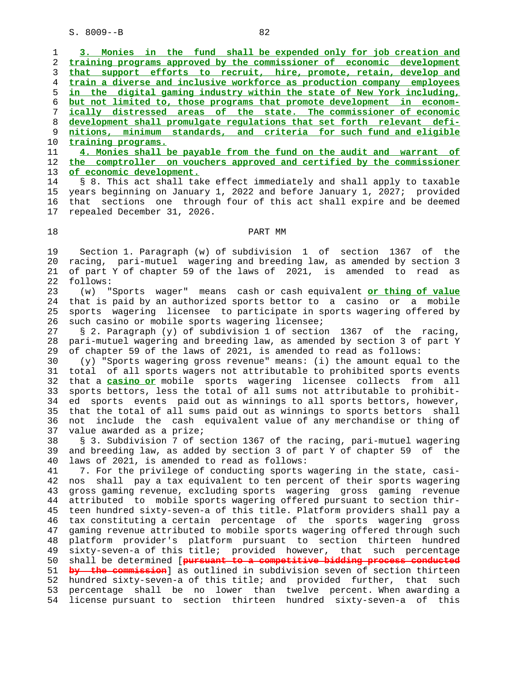**3. Monies in the fund shall be expended only for job creation and training programs approved by the commissioner of economic development that support efforts to recruit, hire, promote, retain, develop and train a diverse and inclusive workforce as production company employees in the digital gaming industry within the state of New York including, but not limited to, those programs that promote development in econom- ically distressed areas of the state. The commissioner of economic development shall promulgate regulations that set forth relevant defi- nitions, minimum standards, and criteria for such fund and eligible training programs.**

 11 **4. Monies shall be payable from the fund on the audit and warrant of** 12 **the comptroller on vouchers approved and certified by the commissioner** 13 **of economic development.**

 14 § 8. This act shall take effect immediately and shall apply to taxable 15 years beginning on January 1, 2022 and before January 1, 2027; provided 16 that sections one through four of this act shall expire and be deemed 17 repealed December 31, 2026.

## 18 PART MM

 19 Section 1. Paragraph (w) of subdivision 1 of section 1367 of the 20 racing, pari-mutuel wagering and breeding law, as amended by section 3 21 of part Y of chapter 59 of the laws of 2021, is amended to read as 22 follows:

 23 (w) "Sports wager" means cash or cash equivalent **or thing of value** 24 that is paid by an authorized sports bettor to a casino or a mobile 25 sports wagering licensee to participate in sports wagering offered by 26 such casino or mobile sports wagering licensee;

 27 § 2. Paragraph (y) of subdivision 1 of section 1367 of the racing, 28 pari-mutuel wagering and breeding law, as amended by section 3 of part Y 29 of chapter 59 of the laws of 2021, is amended to read as follows:

 30 (y) "Sports wagering gross revenue" means: (i) the amount equal to the 31 total of all sports wagers not attributable to prohibited sports events 32 that a **casino or** mobile sports wagering licensee collects from all 33 sports bettors, less the total of all sums not attributable to prohibit- 34 ed sports events paid out as winnings to all sports bettors, however, 35 that the total of all sums paid out as winnings to sports bettors shall 36 not include the cash equivalent value of any merchandise or thing of 37 value awarded as a prize;

 38 § 3. Subdivision 7 of section 1367 of the racing, pari-mutuel wagering 39 and breeding law, as added by section 3 of part Y of chapter 59 of the 40 laws of 2021, is amended to read as follows:

 41 7. For the privilege of conducting sports wagering in the state, casi- 42 nos shall pay a tax equivalent to ten percent of their sports wagering 43 gross gaming revenue, excluding sports wagering gross gaming revenue 44 attributed to mobile sports wagering offered pursuant to section thir- 45 teen hundred sixty-seven-a of this title. Platform providers shall pay a 46 tax constituting a certain percentage of the sports wagering gross 47 gaming revenue attributed to mobile sports wagering offered through such 48 platform provider's platform pursuant to section thirteen hundred 49 sixty-seven-a of this title; provided however, that such percentage 50 shall be determined [**pursuant to a competitive bidding process conducted** 51 **by the commission**] as outlined in subdivision seven of section thirteen 52 hundred sixty-seven-a of this title; and provided further, that such 53 percentage shall be no lower than twelve percent. When awarding a 54 license pursuant to section thirteen hundred sixty-seven-a of this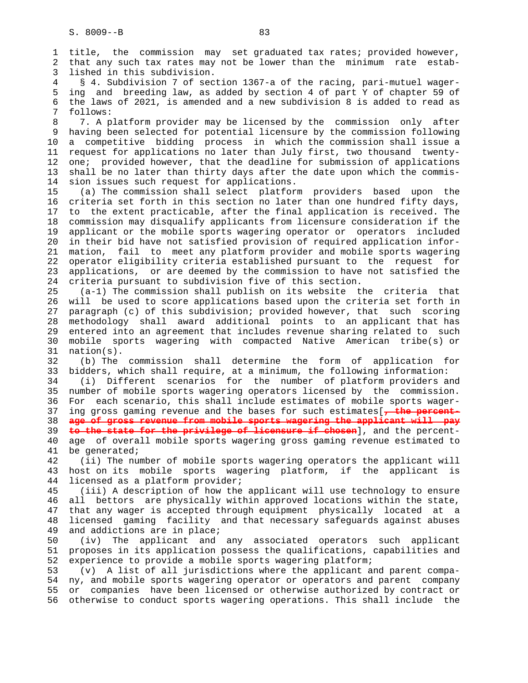1 title, the commission may set graduated tax rates; provided however, 2 that any such tax rates may not be lower than the minimum rate estab- 3 lished in this subdivision. 4 § 4. Subdivision 7 of section 1367-a of the racing, pari-mutuel wager- 5 ing and breeding law, as added by section 4 of part Y of chapter 59 of 6 the laws of 2021, is amended and a new subdivision 8 is added to read as 7 follows: 8 7. A platform provider may be licensed by the commission only after 9 having been selected for potential licensure by the commission following 10 a competitive bidding process in which the commission shall issue a 11 request for applications no later than July first, two thousand twenty- 12 one; provided however, that the deadline for submission of applications 13 shall be no later than thirty days after the date upon which the commis- 14 sion issues such request for applications. 15 (a) The commission shall select platform providers based upon the 16 criteria set forth in this section no later than one hundred fifty days, 17 to the extent practicable, after the final application is received. The 18 commission may disqualify applicants from licensure consideration if the 19 applicant or the mobile sports wagering operator or operators included 20 in their bid have not satisfied provision of required application infor- 21 mation, fail to meet any platform provider and mobile sports wagering 22 operator eligibility criteria established pursuant to the request for 23 applications, or are deemed by the commission to have not satisfied the 24 criteria pursuant to subdivision five of this section. 25 (a-1) The commission shall publish on its website the criteria that 26 will be used to score applications based upon the criteria set forth in 27 paragraph (c) of this subdivision; provided however, that such scoring 28 methodology shall award additional points to an applicant that has 29 entered into an agreement that includes revenue sharing related to such 30 mobile sports wagering with compacted Native American tribe(s) or 31 nation(s). 32 (b) The commission shall determine the form of application for 33 bidders, which shall require, at a minimum, the following information: 34 (i) Different scenarios for the number of platform providers and 35 number of mobile sports wagering operators licensed by the commission. 36 For each scenario, this shall include estimates of mobile sports wager- 37 ing gross gaming revenue and the bases for such estimates[**, the percent-** 38 **age of gross revenue from mobile sports wagering the applicant will pay** 39 **to the state for the privilege of licensure if chosen**], and the percent- 40 age of overall mobile sports wagering gross gaming revenue estimated to 41 be generated; 42 (ii) The number of mobile sports wagering operators the applicant will 43 host on its mobile sports wagering platform, if the applicant is 44 licensed as a platform provider; 45 (iii) A description of how the applicant will use technology to ensure 46 all bettors are physically within approved locations within the state, 47 that any wager is accepted through equipment physically located at a 48 licensed gaming facility and that necessary safeguards against abuses 49 and addictions are in place; 50 (iv) The applicant and any associated operators such applicant 51 proposes in its application possess the qualifications, capabilities and 52 experience to provide a mobile sports wagering platform;

 53 (v) A list of all jurisdictions where the applicant and parent compa- 54 ny, and mobile sports wagering operator or operators and parent company 55 or companies have been licensed or otherwise authorized by contract or 56 otherwise to conduct sports wagering operations. This shall include the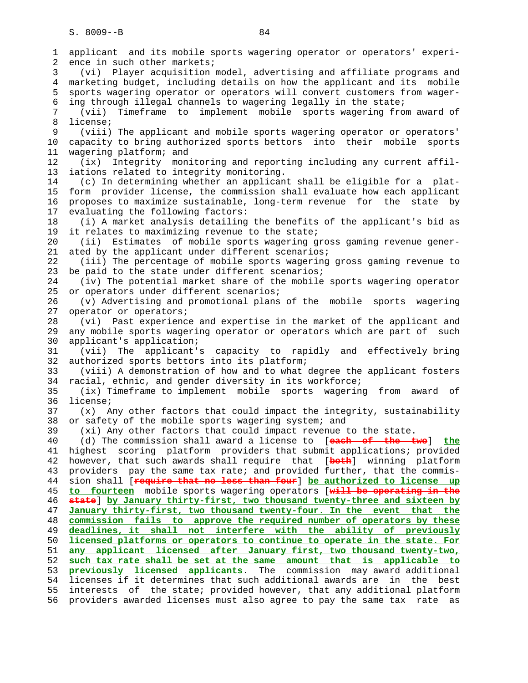1 applicant and its mobile sports wagering operator or operators' experi- 2 ence in such other markets; 3 (vi) Player acquisition model, advertising and affiliate programs and 4 marketing budget, including details on how the applicant and its mobile 5 sports wagering operator or operators will convert customers from wager- 6 ing through illegal channels to wagering legally in the state; 7 (vii) Timeframe to implement mobile sports wagering from award of 8 license; 9 (viii) The applicant and mobile sports wagering operator or operators' 10 capacity to bring authorized sports bettors into their mobile sports 11 wagering platform; and 12 (ix) Integrity monitoring and reporting including any current affil- 13 iations related to integrity monitoring. 14 (c) In determining whether an applicant shall be eligible for a plat- 15 form provider license, the commission shall evaluate how each applicant 16 proposes to maximize sustainable, long-term revenue for the state by 17 evaluating the following factors: 18 (i) A market analysis detailing the benefits of the applicant's bid as 19 it relates to maximizing revenue to the state; 20 (ii) Estimates of mobile sports wagering gross gaming revenue gener- 21 ated by the applicant under different scenarios; 22 (iii) The percentage of mobile sports wagering gross gaming revenue to 23 be paid to the state under different scenarios; 24 (iv) The potential market share of the mobile sports wagering operator 25 or operators under different scenarios; 26 (v) Advertising and promotional plans of the mobile sports wagering 27 operator or operators; 28 (vi) Past experience and expertise in the market of the applicant and 29 any mobile sports wagering operator or operators which are part of such 30 applicant's application; 31 (vii) The applicant's capacity to rapidly and effectively bring 32 authorized sports bettors into its platform; 33 (viii) A demonstration of how and to what degree the applicant fosters 34 racial, ethnic, and gender diversity in its workforce; 35 (ix) Timeframe to implement mobile sports wagering from award of 36 license; 37 (x) Any other factors that could impact the integrity, sustainability 38 or safety of the mobile sports wagering system; and 39 (xi) Any other factors that could impact revenue to the state. 40 (d) The commission shall award a license to [**each of the two**] **the** 41 highest scoring platform providers that submit applications; provided 42 however, that such awards shall require that [**both**] winning platform 43 providers pay the same tax rate; and provided further, that the commis- 44 sion shall [**require that no less than four**] **be authorized to license up** 45 **to fourteen** mobile sports wagering operators [**will be operating in the** 46 **state**] **by January thirty-first, two thousand twenty-three and sixteen by** 47 **January thirty-first, two thousand twenty-four. In the event that the** 48 **commission fails to approve the required number of operators by these** 49 **deadlines, it shall not interfere with the ability of previously** 50 **licensed platforms or operators to continue to operate in the state. For** 51 **any applicant licensed after January first, two thousand twenty-two,** 52 **such tax rate shall be set at the same amount that is applicable to** 53 **previously licensed applicants**. The commission may award additional 54 licenses if it determines that such additional awards are in the best 55 interests of the state; provided however, that any additional platform 56 providers awarded licenses must also agree to pay the same tax rate as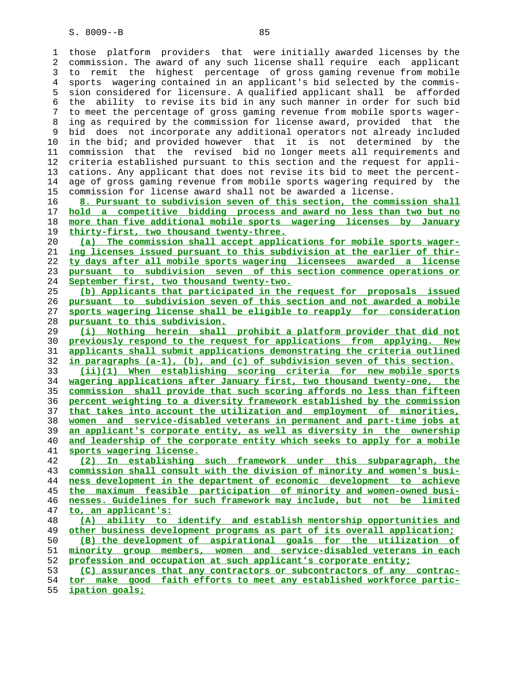1 those platform providers that were initially awarded licenses by the 2 commission. The award of any such license shall require each applicant 3 to remit the highest percentage of gross gaming revenue from mobile 4 sports wagering contained in an applicant's bid selected by the commis- 5 sion considered for licensure. A qualified applicant shall be afforded 6 the ability to revise its bid in any such manner in order for such bid 7 to meet the percentage of gross gaming revenue from mobile sports wager- 8 ing as required by the commission for license award, provided that the 9 bid does not incorporate any additional operators not already included 10 in the bid; and provided however that it is not determined by the 11 commission that the revised bid no longer meets all requirements and 12 criteria established pursuant to this section and the request for appli- 13 cations. Any applicant that does not revise its bid to meet the percent- 14 age of gross gaming revenue from mobile sports wagering required by the 15 commission for license award shall not be awarded a license. **8. Pursuant to subdivision seven of this section, the commission shall hold a competitive bidding process and award no less than two but no more than five additional mobile sports wagering licenses by January thirty-first, two thousand twenty-three. (a) The commission shall accept applications for mobile sports wager- ing licenses issued pursuant to this subdivision at the earlier of thir- ty days after all mobile sports wagering licensees awarded a license pursuant to subdivision seven of this section commence operations or September first, two thousand twenty-two. (b) Applicants that participated in the request for proposals issued pursuant to subdivision seven of this section and not awarded a mobile sports wagering license shall be eligible to reapply for consideration pursuant to this subdivision. (i) Nothing herein shall prohibit a platform provider that did not previously respond to the request for applications from applying. New applicants shall submit applications demonstrating the criteria outlined in paragraphs (a-1), (b), and (c) of subdivision seven of this section. (ii)(1) When establishing scoring criteria for new mobile sports wagering applications after January first, two thousand twenty-one, the commission shall provide that such scoring affords no less than fifteen percent weighting to a diversity framework established by the commission that takes into account the utilization and employment of minorities, women and service-disabled veterans in permanent and part-time jobs at an applicant's corporate entity, as well as diversity in the ownership and leadership of the corporate entity which seeks to apply for a mobile sports wagering license. (2) In establishing such framework under this subparagraph, the commission shall consult with the division of minority and women's busi- ness development in the department of economic development to achieve the maximum feasible participation of minority and women-owned busi- nesses. Guidelines for such framework may include, but not be limited to, an applicant's: (A) ability to identify and establish mentorship opportunities and other business development programs as part of its overall application; (B) the development of aspirational goals for the utilization of minority group members, women and service-disabled veterans in each profession and occupation at such applicant's corporate entity; (C) assurances that any contractors or subcontractors of any contrac- tor make good faith efforts to meet any established workforce partic- ipation goals;**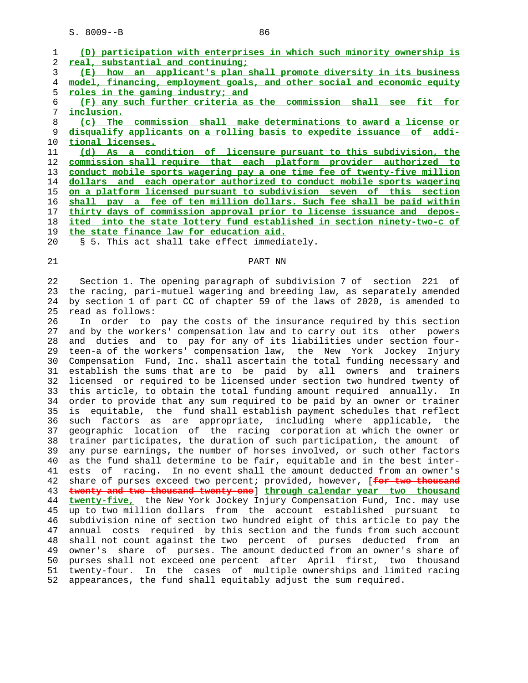|                | participation with enterprises in which such minority ownership is<br>(D) |
|----------------|---------------------------------------------------------------------------|
| $\overline{2}$ | real, substantial and continuing;                                         |
| 3              | an applicant's plan shall promote diversity in its business<br>(E)<br>how |
| 4              | model, financing, employment goals, and other social and economic equity  |
| 5              | roles in the gaming industry; and                                         |
| 6              | (F) any such further criteria as the commission shall see fit for         |
| 7              | inclusion.                                                                |
| 8              | (c) The commission shall make determinations to award a license or        |
| 9              | disqualify applicants on a rolling basis to expedite issuance of addi-    |
| 10             | tional licenses.                                                          |
| 11             | (d) As a condition of licensure pursuant to this subdivision, the         |
| 12             | commission shall require that each platform provider authorized to        |
| 13             | conduct mobile sports wagering pay a one time fee of twenty-five million  |
| 14             | dollars and each operator authorized to conduct mobile sports wagering    |
| 15             | on a platform licensed pursuant to subdivision seven of this section      |
| 16             | shall pay a fee of ten million dollars. Such fee shall be paid within     |
| 17             | thirty days of commission approval prior to license issuance and depos-   |
| 18             | ited into the state lottery fund established in section ninety-two-c of   |
| 19             | the state finance law for education aid.                                  |
| 20             | § 5. This act shall take effect immediately.                              |

# 21 PART NN

 22 Section 1. The opening paragraph of subdivision 7 of section 221 of 23 the racing, pari-mutuel wagering and breeding law, as separately amended 24 by section 1 of part CC of chapter 59 of the laws of 2020, is amended to 25 read as follows:

 26 In order to pay the costs of the insurance required by this section 27 and by the workers' compensation law and to carry out its other powers 28 and duties and to pay for any of its liabilities under section four- 29 teen-a of the workers' compensation law, the New York Jockey Injury 30 Compensation Fund, Inc. shall ascertain the total funding necessary and 31 establish the sums that are to be paid by all owners and trainers 32 licensed or required to be licensed under section two hundred twenty of 33 this article, to obtain the total funding amount required annually. In 34 order to provide that any sum required to be paid by an owner or trainer 35 is equitable, the fund shall establish payment schedules that reflect 36 such factors as are appropriate, including where applicable, the 37 geographic location of the racing corporation at which the owner or 38 trainer participates, the duration of such participation, the amount of 39 any purse earnings, the number of horses involved, or such other factors 40 as the fund shall determine to be fair, equitable and in the best inter- 41 ests of racing. In no event shall the amount deducted from an owner's 42 share of purses exceed two percent; provided, however, [**for two thousand** 43 **twenty and two thousand twenty-one**] **through calendar year two thousand** 44 **twenty-five,** the New York Jockey Injury Compensation Fund, Inc. may use 45 up to two million dollars from the account established pursuant to 46 subdivision nine of section two hundred eight of this article to pay the 47 annual costs required by this section and the funds from such account 48 shall not count against the two percent of purses deducted from an 49 owner's share of purses. The amount deducted from an owner's share of 50 purses shall not exceed one percent after April first, two thousand 51 twenty-four. In the cases of multiple ownerships and limited racing 52 appearances, the fund shall equitably adjust the sum required.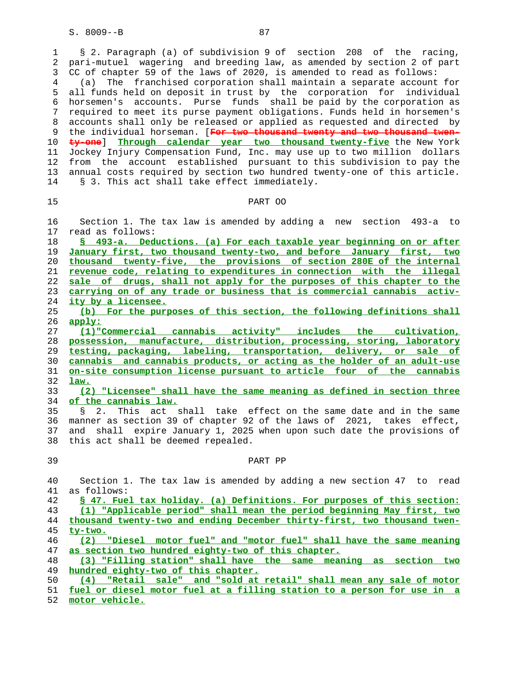1 § 2. Paragraph (a) of subdivision 9 of section 208 of the racing, 2 pari-mutuel wagering and breeding law, as amended by section 2 of part 3 CC of chapter 59 of the laws of 2020, is amended to read as follows: 4 (a) The franchised corporation shall maintain a separate account for 5 all funds held on deposit in trust by the corporation for individual 6 horsemen's accounts. Purse funds shall be paid by the corporation as 7 required to meet its purse payment obligations. Funds held in horsemen's 8 accounts shall only be released or applied as requested and directed by 9 the individual horseman. [**For two thousand twenty and two thousand twen-** 10 **ty-one**] **Through calendar year two thousand twenty-five** the New York 11 Jockey Injury Compensation Fund, Inc. may use up to two million dollars 12 from the account established pursuant to this subdivision to pay the 13 annual costs required by section two hundred twenty-one of this article. 14 § 3. This act shall take effect immediately.

#### 15 PART OO

 16 Section 1. The tax law is amended by adding a new section 493-a to 17 read as follows:

**§ 493-a. Deductions. (a) For each taxable year beginning on or after January first, two thousand twenty-two, and before January first, two thousand twenty-five, the provisions of section 280E of the internal revenue code, relating to expenditures in connection with the illegal sale of drugs, shall not apply for the purposes of this chapter to the carrying on of any trade or business that is commercial cannabis activ- ity by a licensee.**

 25 **(b) For the purposes of this section, the following definitions shall** 26 **apply:**

**(1)"Commercial cannabis activity" includes the cultivation, possession, manufacture, distribution, processing, storing, laboratory testing, packaging, labeling, transportation, delivery, or sale of cannabis and cannabis products, or acting as the holder of an adult-use on-site consumption license pursuant to article four of the cannabis** 32 **law.**

 33 **(2) "Licensee" shall have the same meaning as defined in section three** of the cannabis law.

 35 § 2. This act shall take effect on the same date and in the same 36 manner as section 39 of chapter 92 of the laws of 2021, takes effect, 37 and shall expire January 1, 2025 when upon such date the provisions of 38 this act shall be deemed repealed.

## 39 PART PP

 40 Section 1. The tax law is amended by adding a new section 47 to read 41 as follows:

**§ 47. Fuel tax holiday. (a) Definitions. For purposes of this section: (1) "Applicable period" shall mean the period beginning May first, two thousand twenty-two and ending December thirty-first, two thousand twen-** 45 **ty-two.**

 46 **(2) "Diesel motor fuel" and "motor fuel" shall have the same meaning** 47 **as section two hundred eighty-two of this chapter.**

 48 **(3) "Filling station" shall have the same meaning as section two** 49 **hundred eighty-two of this chapter.**

50 **(4) "Retail sale" and "sold at retail" shall mean any sale of motor**

 51 **fuel or diesel motor fuel at a filling station to a person for use in a** 52 **motor vehicle.**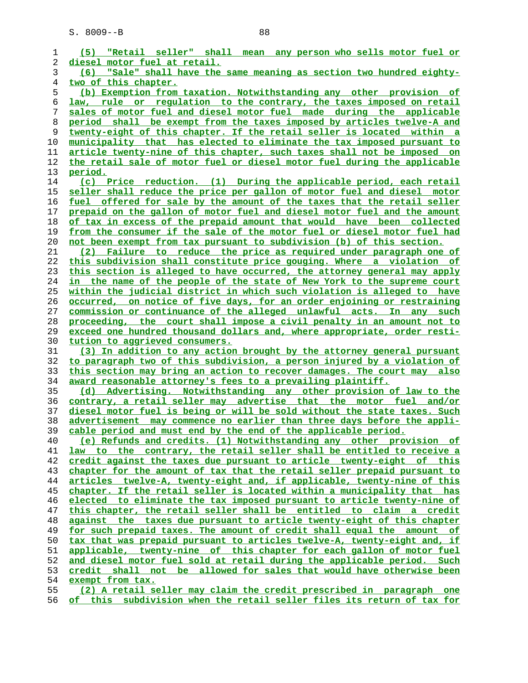**(5) "Retail seller" shall mean any person who sells motor fuel or diesel motor fuel at retail. (6) "Sale" shall have the same meaning as section two hundred eighty- two of this chapter. (b) Exemption from taxation. Notwithstanding any other provision of law, rule or regulation to the contrary, the taxes imposed on retail sales of motor fuel and diesel motor fuel made during the applicable period shall be exempt from the taxes imposed by articles twelve-A and twenty-eight of this chapter. If the retail seller is located within a municipality that has elected to eliminate the tax imposed pursuant to article twenty-nine of this chapter, such taxes shall not be imposed on the retail sale of motor fuel or diesel motor fuel during the applicable period. (c) Price reduction. (1) During the applicable period, each retail seller shall reduce the price per gallon of motor fuel and diesel motor fuel offered for sale by the amount of the taxes that the retail seller prepaid on the gallon of motor fuel and diesel motor fuel and the amount of tax in excess of the prepaid amount that would have been collected from the consumer if the sale of the motor fuel or diesel motor fuel had not been exempt from tax pursuant to subdivision (b) of this section. (2) Failure to reduce the price as required under paragraph one of this subdivision shall constitute price gouging. Where a violation of this section is alleged to have occurred, the attorney general may apply in the name of the people of the state of New York to the supreme court within the judicial district in which such violation is alleged to have occurred, on notice of five days, for an order enjoining or restraining commission or continuance of the alleged unlawful acts. In any such proceeding, the court shall impose a civil penalty in an amount not to exceed one hundred thousand dollars and, where appropriate, order resti- tution to aggrieved consumers. (3) In addition to any action brought by the attorney general pursuant to paragraph two of this subdivision, a person injured by a violation of this section may bring an action to recover damages. The court may also award reasonable attorney's fees to a prevailing plaintiff. (d) Advertising. Notwithstanding any other provision of law to the contrary, a retail seller may advertise that the motor fuel and/or diesel motor fuel is being or will be sold without the state taxes. Such advertisement may commence no earlier than three days before the appli- cable period and must end by the end of the applicable period. (e) Refunds and credits. (1) Notwithstanding any other provision of law to the contrary, the retail seller shall be entitled to receive a credit against the taxes due pursuant to article twenty-eight of this chapter for the amount of tax that the retail seller prepaid pursuant to articles twelve-A, twenty-eight and, if applicable, twenty-nine of this chapter. If the retail seller is located within a municipality that has elected to eliminate the tax imposed pursuant to article twenty-nine of this chapter, the retail seller shall be entitled to claim a credit against the taxes due pursuant to article twenty-eight of this chapter for such prepaid taxes. The amount of credit shall equal the amount of tax that was prepaid pursuant to articles twelve-A, twenty-eight and, if applicable, twenty-nine of this chapter for each gallon of motor fuel and diesel motor fuel sold at retail during the applicable period. Such credit shall not be allowed for sales that would have otherwise been exempt from tax. (2) A retail seller may claim the credit prescribed in paragraph one**

**of this subdivision when the retail seller files its return of tax for**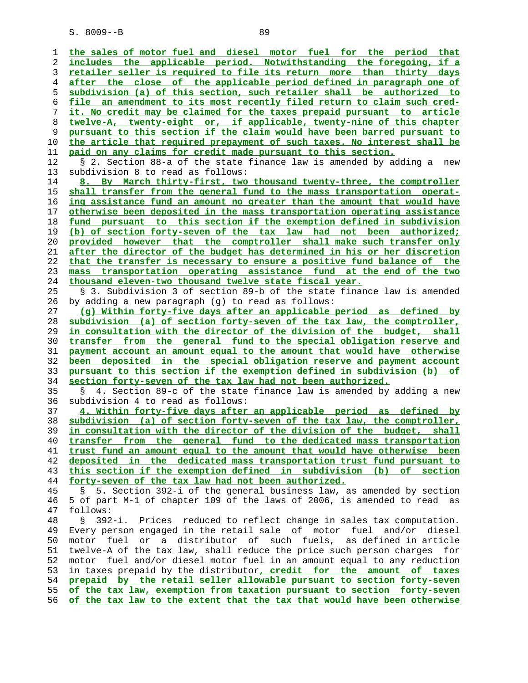**the sales of motor fuel and diesel motor fuel for the period that includes the applicable period. Notwithstanding the foregoing, if a retailer seller is required to file its return more than thirty days after the close of the applicable period defined in paragraph one of subdivision (a) of this section, such retailer shall be authorized to file an amendment to its most recently filed return to claim such cred- it. No credit may be claimed for the taxes prepaid pursuant to article twelve-A, twenty-eight or, if applicable, twenty-nine of this chapter pursuant to this section if the claim would have been barred pursuant to the article that required prepayment of such taxes. No interest shall be paid on any claims for credit made pursuant to this section.** 12 § 2. Section 88-a of the state finance law is amended by adding a new 13 subdivision 8 to read as follows: **8. By March thirty-first, two thousand twenty-three, the comptroller shall transfer from the general fund to the mass transportation operat- ing assistance fund an amount no greater than the amount that would have otherwise been deposited in the mass transportation operating assistance fund pursuant to this section if the exemption defined in subdivision (b) of section forty-seven of the tax law had not been authorized; provided however that the comptroller shall make such transfer only after the director of the budget has determined in his or her discretion that the transfer is necessary to ensure a positive fund balance of the mass transportation operating assistance fund at the end of the two thousand eleven-two thousand twelve state fiscal year.** 25 § 3. Subdivision 3 of section 89-b of the state finance law is amended 26 by adding a new paragraph (g) to read as follows: **(g) Within forty-five days after an applicable period as defined by subdivision (a) of section forty-seven of the tax law, the comptroller, in consultation with the director of the division of the budget, shall transfer from the general fund to the special obligation reserve and payment account an amount equal to the amount that would have otherwise been deposited in the special obligation reserve and payment account pursuant to this section if the exemption defined in subdivision (b) of section forty-seven of the tax law had not been authorized.** 35 § 4. Section 89-c of the state finance law is amended by adding a new 36 subdivision 4 to read as follows: **4. Within forty-five days after an applicable period as defined by subdivision (a) of section forty-seven of the tax law, the comptroller, in consultation with the director of the division of the budget, shall transfer from the general fund to the dedicated mass transportation trust fund an amount equal to the amount that would have otherwise been deposited in the dedicated mass transportation trust fund pursuant to this section if the exemption defined in subdivision (b) of section forty-seven of the tax law had not been authorized.** 45 § 5. Section 392-i of the general business law, as amended by section 46 5 of part M-1 of chapter 109 of the laws of 2006, is amended to read as 47 follows: 48 § 392-i. Prices reduced to reflect change in sales tax computation. 49 Every person engaged in the retail sale of motor fuel and/or diesel 50 motor fuel or a distributor of such fuels, as defined in article 51 twelve-A of the tax law, shall reduce the price such person charges for 52 motor fuel and/or diesel motor fuel in an amount equal to any reduction 53 in taxes prepaid by the distributor**, credit for the amount of taxes prepaid by the retail seller allowable pursuant to section forty-seven of the tax law, exemption from taxation pursuant to section forty-seven of the tax law to the extent that the tax that would have been otherwise**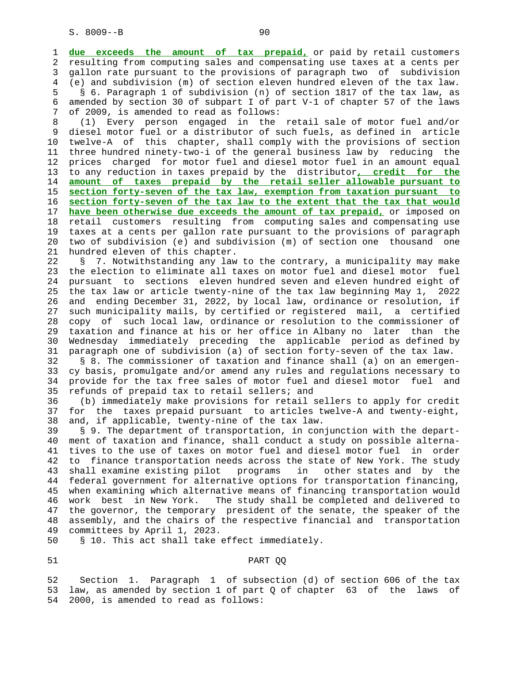1 **due exceeds the amount of tax prepaid,** or paid by retail customers 2 resulting from computing sales and compensating use taxes at a cents per 3 gallon rate pursuant to the provisions of paragraph two of subdivision 4 (e) and subdivision (m) of section eleven hundred eleven of the tax law. 5 § 6. Paragraph 1 of subdivision (n) of section 1817 of the tax law, as 6 amended by section 30 of subpart I of part V-1 of chapter 57 of the laws 7 of 2009, is amended to read as follows:

 8 (1) Every person engaged in the retail sale of motor fuel and/or 9 diesel motor fuel or a distributor of such fuels, as defined in article 10 twelve-A of this chapter, shall comply with the provisions of section 11 three hundred ninety-two-i of the general business law by reducing the 12 prices charged for motor fuel and diesel motor fuel in an amount equal 13 to any reduction in taxes prepaid by the distributor**, credit for the** 14 **amount of taxes prepaid by the retail seller allowable pursuant to** 15 **section forty-seven of the tax law, exemption from taxation pursuant to** 16 **section forty-seven of the tax law to the extent that the tax that would** 17 **have been otherwise due exceeds the amount of tax prepaid,** or imposed on 18 retail customers resulting from computing sales and compensating use 19 taxes at a cents per gallon rate pursuant to the provisions of paragraph 20 two of subdivision (e) and subdivision (m) of section one thousand one 21 hundred eleven of this chapter.

 22 § 7. Notwithstanding any law to the contrary, a municipality may make 23 the election to eliminate all taxes on motor fuel and diesel motor fuel 24 pursuant to sections eleven hundred seven and eleven hundred eight of 25 the tax law or article twenty-nine of the tax law beginning May 1, 2022 26 and ending December 31, 2022, by local law, ordinance or resolution, if 27 such municipality mails, by certified or registered mail, a certified 28 copy of such local law, ordinance or resolution to the commissioner of 29 taxation and finance at his or her office in Albany no later than the 30 Wednesday immediately preceding the applicable period as defined by 31 paragraph one of subdivision (a) of section forty-seven of the tax law.

 32 § 8. The commissioner of taxation and finance shall (a) on an emergen- 33 cy basis, promulgate and/or amend any rules and regulations necessary to 34 provide for the tax free sales of motor fuel and diesel motor fuel and 35 refunds of prepaid tax to retail sellers; and

 36 (b) immediately make provisions for retail sellers to apply for credit 37 for the taxes prepaid pursuant to articles twelve-A and twenty-eight, 38 and, if applicable, twenty-nine of the tax law.

 39 § 9. The department of transportation, in conjunction with the depart- 40 ment of taxation and finance, shall conduct a study on possible alterna- 41 tives to the use of taxes on motor fuel and diesel motor fuel in order 42 to finance transportation needs across the state of New York. The study 43 shall examine existing pilot programs in other states and by the 44 federal government for alternative options for transportation financing, 45 when examining which alternative means of financing transportation would 46 work best in New York. The study shall be completed and delivered to 47 the governor, the temporary president of the senate, the speaker of the 48 assembly, and the chairs of the respective financial and transportation 49 committees by April 1, 2023.

50 § 10. This act shall take effect immediately.

## 51 PART QQ

 52 Section 1. Paragraph 1 of subsection (d) of section 606 of the tax 53 law, as amended by section 1 of part Q of chapter 63 of the laws of 54 2000, is amended to read as follows: